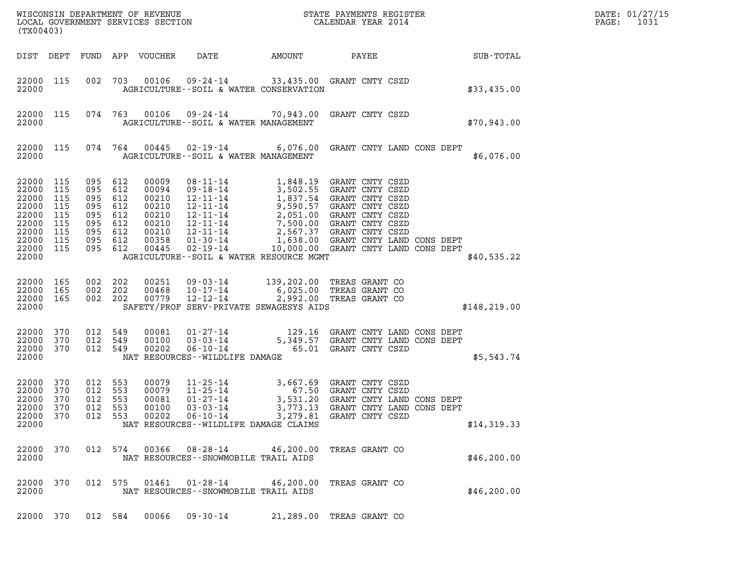| (TX00403)                                                                                      |                                               |                                                                             |                                 |                                                                               |                                                                                                                                                                                                                                                                                                               |          |                                                                                                                                                  |  |                  | DATE: 01/27/15<br>$\mathtt{PAGE}$ :<br>1031 |
|------------------------------------------------------------------------------------------------|-----------------------------------------------|-----------------------------------------------------------------------------|---------------------------------|-------------------------------------------------------------------------------|---------------------------------------------------------------------------------------------------------------------------------------------------------------------------------------------------------------------------------------------------------------------------------------------------------------|----------|--------------------------------------------------------------------------------------------------------------------------------------------------|--|------------------|---------------------------------------------|
| DIST DEPT                                                                                      |                                               |                                                                             |                                 | FUND APP VOUCHER                                                              | DATE                                                                                                                                                                                                                                                                                                          | AMOUNT   | PAYEE                                                                                                                                            |  | <b>SUB-TOTAL</b> |                                             |
| 22000 115<br>22000                                                                             |                                               |                                                                             |                                 | 002 703 00106                                                                 | 09-24-14 33,435.00 GRANT CNTY CSZD<br>AGRICULTURE -- SOIL & WATER CONSERVATION                                                                                                                                                                                                                                |          |                                                                                                                                                  |  | \$33,435.00      |                                             |
| 22000 115<br>22000                                                                             |                                               |                                                                             |                                 | 074 763 00106                                                                 | 09-24-14 70,943.00 GRANT CNTY CSZD<br>AGRICULTURE--SOIL & WATER MANAGEMENT                                                                                                                                                                                                                                    |          |                                                                                                                                                  |  | \$70,943.00      |                                             |
| 22000 115<br>22000                                                                             |                                               |                                                                             | 074 764                         | 00445                                                                         | 02-19-14 6,076.00 GRANT CNTY LAND CONS DEPT<br>AGRICULTURE--SOIL & WATER MANAGEMENT                                                                                                                                                                                                                           |          |                                                                                                                                                  |  | \$6,076.00       |                                             |
| 22000 115<br>22000<br>22000<br>22000<br>22000<br>22000<br>22000<br>22000<br>22000 115<br>22000 | 115<br>115<br>115<br>115<br>115<br>115<br>115 | 095 612<br>095<br>095<br>095<br>095<br>095<br>095 612<br>095 612<br>095 612 | 612<br>612<br>612<br>612<br>612 | 00009<br>00094<br>00210<br>00210<br>00210<br>00210<br>00210<br>00358<br>00445 | 08-11-14<br>09-18-14<br>1,848.19 GRANT CNTY CSZD<br>12-11-14<br>1,837.54 GRANT CNTY CSZD<br>12-11-14<br>9,590.57 GRANT CNTY CSZD<br>12-11-14<br>2,051.00 GRANT CNTY CSZD<br>12-11-14<br>2,567.37 GRANT CNTY CSZD<br>01-30-14<br>1,808.00 GRANT CNTY CS<br>02-19-14<br>AGRICULTURE--SOIL & WATER RESOURCE MGMT |          | 10,000.00 GRANT CNTY LAND CONS DEPT                                                                                                              |  | \$40,535.22      |                                             |
| 22000 165<br>22000<br>22000 165<br>22000                                                       | 165                                           | 002 202<br>002 202<br>002 202                                               |                                 | 00251<br>00468<br>00779                                                       | 09-03-14 139,202.00 TREAS GRANT CO<br>10-17-14 6,025.00 TREAS GRANT CO<br>12-12-14 2,992.00 TREAS GRANT CO<br>SAFETY/PROF SERV-PRIVATE SEWAGESYS AIDS                                                                                                                                                         |          |                                                                                                                                                  |  | \$148, 219.00    |                                             |
| 22000 370<br>22000<br>22000 370<br>22000                                                       | 370                                           | 012 549<br>012<br>012 549                                                   | 549                             | 00081<br>00100<br>00202                                                       | 01-27-14 129.16 GRANT CNTY LAND CONS DEPT 03-03-14 5,349.57 GRANT CNTY LAND CONS DEPT 06-10-14 65.01 GRANT CNTY CSZD<br>NAT RESOURCES - - WILDLIFE DAMAGE                                                                                                                                                     |          |                                                                                                                                                  |  | \$5,543.74       |                                             |
| 22000 370<br>22000<br>22000<br>22000 370<br>22000<br>22000                                     | 370<br>370<br>370                             | 012 553<br>012<br>012 553<br>012 553<br>012 553                             | 553                             | 00079<br>00079<br>00081<br>00100<br>00202                                     | $11 - 25 - 14$ 3, 6<br>11 - 25 - 14<br>$01 - 27 - 14$<br>$03 - 03 - 14$<br>$06 - 10 - 14$<br>NAT RESOURCES -- WILDLIFE DAMAGE CLAIMS                                                                                                                                                                          | 3,279.81 | 3,667.69 GRANT CNTY CSZD<br>67.50 GRANT CNTY CSZD<br>3,531.20 GRANT CNTY LAND CONS DEPT<br>3,773.13 GRANT CNTY LAND CONS DEPT<br>GRANT CNTY CSZD |  | \$14,319.33      |                                             |
| 22000 370<br>22000                                                                             |                                               |                                                                             | 012 574                         | 00366                                                                         | 08-28-14<br>NAT RESOURCES - - SNOWMOBILE TRAIL AIDS                                                                                                                                                                                                                                                           |          | 46,200.00 TREAS GRANT CO                                                                                                                         |  | \$46,200.00      |                                             |
| 22000 370<br>22000                                                                             |                                               | 012 575                                                                     |                                 | 01461                                                                         | 01-28-14<br>NAT RESOURCES - - SNOWMOBILE TRAIL AIDS                                                                                                                                                                                                                                                           |          | 46,200.00 TREAS GRANT CO                                                                                                                         |  | \$46,200.00      |                                             |
| 22000 370                                                                                      |                                               | 012 584                                                                     |                                 | 00066                                                                         | 09-30-14                                                                                                                                                                                                                                                                                                      |          | 21,289.00 TREAS GRANT CO                                                                                                                         |  |                  |                                             |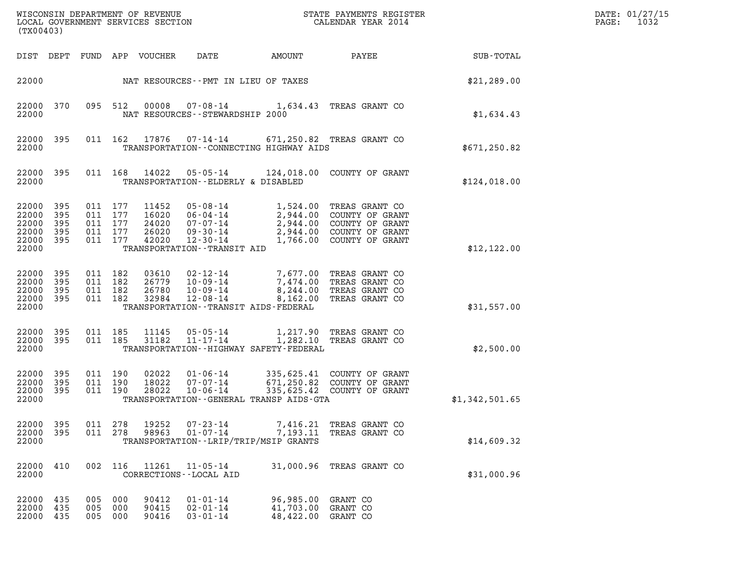| (TX00403)                                          |                                 |                                                     | WISCONSIN DEPARTMENT OF REVENUE<br>LOCAL GOVERNMENT SERVICES SECTION |                                                                                            |                                                                                                         | STATE PAYMENTS REGISTER<br>CALENDAR YEAR 2014                                                                |                | DATE: 01/27/15<br>PAGE:<br>1032 |
|----------------------------------------------------|---------------------------------|-----------------------------------------------------|----------------------------------------------------------------------|--------------------------------------------------------------------------------------------|---------------------------------------------------------------------------------------------------------|--------------------------------------------------------------------------------------------------------------|----------------|---------------------------------|
|                                                    |                                 |                                                     | DIST DEPT FUND APP VOUCHER                                           | DATE                                                                                       | AMOUNT                                                                                                  | PAYEE                                                                                                        | SUB-TOTAL      |                                 |
| 22000                                              |                                 |                                                     |                                                                      | NAT RESOURCES--PMT IN LIEU OF TAXES                                                        |                                                                                                         |                                                                                                              | \$21, 289.00   |                                 |
| 22000<br>22000                                     | 370                             | 095 512                                             | 00008                                                                | NAT RESOURCES - - STEWARDSHIP 2000                                                         | 07-08-14 1,634.43 TREAS GRANT CO                                                                        |                                                                                                              | \$1,634.43     |                                 |
| 22000<br>22000                                     | 395                             |                                                     | 011 162 17876                                                        |                                                                                            | 07-14-14 671,250.82 TREAS GRANT CO<br>TRANSPORTATION - CONNECTING HIGHWAY AIDS                          |                                                                                                              | \$671, 250.82  |                                 |
| 22000<br>22000                                     | 395                             |                                                     | 011 168 14022                                                        | 05-05-14<br>TRANSPORTATION--ELDERLY & DISABLED                                             |                                                                                                         | 124,018.00 COUNTY OF GRANT                                                                                   | \$124,018.00   |                                 |
| 22000<br>22000<br>22000<br>22000<br>22000<br>22000 | 395<br>395<br>395<br>395<br>395 | 011 177<br>011 177<br>011 177<br>011 177<br>011 177 | 11452<br>16020<br>24020<br>26020<br>42020                            | 05-08-14<br>06-04-14<br>07-07-14<br>09-30-14<br>12-30-14<br>TRANSPORTATION - - TRANSIT AID | 2,944.00<br>2,944.00<br>1,766.00                                                                        | 1,524.00 TREAS GRANT CO<br>2,944.00 COUNTY OF GRANT<br>COUNTY OF GRANT<br>COUNTY OF GRANT<br>COUNTY OF GRANT | \$12,122.00    |                                 |
| 22000<br>22000<br>22000<br>22000<br>22000          | 395<br>395<br>395<br>395        | 011 182<br>011 182<br>011 182<br>011 182            | 03610<br>26779<br>26780<br>32984                                     | 02-12-14<br>10-09-14<br>10-09-14<br>12-08-14                                               | 7,474.00<br>8,244.00<br>8,162.00<br>TRANSPORTATION - - TRANSIT AIDS - FEDERAL                           | 7,677.00 TREAS GRANT CO<br>TREAS GRANT CO<br>TREAS GRANT CO<br>TREAS GRANT CO                                | \$31,557.00    |                                 |
| 22000<br>22000<br>22000                            | - 395<br>395                    | 011 185<br>011 185                                  | 11145<br>31182                                                       | 05-05-14<br>11-17-14                                                                       | TRANSPORTATION - - HIGHWAY SAFETY - FEDERAL                                                             | 1,217.90 TREAS GRANT CO<br>1,282.10 TREAS GRANT CO                                                           | \$2,500.00     |                                 |
| 22000<br>22000<br>22000<br>22000                   | 395<br>395<br>395               | 011 190<br>011 190<br>011 190                       | 02022<br>18022<br>28022                                              | 01-06-14<br>07-07-14<br>10-06-14                                                           | TRANSPORTATION--GENERAL TRANSP AIDS-GTA                                                                 | 335,625.41 COUNTY OF GRANT<br>671,250.82 COUNTY OF GRANT<br>335,625.42 COUNTY OF GRANT                       | \$1,342,501.65 |                                 |
| 22000<br>22000<br>22000                            | 395<br>395                      | 011 278<br>011 278                                  | 19252<br>98963                                                       | 01-07-14                                                                                   | 07-23-14 7,416.21 TREAS GRANT CO<br>7,193.11 TREAS GRANT CO<br>TRANSPORTATION - - LRIP/TRIP/MSIP GRANTS |                                                                                                              | \$14,609.32    |                                 |
| 22000 410<br>22000                                 |                                 |                                                     | 002 116 11261                                                        | 11-05-14<br>CORRECTIONS - - LOCAL AID                                                      |                                                                                                         | 31,000.96 TREAS GRANT CO                                                                                     | \$31,000.96    |                                 |
| 22000<br>22000<br>22000                            | 435<br>435<br>435               | 005 000<br>005 000<br>005 000                       | 90412<br>90415<br>90416                                              | $01 - 01 - 14$<br>02-01-14<br>$03 - 01 - 14$                                               | 96,985.00<br>41,703.00 GRANT CO<br>48,422.00 GRANT CO                                                   | GRANT CO                                                                                                     |                |                                 |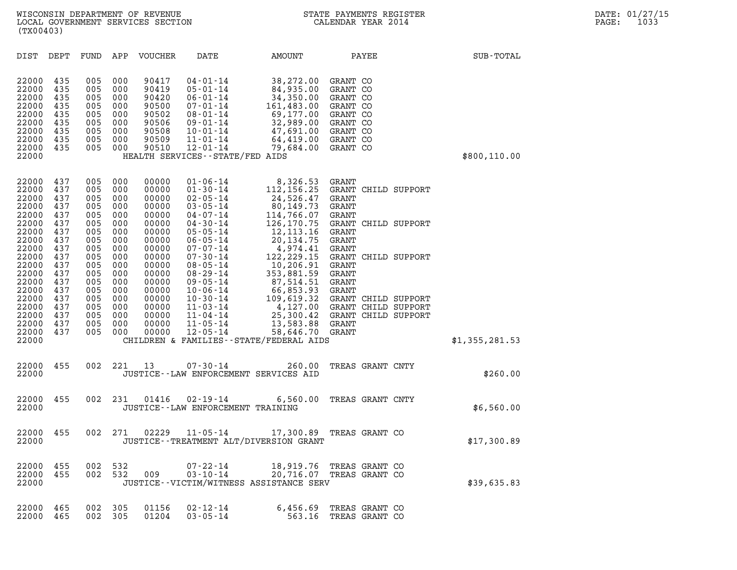| (TX00403)                                                                                                |                                                                                  |                                                                                  |                                                                                  |                                                                                                          |                                                                                                                                                                                                                      |                                                                                                                                                                                                               |                                                                                              |                  |                                                                   |                |  |
|----------------------------------------------------------------------------------------------------------|----------------------------------------------------------------------------------|----------------------------------------------------------------------------------|----------------------------------------------------------------------------------|----------------------------------------------------------------------------------------------------------|----------------------------------------------------------------------------------------------------------------------------------------------------------------------------------------------------------------------|---------------------------------------------------------------------------------------------------------------------------------------------------------------------------------------------------------------|----------------------------------------------------------------------------------------------|------------------|-------------------------------------------------------------------|----------------|--|
| DIST                                                                                                     | DEPT                                                                             | FUND                                                                             | APP                                                                              | VOUCHER                                                                                                  | DATE                                                                                                                                                                                                                 | AMOUNT                                                                                                                                                                                                        |                                                                                              | PAYEE            |                                                                   | SUB-TOTAL      |  |
| 22000<br>22000<br>22000<br>22000<br>22000<br>22000<br>22000<br>22000<br>22000<br>22000                   | 435<br>435<br>435<br>435<br>435<br>435<br>435<br>435<br>435                      | 005<br>005<br>005<br>005<br>005<br>005<br>005<br>005<br>005                      | 000<br>000<br>000<br>000<br>000<br>000<br>000<br>000<br>000                      | 90417<br>90419<br>90420<br>90500<br>90502<br>90506<br>90508<br>90509<br>90510                            | $04 - 01 - 14$<br>$05 - 01 - 14$<br>$06 - 01 - 14$<br>$07 - 01 - 14$<br>$08 - 01 - 14$<br>$09 - 01 - 14$<br>$10 - 01 - 14$<br>$11 - 01 - 14$<br>$12 - 01 - 14$<br>HEALTH SERVICES -- STATE/FED AIDS                  | 38,272.00<br>84,935.00<br>34,350.00<br>161,483.00<br>69,177.00<br>32,989.00<br>47,691.00<br>64,419.00 GRANT CO<br>79,684.00                                                                                   | GRANT CO<br>GRANT CO<br>GRANT CO<br>GRANT CO<br>GRANT CO<br>GRANT CO<br>GRANT CO<br>GRANT CO |                  |                                                                   | \$800,110.00   |  |
| 22000<br>22000<br>22000<br>22000<br>22000<br>22000<br>22000<br>22000<br>22000<br>22000<br>22000<br>22000 | 437<br>437<br>437<br>437<br>437<br>437<br>437<br>437<br>437<br>437<br>437<br>437 | 005<br>005<br>005<br>005<br>005<br>005<br>005<br>005<br>005<br>005<br>005<br>005 | 000<br>000<br>000<br>000<br>000<br>000<br>000<br>000<br>000<br>000<br>000<br>000 | 00000<br>00000<br>00000<br>00000<br>00000<br>00000<br>00000<br>00000<br>00000<br>00000<br>00000<br>00000 | $01 - 06 - 14$<br>$01 - 30 - 14$<br>$02 - 05 - 14$<br>$03 - 05 - 14$<br>$04 - 07 - 14$<br>$04 - 30 - 14$<br>$05 - 05 - 14$<br>$06 - 05 - 14$<br>$07 - 07 - 14$<br>$07 - 30 - 14$<br>$08 - 05 - 14$<br>$08 - 29 - 14$ | 8,326.53<br>112,156.25<br>24,526.47<br>80,149.73<br>114,766.07<br>126,170.75<br>12,113.16<br>20, 134.75<br>4,974.41<br>122,229.15<br>10,206.91<br>353,881.59                                                  | GRANT<br>GRANT<br>GRANT<br><b>GRANT</b><br>GRANT<br>GRANT<br>GRANT<br>GRANT<br>GRANT         |                  | GRANT CHILD SUPPORT<br>GRANT CHILD SUPPORT<br>GRANT CHILD SUPPORT |                |  |
| 22000<br>22000<br>22000<br>22000<br>22000<br>22000<br>22000<br>22000                                     | 437<br>437<br>437<br>437<br>437<br>437<br>437                                    | 005<br>005<br>005<br>005<br>005<br>005<br>005                                    | 000<br>000<br>000<br>000<br>000<br>000<br>000                                    | 00000<br>00000<br>00000<br>00000<br>00000<br>00000<br>00000                                              | $09 - 05 - 14$<br>$10 - 06 - 14$<br>$10 - 30 - 14$<br>$11 - 03 - 14$<br>$11 - 04 - 14$<br>$11 - 05 - 14$<br>$12 - 05 - 14$                                                                                           | 87,514.51<br>66,853.93<br>109,619.32 GRANT CHILD SUPPORT<br>4,127.00 GRANT CHILD SUPPORT<br>25,300.42 GRANT CHILD SUPPORT<br>13,583.88 GRANT<br>58,646.70 GRANT<br>CHILDREN & FAMILIES - - STATE/FEDERAL AIDS | GRANT<br>GRANT                                                                               |                  |                                                                   | \$1,355,281.53 |  |
| 22000<br>22000                                                                                           | 455                                                                              | 002                                                                              | 221                                                                              | 13                                                                                                       | $07 - 30 - 14$                                                                                                                                                                                                       | 260.00<br>JUSTICE -- LAW ENFORCEMENT SERVICES AID                                                                                                                                                             |                                                                                              | TREAS GRANT CNTY |                                                                   | \$260.00       |  |
| 22000<br>22000                                                                                           | 455                                                                              | 002                                                                              | 231                                                                              | 01416                                                                                                    | $02 - 19 - 14$<br>JUSTICE--LAW ENFORCEMENT TRAINING                                                                                                                                                                  | 6,560.00                                                                                                                                                                                                      | TREAS GRANT CNTY                                                                             |                  |                                                                   | \$6,560.00     |  |
| 22000<br>22000                                                                                           | 455                                                                              | 002                                                                              | 271                                                                              | 02229                                                                                                    | $11 - 05 - 14$                                                                                                                                                                                                       | 17,300.89<br>JUSTICE - - TREATMENT ALT/DIVERSION GRANT                                                                                                                                                        | TREAS GRANT CO                                                                               |                  |                                                                   | \$17,300.89    |  |
| 22000<br>22000<br>22000                                                                                  | 455<br>455                                                                       | 002<br>002                                                                       | 532<br>532                                                                       | 009                                                                                                      | $07 - 22 - 14$<br>$03 - 10 - 14$                                                                                                                                                                                     | 18,919.76 TREAS GRANT CO<br>20,716.07 TREAS GRANT CO<br>JUSTICE - - VICTIM/WITNESS ASSISTANCE SERV                                                                                                            |                                                                                              |                  |                                                                   | \$39,635.83    |  |
| 22000<br>22000                                                                                           | 465<br>465                                                                       | 002<br>002                                                                       | 305<br>305                                                                       | 01156<br>01204                                                                                           | $02 - 12 - 14$<br>$03 - 05 - 14$                                                                                                                                                                                     | 6,456.69<br>563.16                                                                                                                                                                                            | TREAS GRANT CO<br>TREAS GRANT CO                                                             |                  |                                                                   |                |  |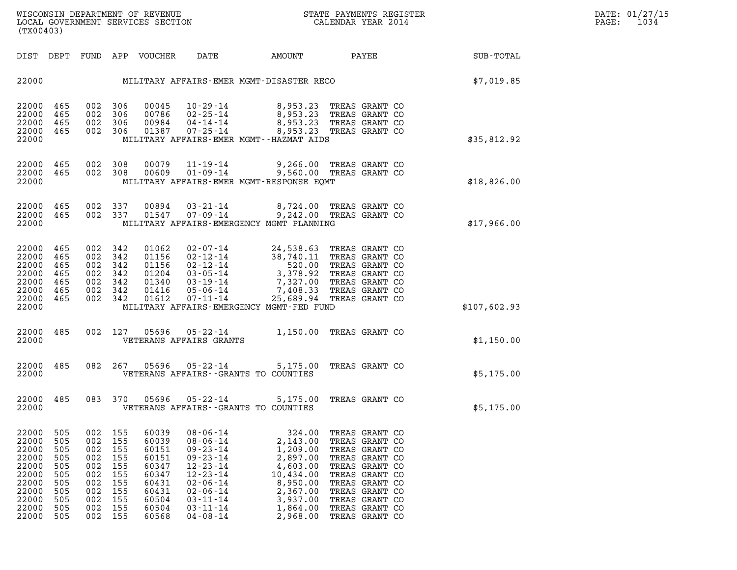| (TX00403)                                                                                       |                                                                           |                                                                           |                                                                           |                                                                                                 |                                                                                                                                                                                                    |                                                                                                                                 |                                                                                                                                                                                                    |                    |
|-------------------------------------------------------------------------------------------------|---------------------------------------------------------------------------|---------------------------------------------------------------------------|---------------------------------------------------------------------------|-------------------------------------------------------------------------------------------------|----------------------------------------------------------------------------------------------------------------------------------------------------------------------------------------------------|---------------------------------------------------------------------------------------------------------------------------------|----------------------------------------------------------------------------------------------------------------------------------------------------------------------------------------------------|--------------------|
| DIST                                                                                            | DEPT                                                                      | FUND                                                                      |                                                                           | APP VOUCHER                                                                                     | DATE                                                                                                                                                                                               | <b>AMOUNT</b>                                                                                                                   |                                                                                                                                                                                                    | PAYEE<br>SUB-TOTAL |
| 22000                                                                                           |                                                                           |                                                                           |                                                                           |                                                                                                 |                                                                                                                                                                                                    | MILITARY AFFAIRS-EMER MGMT-DISASTER RECO                                                                                        |                                                                                                                                                                                                    | \$7,019.85         |
| 22000<br>22000<br>22000<br>22000<br>22000                                                       | 465<br>465<br>465<br>465                                                  | 002<br>002<br>002<br>002                                                  | 306<br>306<br>306<br>306                                                  | 00045<br>00786<br>00984                                                                         | 10-29-14<br>02-25-14<br>04-14-14<br>$01387$ $07 - 25 - 14$                                                                                                                                         | 8,953.23<br>MILITARY AFFAIRS-EMER MGMT--HAZMAT AIDS                                                                             | 8,953.23 TREAS GRANT CO<br>TREAS GRANT CO<br>8,953.23 TREAS GRANT CO<br>8,953.23 TREAS GRANT CO                                                                                                    | \$35,812.92        |
| 22000<br>22000<br>22000                                                                         | 465<br>465                                                                | 002<br>002                                                                | 308<br>308                                                                | 00079<br>00609                                                                                  | $11 - 19 - 14$<br>$01 - 09 - 14$                                                                                                                                                                   | 9,560.00 TREAS GRANT CO<br>MILITARY AFFAIRS-EMER MGMT-RESPONSE EQMT                                                             | 9,266.00 TREAS GRANT CO                                                                                                                                                                            | \$18,826.00        |
| 22000<br>22000<br>22000                                                                         | 465<br>465                                                                | 002<br>002                                                                | 337<br>337                                                                | 00894<br>01547                                                                                  | $03 - 21 - 14$<br>$07 - 09 - 14$                                                                                                                                                                   | MILITARY AFFAIRS-EMERGENCY MGMT PLANNING                                                                                        | 8,724.00 TREAS GRANT CO<br>9,242.00 TREAS GRANT CO                                                                                                                                                 | \$17,966.00        |
| 22000<br>22000<br>22000<br>22000<br>22000<br>22000<br>22000<br>22000                            | 465<br>465<br>465<br>465<br>465<br>465<br>465                             | 002<br>002<br>002<br>002<br>002<br>002<br>002                             | 342<br>342<br>342<br>342<br>342<br>342<br>342                             | 01062<br>01156<br>01156<br>01204<br>01416<br>01612                                              | 02-07-14<br>$02 - 12 - 14$<br>$02 - 12 - 14$<br>03-05-14<br>$01340$ $03-19-14$<br>$05 - 06 - 14$<br>$07 - 11 - 14$                                                                                 | 24,538.63<br>38,740.11<br>520.00<br>3,378.92<br>MILITARY AFFAIRS-EMERGENCY MGMT-FED FUND                                        | TREAS GRANT CO<br>TREAS GRANT CO<br>TREAS GRANT CO<br>TREAS GRANT CO<br>7,327.00 TREAS GRANT CO<br>7,408.33 TREAS GRANT CO<br>25,689.94 TREAS GRANT CO                                             | \$107,602.93       |
| 22000<br>22000                                                                                  | 485                                                                       | 002                                                                       | 127                                                                       | 05696                                                                                           | 05-22-14<br>VETERANS AFFAIRS GRANTS                                                                                                                                                                | 1,150.00                                                                                                                        | TREAS GRANT CO                                                                                                                                                                                     | \$1,150.00         |
| 22000<br>22000                                                                                  | 485                                                                       | 082                                                                       | 267                                                                       | 05696                                                                                           | 05-22-14                                                                                                                                                                                           | 5,175.00<br>VETERANS AFFAIRS -- GRANTS TO COUNTIES                                                                              | TREAS GRANT CO                                                                                                                                                                                     | \$5,175.00         |
| 22000<br>22000                                                                                  | 485                                                                       | 083                                                                       | 370                                                                       | 05696                                                                                           | 05-22-14                                                                                                                                                                                           | 5,175.00<br>VETERANS AFFAIRS -- GRANTS TO COUNTIES                                                                              | TREAS GRANT CO                                                                                                                                                                                     | \$5,175.00         |
| 22000<br>22000<br>22000<br>22000<br>22000<br>22000<br>22000<br>22000<br>22000<br>22000<br>22000 | 505<br>505<br>505<br>505<br>505<br>505<br>505<br>505<br>505<br>505<br>505 | 002<br>002<br>002<br>002<br>002<br>002<br>002<br>002<br>002<br>002<br>002 | 155<br>155<br>155<br>155<br>155<br>155<br>155<br>155<br>155<br>155<br>155 | 60039<br>60039<br>60151<br>60151<br>60347<br>60347<br>60431<br>60431<br>60504<br>60504<br>60568 | $08 - 06 - 14$<br>$08 - 06 - 14$<br>$09 - 23 - 14$<br>$09 - 23 - 14$<br>$12 - 23 - 14$<br>$12 - 23 - 14$<br>$02 - 06 - 14$<br>$02 - 06 - 14$<br>$03 - 11 - 14$<br>$03 - 11 - 14$<br>$04 - 08 - 14$ | 324.00<br>2,143.00<br>1,209.00<br>2,897.00<br>4,603.00<br>10,434.00<br>8,950.00<br>2,367.00<br>3,937.00<br>1,864.00<br>2,968.00 | TREAS GRANT CO<br>TREAS GRANT CO<br>TREAS GRANT CO<br>TREAS GRANT CO<br>TREAS GRANT CO<br>TREAS GRANT CO<br>TREAS GRANT CO<br>TREAS GRANT CO<br>TREAS GRANT CO<br>TREAS GRANT CO<br>TREAS GRANT CO |                    |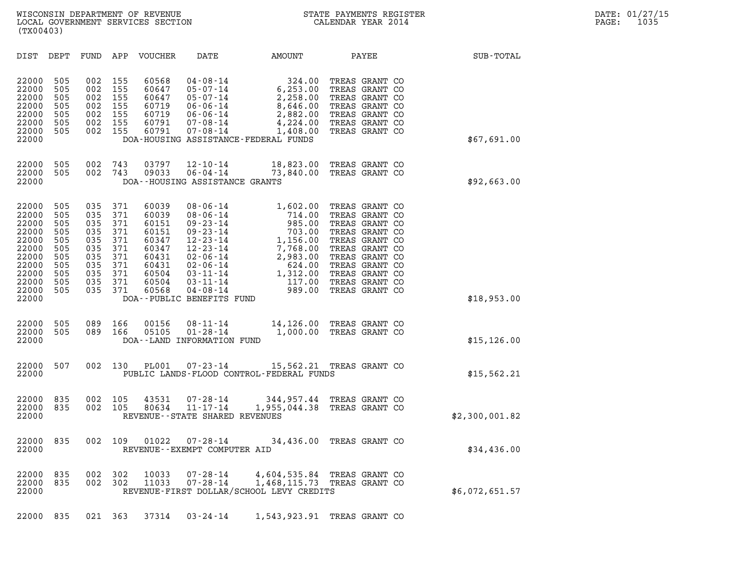|                                                                                                          | (TX00403)                                                                 |                                                                           |                                                                           |                                                                                                 |                                                                                                                                                                                                                                 |                                                                                                                         |                                                                                                                                                                                                    |                |
|----------------------------------------------------------------------------------------------------------|---------------------------------------------------------------------------|---------------------------------------------------------------------------|---------------------------------------------------------------------------|-------------------------------------------------------------------------------------------------|---------------------------------------------------------------------------------------------------------------------------------------------------------------------------------------------------------------------------------|-------------------------------------------------------------------------------------------------------------------------|----------------------------------------------------------------------------------------------------------------------------------------------------------------------------------------------------|----------------|
| DIST                                                                                                     | DEPT                                                                      | FUND                                                                      | APP                                                                       | VOUCHER                                                                                         | DATE                                                                                                                                                                                                                            | AMOUNT                                                                                                                  | PAYEE                                                                                                                                                                                              | SUB-TOTAL      |
| 22000<br>22000<br>22000<br>22000<br>22000<br>22000<br>22000<br>22000                                     | 505<br>505<br>505<br>505<br>505<br>505<br>505                             | 002<br>002<br>002<br>002<br>002<br>002<br>002                             | 155<br>155<br>155<br>155<br>155<br>155<br>155                             | 60568<br>60647<br>60647<br>60719<br>60719<br>60791<br>60791                                     | $04 - 08 - 14$<br>$05 - 07 - 14$<br>$05 - 07 - 14$<br>$06 - 06 - 14$<br>$06 - 06 - 14$<br>$07 - 08 - 14$<br>$07 - 08 - 14$                                                                                                      | 324.00<br>6, 253.00<br>2,258.00<br>8,646.00<br>2,882.00<br>4,224.00<br>1,408.00<br>DOA-HOUSING ASSISTANCE-FEDERAL FUNDS | TREAS GRANT CO<br>TREAS GRANT CO<br>TREAS GRANT CO<br>TREAS GRANT CO<br>TREAS GRANT CO<br>TREAS GRANT CO<br>TREAS GRANT CO                                                                         | \$67,691.00    |
| 22000<br>22000<br>22000                                                                                  | 505<br>505                                                                | 002<br>002                                                                | 743<br>743                                                                | 03797<br>09033                                                                                  | $12 - 10 - 14$<br>$06 - 04 - 14$<br>DOA--HOUSING ASSISTANCE GRANTS                                                                                                                                                              | 18,823.00<br>73,840.00                                                                                                  | TREAS GRANT CO<br>TREAS GRANT CO                                                                                                                                                                   | \$92,663.00    |
| 22000<br>22000<br>22000<br>22000<br>22000<br>22000<br>22000<br>22000<br>22000<br>22000<br>22000<br>22000 | 505<br>505<br>505<br>505<br>505<br>505<br>505<br>505<br>505<br>505<br>505 | 035<br>035<br>035<br>035<br>035<br>035<br>035<br>035<br>035<br>035<br>035 | 371<br>371<br>371<br>371<br>371<br>371<br>371<br>371<br>371<br>371<br>371 | 60039<br>60039<br>60151<br>60151<br>60347<br>60347<br>60431<br>60431<br>60504<br>60504<br>60568 | $08 - 06 - 14$<br>$08 - 06 - 14$<br>$09 - 23 - 14$<br>$09 - 23 - 14$<br>$12 - 23 - 14$<br>$12 - 23 - 14$<br>$02 - 06 - 14$<br>$02 - 06 - 14$<br>$03 - 11 - 14$<br>$03 - 11 - 14$<br>$04 - 08 - 14$<br>DOA--PUBLIC BENEFITS FUND | 1,602.00<br>714.00<br>985.00<br>703.00<br>1,156.00<br>7,768.00<br>2,983.00<br>624.00<br>1,312.00<br>117.00<br>989.00    | TREAS GRANT CO<br>TREAS GRANT CO<br>TREAS GRANT CO<br>TREAS GRANT CO<br>TREAS GRANT CO<br>TREAS GRANT CO<br>TREAS GRANT CO<br>TREAS GRANT CO<br>TREAS GRANT CO<br>TREAS GRANT CO<br>TREAS GRANT CO | \$18,953.00    |
| 22000<br>22000<br>22000                                                                                  | 505<br>505                                                                | 089<br>089                                                                | 166<br>166                                                                | 00156<br>05105                                                                                  | $08 - 11 - 14$<br>$01 - 28 - 14$<br>DOA--LAND INFORMATION FUND                                                                                                                                                                  | 14,126.00<br>1,000.00                                                                                                   | TREAS GRANT CO<br>TREAS GRANT CO                                                                                                                                                                   | \$15, 126.00   |
| 22000<br>22000                                                                                           | 507                                                                       | 002                                                                       | 130                                                                       | <b>PL001</b>                                                                                    | $07 - 23 - 14$                                                                                                                                                                                                                  | 15,562.21<br>PUBLIC LANDS-FLOOD CONTROL-FEDERAL FUNDS                                                                   | TREAS GRANT CO                                                                                                                                                                                     | \$15, 562.21   |
| 22000<br>22000<br>22000                                                                                  | 835<br>835                                                                | 002<br>002                                                                | 105<br>105                                                                | 43531<br>80634                                                                                  | $07 - 28 - 14$<br>$11 - 17 - 14$<br>REVENUE - - STATE SHARED REVENUES                                                                                                                                                           | 344,957.44<br>1,955,044.38 TREAS GRANT CO                                                                               | TREAS GRANT CO                                                                                                                                                                                     | \$2,300,001.82 |
| 22000<br>22000                                                                                           | 835                                                                       | 002                                                                       | 109                                                                       | 01022                                                                                           | $07 - 28 - 14$<br>REVENUE - - EXEMPT COMPUTER AID                                                                                                                                                                               | 34,436.00                                                                                                               | TREAS GRANT CO                                                                                                                                                                                     | \$34,436.00    |
| 22000<br>22000<br>22000                                                                                  | 835<br>835                                                                | 002                                                                       | 002 302<br>302                                                            | 10033<br>11033                                                                                  | $07 - 28 - 14$<br>07-28-14                                                                                                                                                                                                      | 4,604,535.84<br>1,468,115.73 TREAS GRANT CO<br>REVENUE-FIRST DOLLAR/SCHOOL LEVY CREDITS                                 | TREAS GRANT CO                                                                                                                                                                                     | \$6,072,651.57 |
| 22000                                                                                                    | 835                                                                       |                                                                           | 021 363                                                                   | 37314                                                                                           | $03 - 24 - 14$                                                                                                                                                                                                                  | 1,543,923.91                                                                                                            | TREAS GRANT CO                                                                                                                                                                                     |                |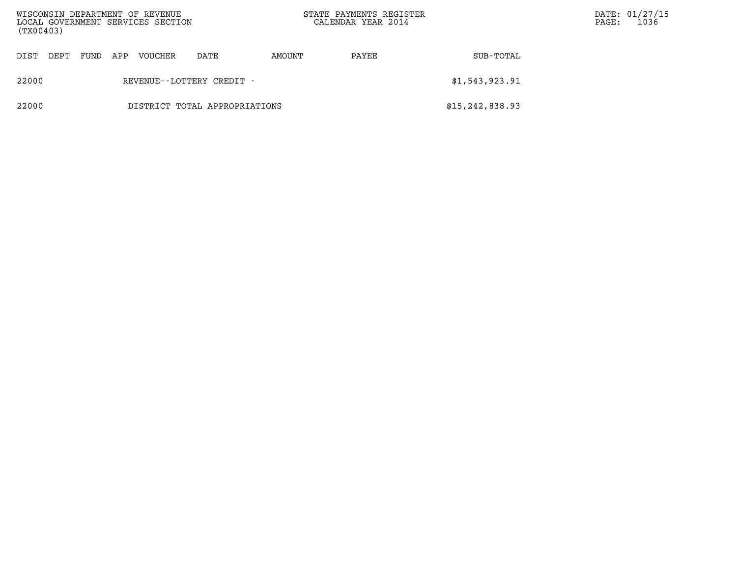| (TX00403) |      |      |     | WISCONSIN DEPARTMENT OF REVENUE<br>LOCAL GOVERNMENT SERVICES SECTION |                               |        | STATE PAYMENTS REGISTER<br>CALENDAR YEAR 2014 |                   | $\mathtt{PAGE}$ : | DATE: 01/27/15<br>1036 |
|-----------|------|------|-----|----------------------------------------------------------------------|-------------------------------|--------|-----------------------------------------------|-------------------|-------------------|------------------------|
| DIST      | DEPT | FUND | APP | VOUCHER                                                              | DATE                          | AMOUNT | PAYEE                                         | SUB-TOTAL         |                   |                        |
| 22000     |      |      |     |                                                                      | REVENUE - - LOTTERY CREDIT -  |        |                                               | \$1,543,923.91    |                   |                        |
| 22000     |      |      |     |                                                                      | DISTRICT TOTAL APPROPRIATIONS |        |                                               | \$15, 242, 838.93 |                   |                        |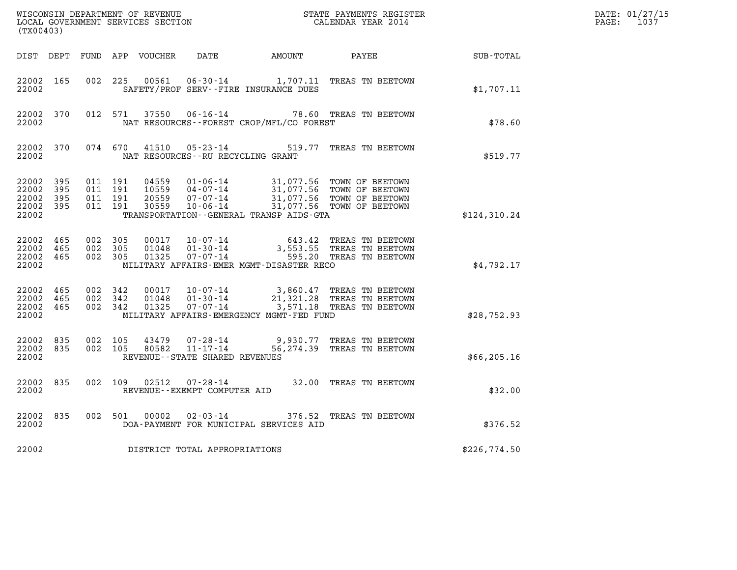| (TX00403)                                         |            |                               |                    |                            |                                                           |                                          | WISCONSIN DEPARTMENT OF REVENUE<br>LOCAL GOVERNMENT SERVICES SECTION<br>CALENDAR YEAR 2014                                                                                                                                                                                                                 |                  | DATE: 01/27/15<br>$\mathtt{PAGE:}$<br>1037 |
|---------------------------------------------------|------------|-------------------------------|--------------------|----------------------------|-----------------------------------------------------------|------------------------------------------|------------------------------------------------------------------------------------------------------------------------------------------------------------------------------------------------------------------------------------------------------------------------------------------------------------|------------------|--------------------------------------------|
|                                                   |            |                               |                    | DIST DEPT FUND APP VOUCHER | DATE                                                      | AMOUNT PAYEE                             |                                                                                                                                                                                                                                                                                                            | <b>SUB-TOTAL</b> |                                            |
| 22002 165<br>22002                                |            | 002 225                       |                    |                            |                                                           | SAFETY/PROF SERV--FIRE INSURANCE DUES    | 00561  06-30-14   1,707.11 TREAS TN BEETOWN                                                                                                                                                                                                                                                                | \$1,707.11       |                                            |
| 22002 370<br>22002                                |            |                               |                    |                            |                                                           | NAT RESOURCES--FOREST CROP/MFL/CO FOREST | 012 571 37550 06-16-14 78.60 TREAS TN BEETOWN                                                                                                                                                                                                                                                              | \$78.60          |                                            |
| 22002 370<br>22002                                |            |                               | 074 670            | 41510                      | $05 - 23 - 14$<br>NAT RESOURCES - - RU RECYCLING GRANT    |                                          | 519.77 TREAS TN BEETOWN                                                                                                                                                                                                                                                                                    | \$519.77         |                                            |
| 22002 395<br>22002<br>22002<br>22002 395<br>22002 | 395<br>395 | 011 191<br>011 191            | 011 191<br>011 191 |                            |                                                           | TRANSPORTATION--GENERAL TRANSP AIDS-GTA  | $\begin{array}{cccc} 04559 & 01\cdot 06\cdot 14 & 31,077.56 & \text{TOWN OF BEETOWN} \\ 10559 & 04\cdot 07\cdot 14 & 31,077.56 & \text{TOWN OF BEETOWN} \\ 20559 & 07\cdot 07\cdot 14 & 31,077.56 & \text{TOWN OF BEETOWN} \\ 30559 & 10\cdot 06\cdot 14 & 31,077.56 & \text{TOWN OF BEETOWN} \end{array}$ | \$124,310.24     |                                            |
| 22002 465<br>22002 465<br>22002 465<br>22002      |            | 002 305<br>002 305<br>002 305 |                    | 00017<br>01048<br>01325    |                                                           | MILITARY AFFAIRS-EMER MGMT-DISASTER RECO | 10-07-14 643.42 TREAS TN BEETOWN<br>01-30-14 3,553.55 TREAS TN BEETOWN<br>07-07-14 595.20 TREAS TN BEETOWN                                                                                                                                                                                                 | \$4,792.17       |                                            |
| 22002 465<br>22002 465<br>22002 465<br>22002      |            | 002 342<br>002 342<br>002 342 |                    | 01048<br>01325             | 00017 10-07-14<br>$01 - 30 - 14$<br>07-07-14              | MILITARY AFFAIRS-EMERGENCY MGMT-FED FUND | 3,860.47 TREAS TN BEETOWN<br>21,321.28 TREAS TN BEETOWN<br>$\frac{1}{3}$ , 571.18 TREAS TN BEETOWN                                                                                                                                                                                                         | \$28,752.93      |                                            |
| 22002 835<br>22002 835<br>22002                   |            | 002 105<br>002 105            |                    | 43479<br>80582             | 07-28-14<br>11-17-14<br>REVENUE - - STATE SHARED REVENUES |                                          | 9,930.77 TREAS TN BEETOWN<br>56,274.39 TREAS TN BEETOWN                                                                                                                                                                                                                                                    | \$66, 205.16     |                                            |
| 22002 835<br>22002                                |            | 002 109                       |                    | 02512                      | REVENUE--EXEMPT COMPUTER AID                              |                                          | 07-28-14 32.00 TREAS TN BEETOWN                                                                                                                                                                                                                                                                            | \$32.00          |                                            |
| 22002 835<br>22002                                |            |                               |                    |                            |                                                           | DOA-PAYMENT FOR MUNICIPAL SERVICES AID   | 002 501 00002 02-03-14 376.52 TREAS TN BEETOWN                                                                                                                                                                                                                                                             | \$376.52         |                                            |
| 22002                                             |            |                               |                    |                            | DISTRICT TOTAL APPROPRIATIONS                             |                                          |                                                                                                                                                                                                                                                                                                            | \$226,774.50     |                                            |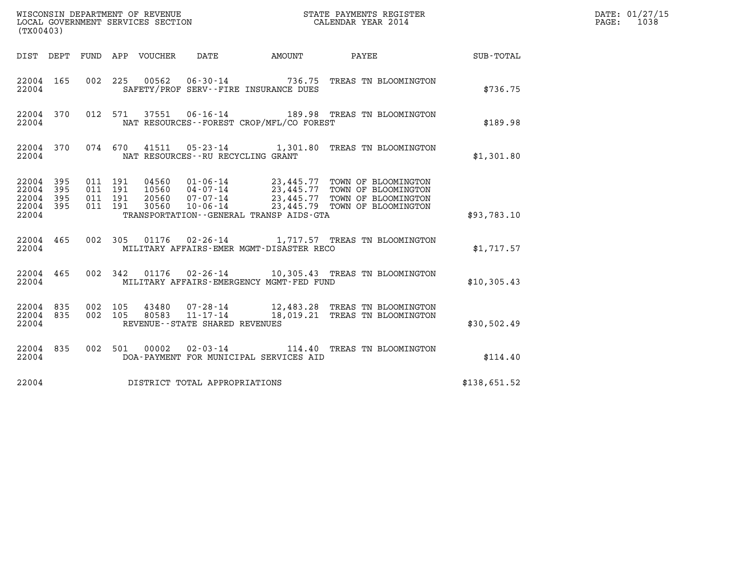| (TX00403)                                                       | WISCONSIN DEPARTMENT OF REVENUE<br>LOCAL GOVERNMENT SERVICES SECTION                                                                                                                                                                                                                   | STATE PAYMENTS REGISTER<br>CALENDAR YEAR 2014 |                      | DATE: 01/27/15<br>$\mathtt{PAGE:}$<br>1038 |
|-----------------------------------------------------------------|----------------------------------------------------------------------------------------------------------------------------------------------------------------------------------------------------------------------------------------------------------------------------------------|-----------------------------------------------|----------------------|--------------------------------------------|
| DIST DEPT FUND APP VOUCHER                                      | DATE<br>AMOUNT                                                                                                                                                                                                                                                                         | PAYEE                                         | $\texttt{SUB-TOTAL}$ |                                            |
| 22004 165<br>22004                                              | 00562<br>002 225<br>SAFETY/PROF SERV--FIRE INSURANCE DUES                                                                                                                                                                                                                              | 06-30-14 736.75 TREAS TN BLOOMINGTON          | \$736.75             |                                            |
| 22004 370<br>22004                                              | 012 571 37551 06-16-14 189.98 TREAS TN BLOOMINGTON<br>NAT RESOURCES--FOREST CROP/MFL/CO FOREST                                                                                                                                                                                         |                                               | \$189.98             |                                            |
| 22004 370<br>22004                                              | 074 670<br>41511  05-23-14   1,301.80  TREAS TN BLOOMINGTON<br>NAT RESOURCES - - RU RECYCLING GRANT                                                                                                                                                                                    |                                               | \$1,301.80           |                                            |
| 22004 395<br>22004<br>395<br>22004<br>395<br>22004 395<br>22004 | 011 191<br>04560  01-06-14  23,445.77  TOWN OF BLOOMINGTON<br>10560 04-07-14 23,445.77 TOWN OF BLOOMINGTON<br>20560 07-07-14 23,445.77 TOWN OF BLOOMINGTON<br>30560 10-06-14 23,445.79 TOWN OF BLOOMINGTON<br>011 191<br>011 191<br>011 191<br>TRANSPORTATION--GENERAL TRANSP AIDS-GTA |                                               | \$93,783.10          |                                            |
| 22004 465<br>22004                                              | 002 305 01176 02-26-14 1,717.57 TREAS TN BLOOMINGTON<br>MILITARY AFFAIRS-EMER MGMT-DISASTER RECO                                                                                                                                                                                       |                                               | \$1,717.57           |                                            |
| 22004 465<br>22004                                              | 002 342 01176 02-26-14 10,305.43 TREAS TN BLOOMINGTON<br>MILITARY AFFAIRS-EMERGENCY MGMT-FED FUND                                                                                                                                                                                      |                                               | \$10,305.43          |                                            |
| 22004 835<br>22004 835<br>22004                                 | 002 105<br>$43480$ 07-28-14 $12,483.28$ TREAS TN BLOOMINGTON 80583   11-17-14 $18,019.21$ TREAS TN BLOOMINGTON<br>002 105<br>REVENUE - - STATE SHARED REVENUES                                                                                                                         |                                               | \$30,502.49          |                                            |
| 22004 835<br>22004                                              | $02 - 03 - 14$<br>002 501<br>00002<br>DOA-PAYMENT FOR MUNICIPAL SERVICES AID                                                                                                                                                                                                           | 114.40 TREAS TN BLOOMINGTON                   | \$114.40             |                                            |
| 22004                                                           | DISTRICT TOTAL APPROPRIATIONS                                                                                                                                                                                                                                                          |                                               | \$138,651.52         |                                            |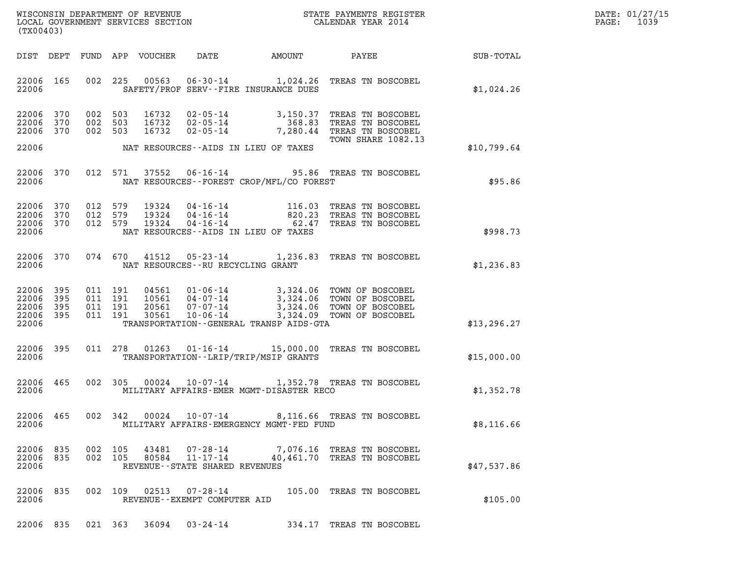| DATE: | 01/27/15 |
|-------|----------|
| PAGE: | 1039     |

| (TX00403)                                             |     |                    |                                          |                  |                                                           |                                             |                                                                                                                                                                     |              | DATE: 01/27/15<br>1039<br>$\mathtt{PAGE}$ : |
|-------------------------------------------------------|-----|--------------------|------------------------------------------|------------------|-----------------------------------------------------------|---------------------------------------------|---------------------------------------------------------------------------------------------------------------------------------------------------------------------|--------------|---------------------------------------------|
| DIST DEPT                                             |     |                    |                                          | FUND APP VOUCHER | DATE                                                      | AMOUNT                                      | <b>PAYEE</b> FOUND THE PAYEE                                                                                                                                        | SUB-TOTAL    |                                             |
| 22006 165<br>22006                                    |     |                    |                                          | 002 225 00563    |                                                           | SAFETY/PROF SERV--FIRE INSURANCE DUES       | 06-30-14 1,024.26 TREAS TN BOSCOBEL                                                                                                                                 | \$1,024.26   |                                             |
| 22006 370<br>22006 370<br>22006 370                   |     | 002 503<br>002 503 | 002 503                                  |                  |                                                           |                                             | 16732 02-05-14 3,150.37 TREAS TN BOSCOBEL<br>16732 02-05-14 368.83 TREAS TN BOSCOBEL<br>16732 02-05-14 7,280.44 TREAS TN BOSCOBEL<br>TOWN SHARE 1082.13             |              |                                             |
| 22006                                                 |     |                    |                                          |                  |                                                           | NAT RESOURCES--AIDS IN LIEU OF TAXES        |                                                                                                                                                                     | \$10,799.64  |                                             |
| 22006 370<br>22006                                    |     |                    |                                          |                  |                                                           | NAT RESOURCES - - FOREST CROP/MFL/CO FOREST | 012 571 37552 06-16-14 95.86 TREAS TN BOSCOBEL                                                                                                                      | \$95.86      |                                             |
| 22006 370<br>22006 370<br>22006 370<br>22006          |     | 012 579<br>012 579 | 012 579                                  |                  |                                                           | NAT RESOURCES--AIDS IN LIEU OF TAXES        | 19324  04-16-14  116.03  TREAS TN BOSCOBEL<br>19324  04-16-14  820.23  TREAS TN BOSCOBEL<br>19324  04-16-14  62.47  TREAS TN BOSCOBEL                               | \$998.73     |                                             |
| 22006 370<br>22006                                    |     |                    |                                          |                  | NAT RESOURCES--RU RECYCLING GRANT                         |                                             | 074 670 41512 05-23-14 1,236.83 TREAS TN BOSCOBEL                                                                                                                   | \$1,236.83   |                                             |
| 22006<br>22006 395<br>22006 395<br>22006 395<br>22006 | 395 |                    | 011 191<br>011 191<br>011 191<br>011 191 |                  | 30561 10-06-14                                            | TRANSPORTATION--GENERAL TRANSP AIDS-GTA     | 04561  01-06-14  3,324.06 TOWN OF BOSCOBEL<br>10561  04-07-14  3,324.06 TOWN OF BOSCOBEL<br>20561  07-07-14  3,324.06 TOWN OF BOSCOBEL<br>3,324.09 TOWN OF BOSCOBEL | \$13, 296.27 |                                             |
| 22006 395<br>22006                                    |     |                    |                                          |                  |                                                           | TRANSPORTATION - - LRIP/TRIP/MSIP GRANTS    | 011  278  01263  01-16-14  15,000.00 TREAS TN BOSCOBEL                                                                                                              | \$15,000.00  |                                             |
| 22006 465<br>22006                                    |     |                    |                                          | 002 305 00024    |                                                           | MILITARY AFFAIRS-EMER MGMT-DISASTER RECO    | 10-07-14 1,352.78 TREAS TN BOSCOBEL                                                                                                                                 | \$1,352.78   |                                             |
| 22006 465<br>22006                                    |     |                    | 002 342                                  | 00024            | 10-07-14                                                  | MILITARY AFFAIRS-EMERGENCY MGMT-FED FUND    | 8,116.66 TREAS TN BOSCOBEL                                                                                                                                          | \$8,116.66   |                                             |
| 22006 835<br>22006 835<br>22006                       |     |                    | 002 105<br>002 105                       | 43481<br>80584   | 07-28-14<br>REVENUE--STATE SHARED REVENUES                |                                             | 7,076.16 TREAS TN BOSCOBEL<br>11-17-14 40,461.70 TREAS TN BOSCOBEL                                                                                                  | \$47,537.86  |                                             |
| 22006 835<br>22006                                    |     |                    |                                          |                  | 002 109 02513 07-28-14<br>REVENUE - - EXEMPT COMPUTER AID |                                             | 105.00 TREAS TN BOSCOBEL                                                                                                                                            | \$105.00     |                                             |

22006 835 021 363 36094 03-24-14 334.17 TREAS TN BOSCOBEL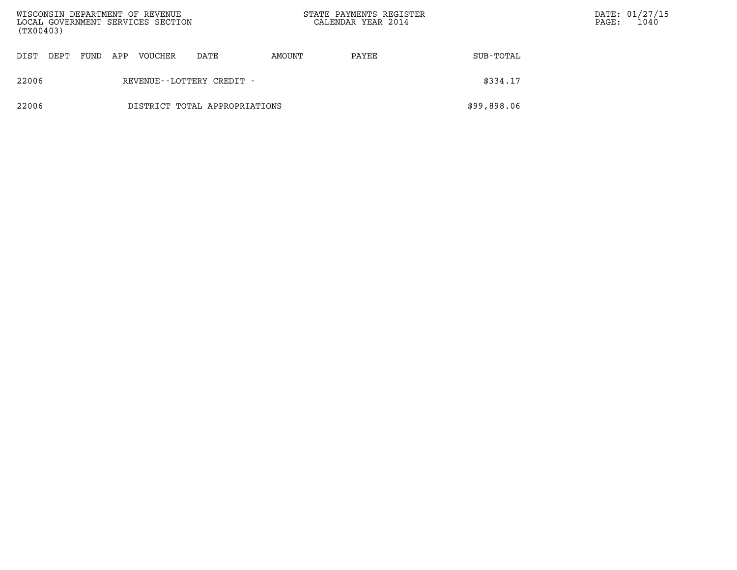| (TX00403) |      |      |     | WISCONSIN DEPARTMENT OF REVENUE<br>LOCAL GOVERNMENT SERVICES SECTION |                               | STATE PAYMENTS REGISTER<br>CALENDAR YEAR 2014 |       |             | PAGE: | DATE: 01/27/15<br>1040 |
|-----------|------|------|-----|----------------------------------------------------------------------|-------------------------------|-----------------------------------------------|-------|-------------|-------|------------------------|
| DIST      | DEPT | FUND | APP | VOUCHER                                                              | DATE                          | AMOUNT                                        | PAYEE | SUB-TOTAL   |       |                        |
| 22006     |      |      |     |                                                                      | REVENUE--LOTTERY CREDIT -     |                                               |       | \$334.17    |       |                        |
| 22006     |      |      |     |                                                                      | DISTRICT TOTAL APPROPRIATIONS |                                               |       | \$99,898.06 |       |                        |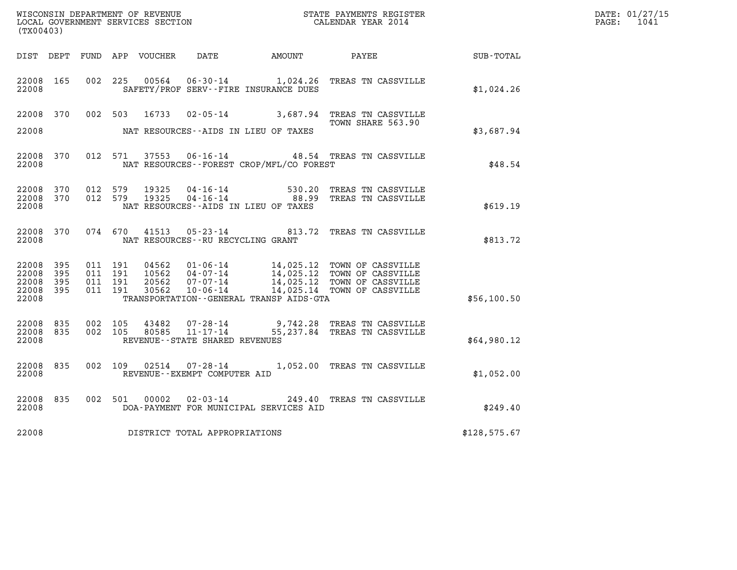| (TX00403)                                             |     |                                          |         |                                  |                                   |                                              | WISCONSIN DEPARTMENT OF REVENUE<br>LOCAL GOVERNMENT SERVICES SECTION<br>CALENDAR YEAR 2014                                                                                                                                                   |                  | DATE: 01/27/15<br>PAGE: 1041 |
|-------------------------------------------------------|-----|------------------------------------------|---------|----------------------------------|-----------------------------------|----------------------------------------------|----------------------------------------------------------------------------------------------------------------------------------------------------------------------------------------------------------------------------------------------|------------------|------------------------------|
|                                                       |     |                                          |         |                                  |                                   | DIST DEPT FUND APP VOUCHER DATE AMOUNT PAYEE |                                                                                                                                                                                                                                              | <b>SUB-TOTAL</b> |                              |
| 22008 165<br>22008                                    |     |                                          | 002 225 |                                  |                                   | SAFETY/PROF SERV--FIRE INSURANCE DUES        | 00564  06-30-14   1,024.26   TREAS TN CASSVILLE                                                                                                                                                                                              | \$1,024.26       |                              |
| 22008                                                 |     |                                          |         |                                  |                                   | NAT RESOURCES--AIDS IN LIEU OF TAXES         | 22008 370 002 503 16733 02-05-14 3,687.94 TREAS TN CASSVILLE<br>TOWN SHARE 563.90                                                                                                                                                            | \$3,687.94       |                              |
| 22008 370<br>22008                                    |     |                                          |         |                                  |                                   | NAT RESOURCES--FOREST CROP/MFL/CO FOREST     | 012 571 37553 06-16-14 48.54 TREAS TN CASSVILLE                                                                                                                                                                                              | \$48.54          |                              |
| 22008 370<br>22008 370<br>22008                       |     |                                          |         |                                  |                                   | NAT RESOURCES--AIDS IN LIEU OF TAXES         | 012 579 19325 04-16-14 530.20 TREAS TN CASSVILLE<br>012 579 19325 04-16-14 88.99 TREAS TN CASSVILLE                                                                                                                                          | \$619.19         |                              |
| 22008                                                 |     |                                          |         |                                  | NAT RESOURCES--RU RECYCLING GRANT |                                              | 22008 370 074 670 41513 05-23-14 813.72 TREAS TN CASSVILLE                                                                                                                                                                                   | \$813.72         |                              |
| 22008 395<br>22008<br>22008 395<br>22008 395<br>22008 | 395 | 011 191<br>011 191<br>011 191<br>011 191 |         | 04562<br>10562<br>20562<br>30562 |                                   | TRANSPORTATION - - GENERAL TRANSP AIDS - GTA | $\begin{tabular}{c c c c c c c c c} \hline 01-06-14 & 14,025.12 & TOWN OF CASVILLE \\ 04-07-14 & 14,025.12 & TOWN OF CASVILLE \\ 07-07-14 & 14,025.12 & TOWN OF CASVILLE \\ 10-06-14 & 14,025.14 & TOWN OF CASVILLE \\ \hline \end{tabular}$ | \$56,100.50      |                              |
| 22008 835<br>22008 835<br>22008                       |     | 002 105                                  | 002 105 |                                  | REVENUE--STATE SHARED REVENUES    |                                              | $43482$ $07 - 28 - 14$ 9,742.28 TREAS TN CASSVILLE<br>80585 11-17-14 55,237.84 TREAS TN CASSVILLE                                                                                                                                            | \$64,980.12      |                              |
| 22008 835<br>22008                                    |     |                                          |         |                                  | REVENUE--EXEMPT COMPUTER AID      |                                              | 002 109 02514 07-28-14 1,052.00 TREAS TN CASSVILLE                                                                                                                                                                                           | \$1,052.00       |                              |
| 22008 835<br>22008                                    |     |                                          |         |                                  |                                   | DOA-PAYMENT FOR MUNICIPAL SERVICES AID       | 002 501 00002 02-03-14 249.40 TREAS TN CASSVILLE                                                                                                                                                                                             | \$249.40         |                              |
| 22008                                                 |     |                                          |         |                                  | DISTRICT TOTAL APPROPRIATIONS     |                                              |                                                                                                                                                                                                                                              | \$128,575.67     |                              |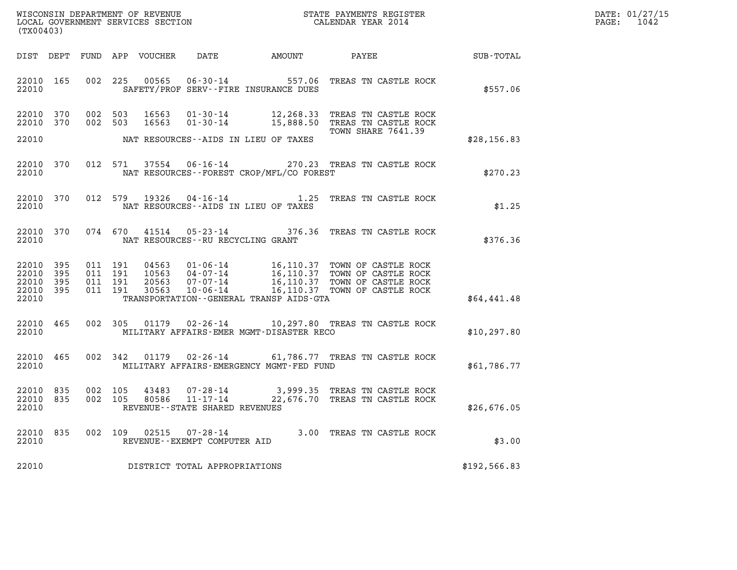| WISCONSIN DEPARTMENT OF REVENUE   | STATE PAYMENTS REGISTER | DATE: 01/27/15 |
|-----------------------------------|-------------------------|----------------|
| LOCAL GOVERNMENT SERVICES SECTION | CALENDAR YEAR 2014      | 1042<br>PAGE:  |

| (TX00403)                                                             |                                                                                                                                                                                                             |                                                                                                                                              |                  |
|-----------------------------------------------------------------------|-------------------------------------------------------------------------------------------------------------------------------------------------------------------------------------------------------------|----------------------------------------------------------------------------------------------------------------------------------------------|------------------|
| DIST<br>DEPT<br>FUND                                                  | APP<br><b>VOUCHER</b><br>DATE                                                                                                                                                                               | PAYEE<br>AMOUNT                                                                                                                              | <b>SUB-TOTAL</b> |
| 165<br>22010<br>22010                                                 | 002<br>225<br>00565<br>$06 - 30 - 14$<br>SAFETY/PROF SERV--FIRE INSURANCE DUES                                                                                                                              | 557.06<br>TREAS TN CASTLE ROCK                                                                                                               | \$557.06         |
| 22010<br>370<br>370<br>22010<br>22010                                 | 002<br>503<br>16563<br>$01 - 30 - 14$<br>002<br>503<br>16563<br>$01 - 30 - 14$<br>NAT RESOURCES--AIDS IN LIEU OF TAXES                                                                                      | 12,268.33<br>TREAS TN CASTLE ROCK<br>15,888.50<br>TREAS TN CASTLE ROCK<br><b>TOWN SHARE 7641.39</b>                                          | \$28,156.83      |
| 370<br>22010<br>22010                                                 | 012<br>571<br>37554<br>$06 - 16 - 14$<br>NAT RESOURCES - - FOREST CROP/MFL/CO FOREST                                                                                                                        | 270.23 TREAS TN CASTLE ROCK                                                                                                                  | \$270.23         |
| 22010<br>370<br>22010                                                 | 012<br>19326<br>579<br>$04 - 16 - 14$<br>NAT RESOURCES -- AIDS IN LIEU OF TAXES                                                                                                                             | 1.25<br>TREAS TN CASTLE ROCK                                                                                                                 | \$1.25           |
| 370<br>22010<br>22010                                                 | 074<br>670<br>41514<br>$05 - 23 - 14$<br>NAT RESOURCES -- RU RECYCLING GRANT                                                                                                                                | 376.36<br>TREAS TN CASTLE ROCK                                                                                                               | \$376.36         |
| 22010<br>395<br>22010<br>395<br>22010<br>395<br>22010<br>395<br>22010 | 011<br>191<br>04563<br>$01 - 06 - 14$<br>011<br>191<br>10563<br>$04 - 07 - 14$<br>011<br>191<br>20563<br>$07 - 07 - 14$<br>011<br>191<br>30563<br>$10 - 06 - 14$<br>TRANSPORTATION--GENERAL TRANSP AIDS-GTA | 16,110.37<br>TOWN OF CASTLE ROCK<br>16,110.37<br>TOWN OF CASTLE ROCK<br>16,110.37<br>TOWN OF CASTLE ROCK<br>16,110.37<br>TOWN OF CASTLE ROCK | \$64,441.48      |
| 22010<br>465<br>22010                                                 | 002<br>305<br>01179<br>$02 - 26 - 14$<br>MILITARY AFFAIRS-EMER MGMT-DISASTER RECO                                                                                                                           | 10,297.80 TREAS TN CASTLE ROCK                                                                                                               | \$10, 297.80     |
| 465<br>22010<br>22010                                                 | 002<br>342<br>01179<br>$02 - 26 - 14$<br>MILITARY AFFAIRS-EMERGENCY MGMT-FED FUND                                                                                                                           | 61,786.77 TREAS TN CASTLE ROCK                                                                                                               | \$61,786.77      |
| 22010<br>835<br>22010<br>835<br>22010                                 | 002<br>105<br>43483<br>$07 - 28 - 14$<br>002<br>105<br>80586<br>$11 - 17 - 14$<br>REVENUE--STATE SHARED REVENUES                                                                                            | 3,999.35<br>TREAS TN CASTLE ROCK<br>22,676.70<br>TREAS TN CASTLE ROCK                                                                        | \$26,676.05      |
| 835<br>22010<br>22010                                                 | 002<br>109<br>02515<br>$07 - 28 - 14$<br>REVENUE - - EXEMPT COMPUTER AID                                                                                                                                    | 3.00<br>TREAS TN CASTLE ROCK                                                                                                                 | \$3.00           |
| 22010                                                                 | DISTRICT TOTAL APPROPRIATIONS                                                                                                                                                                               |                                                                                                                                              | \$192,566.83     |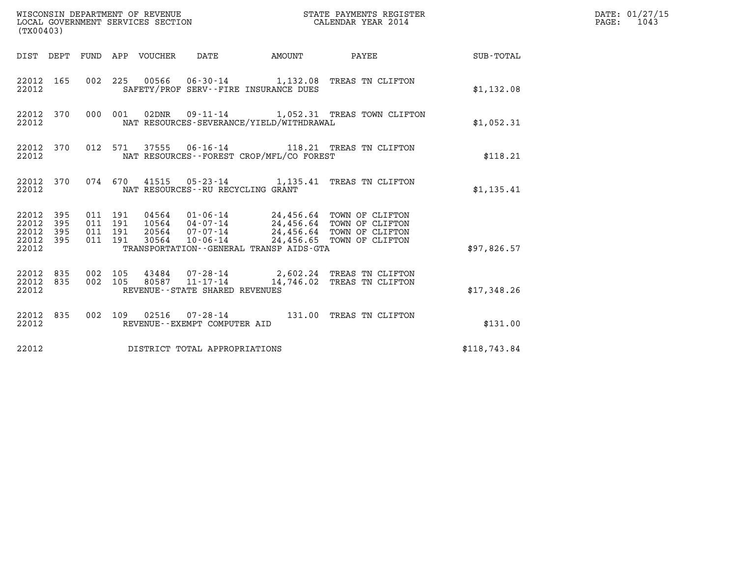| (TX00403)                                                                                                   | WISCONSIN DEPARTMENT OF REVENUE<br>LOCAL GOVERNMENT SERVICES SECTION                                                                                                                                      |                           | STATE PAYMENTS REGISTER<br>CALENDAR YEAR 2014 |              | DATE: 01/27/15<br>$\mathtt{PAGE:}$<br>1043 |
|-------------------------------------------------------------------------------------------------------------|-----------------------------------------------------------------------------------------------------------------------------------------------------------------------------------------------------------|---------------------------|-----------------------------------------------|--------------|--------------------------------------------|
| DIST DEPT FUND APP VOUCHER DATE                                                                             |                                                                                                                                                                                                           | <b>EXAMPLE THE AMOUNT</b> | PAYEE                                         | SUB-TOTAL    |                                            |
| 22012 165<br>22012                                                                                          | 002 225 00566 06-30-14 1,132.08 TREAS TN CLIFTON<br>SAFETY/PROF SERV--FIRE INSURANCE DUES                                                                                                                 |                           |                                               | \$1,132.08   |                                            |
| 22012 370<br>000 001<br>22012                                                                               | 02DNR  09-11-14  1,052.31 TREAS TOWN CLIFTON<br>NAT RESOURCES-SEVERANCE/YIELD/WITHDRAWAL                                                                                                                  |                           |                                               | \$1,052.31   |                                            |
| 22012 370<br>012 571<br>22012                                                                               | 37555   06-16-14   118.21   TREAS TN CLIFTON<br>NAT RESOURCES--FOREST CROP/MFL/CO FOREST                                                                                                                  |                           |                                               | \$118.21     |                                            |
| 22012 370<br>22012                                                                                          | 074 670 41515 05-23-14 1,135.41 TREAS TN CLIFTON<br>NAT RESOURCES - - RU RECYCLING GRANT                                                                                                                  |                           |                                               | \$1,135.41   |                                            |
| 22012 395<br>011 191<br>22012<br>011 191<br>395<br>011 191<br>22012<br>395<br>22012 395<br>011 191<br>22012 | 04564 01-06-14 24,456.64 TOWN OF CLIFTON<br>10564  04-07-14  24,456.64  TOWN OF CLIFTON<br>20564 07-07-14 24,456.64 TOWN OF CLIFTON<br>$10 - 06 - 14$<br>30564<br>TRANSPORTATION--GENERAL TRANSP AIDS-GTA |                           | 24,456.65 TOWN OF CLIFTON                     | \$97,826.57  |                                            |
| 22012 835<br>002 105<br>835<br>002 105<br>22012<br>22012                                                    | 43484  07-28-14  2,602.24 TREAS TN CLIFTON<br>80587<br>$11 - 17 - 14$<br>REVENUE--STATE SHARED REVENUES                                                                                                   |                           | 14,746.02 TREAS TN CLIFTON                    | \$17,348.26  |                                            |
| 22012 835<br>22012                                                                                          | 002 109 02516 07-28-14<br>REVENUE--EXEMPT COMPUTER AID                                                                                                                                                    |                           | 131.00 TREAS TN CLIFTON                       | \$131.00     |                                            |
| 22012                                                                                                       | DISTRICT TOTAL APPROPRIATIONS                                                                                                                                                                             |                           |                                               | \$118,743.84 |                                            |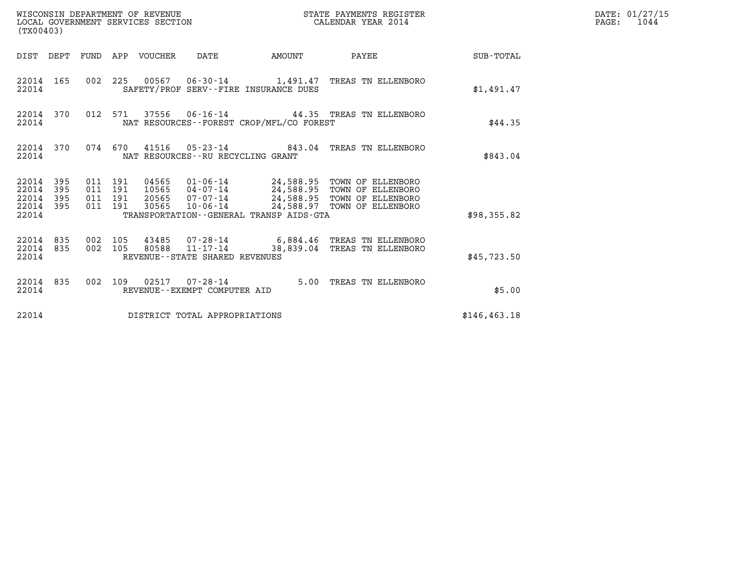| (TX00403)                                         |            |                                          |         | WISCONSIN DEPARTMENT OF REVENUE<br>LOCAL GOVERNMENT SERVICES SECTION |                                                        |                                          | STATE PAYMENTS REGISTER<br>CALENDAR YEAR 2014                                                                                                                                        |                 | DATE: 01/27/15<br>$\mathtt{PAGE:}$<br>1044 |
|---------------------------------------------------|------------|------------------------------------------|---------|----------------------------------------------------------------------|--------------------------------------------------------|------------------------------------------|--------------------------------------------------------------------------------------------------------------------------------------------------------------------------------------|-----------------|--------------------------------------------|
|                                                   |            |                                          |         | DIST DEPT FUND APP VOUCHER DATE                                      |                                                        | AMOUNT                                   |                                                                                                                                                                                      | PAYEE SUB-TOTAL |                                            |
| 22014                                             | 22014 165  |                                          |         |                                                                      |                                                        | SAFETY/PROF SERV--FIRE INSURANCE DUES    | 002 225 00567 06-30-14 1,491.47 TREAS TN ELLENBORO                                                                                                                                   | \$1,491.47      |                                            |
| 22014                                             | 22014 370  |                                          | 012 571 |                                                                      |                                                        | NAT RESOURCES--FOREST CROP/MFL/CO FOREST | $37556$ 06-16-14 44.35 TREAS TN ELLENBORO                                                                                                                                            | \$44.35         |                                            |
| 22014                                             | 22014 370  |                                          |         |                                                                      | NAT RESOURCES - - RU RECYCLING GRANT                   |                                          | 074 670 41516 05-23-14 843.04 TREAS TN ELLENBORO                                                                                                                                     | \$843.04        |                                            |
| 22014 395<br>22014<br>22014<br>22014 395<br>22014 | 395<br>395 | 011 191<br>011 191<br>011 191<br>011 191 |         | 30565                                                                |                                                        | TRANSPORTATION--GENERAL TRANSP AIDS-GTA  | 04565  01-06-14  24,588.95  TOWN OF ELLENBORO<br>10565  04-07-14  24,588.95  TOWN OF ELLENBORO<br>20565 07-07-14 24,588.95 TOWN OF ELLENBORO<br>10-06-14 24,588.97 TOWN OF ELLENBORO | \$98,355.82     |                                            |
| 22014 835<br>22014 835<br>22014                   |            | 002 105<br>002 105                       |         | 80588                                                                | $11 - 17 - 14$<br>REVENUE--STATE SHARED REVENUES       |                                          | 43485 07-28-14 6,884.46 TREAS TN ELLENBORO<br>38,839.04 TREAS TN ELLENBORO                                                                                                           | \$45,723.50     |                                            |
| 22014                                             | 22014 835  |                                          |         |                                                                      | 002 109 02517 07-28-14<br>REVENUE--EXEMPT COMPUTER AID |                                          | 5.00 TREAS TN ELLENBORO                                                                                                                                                              | \$5.00          |                                            |
| 22014                                             |            |                                          |         |                                                                      | DISTRICT TOTAL APPROPRIATIONS                          |                                          |                                                                                                                                                                                      | \$146, 463.18   |                                            |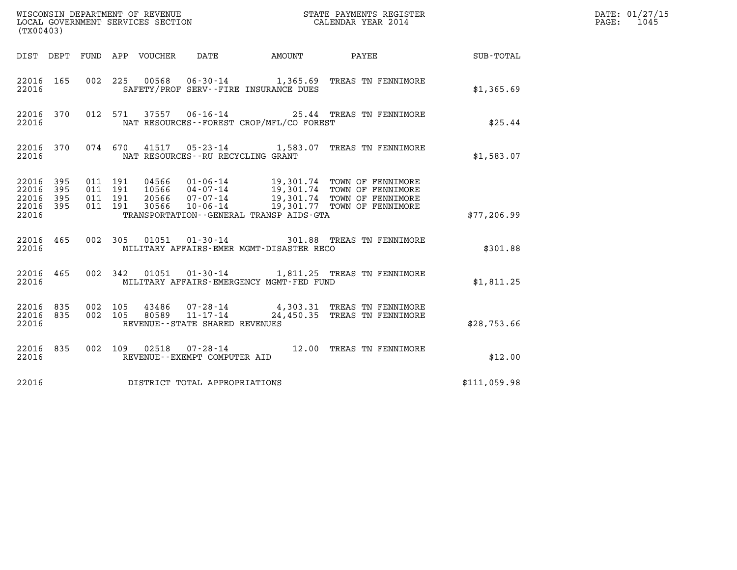| (TX00403)                                         |            |                                          |                                 |                                     |                                          |                                                                                                                                                                                                  |                        | DATE: 01/27/15<br>$\mathtt{PAGE:}$<br>1045 |
|---------------------------------------------------|------------|------------------------------------------|---------------------------------|-------------------------------------|------------------------------------------|--------------------------------------------------------------------------------------------------------------------------------------------------------------------------------------------------|------------------------|--------------------------------------------|
|                                                   |            |                                          | DIST DEPT FUND APP VOUCHER DATE |                                     |                                          |                                                                                                                                                                                                  | AMOUNT PAYEE SUB-TOTAL |                                            |
| 22016 165<br>22016                                |            |                                          |                                 |                                     | SAFETY/PROF SERV--FIRE INSURANCE DUES    | 002 225 00568 06-30-14 1,365.69 TREAS TN FENNIMORE                                                                                                                                               | \$1,365.69             |                                            |
| 22016 370<br>22016                                |            |                                          |                                 |                                     | NAT RESOURCES--FOREST CROP/MFL/CO FOREST | 012 571 37557 06-16-14 25.44 TREAS TN FENNIMORE                                                                                                                                                  | \$25.44                |                                            |
| 22016 370<br>22016                                |            |                                          |                                 | NAT RESOURCES -- RU RECYCLING GRANT |                                          | 074 670 41517 05-23-14 1,583.07 TREAS TN FENNIMORE                                                                                                                                               | \$1,583.07             |                                            |
| 22016 395<br>22016<br>22016<br>22016 395<br>22016 | 395<br>395 | 011 191<br>011 191<br>011 191<br>011 191 |                                 |                                     | TRANSPORTATION--GENERAL TRANSP AIDS-GTA  | 04566  01-06-14  19,301.74  TOWN OF FENNIMORE<br>10566  04-07-14  19,301.74  TOWN OF FENNIMORE<br>20566  07-07-14  19,301.74  TOWN OF FENNIMORE<br>30566  10-06-14  19,301.77  TOWN OF FENNIMORE | \$77,206.99            |                                            |
| 22016 465<br>22016                                |            |                                          |                                 |                                     | MILITARY AFFAIRS-EMER MGMT-DISASTER RECO | 002 305 01051 01-30-14 301.88 TREAS TN FENNIMORE                                                                                                                                                 | \$301.88               |                                            |
| 22016 465<br>22016                                |            |                                          |                                 |                                     | MILITARY AFFAIRS-EMERGENCY MGMT-FED FUND | 002 342 01051 01-30-14 1,811.25 TREAS TN FENNIMORE                                                                                                                                               | \$1,811.25             |                                            |
| 22016 835<br>22016 835<br>22016                   |            | 002 105<br>002 105                       |                                 | REVENUE - - STATE SHARED REVENUES   |                                          | 43486  07-28-14  4,303.31 TREAS TN FENNIMORE<br>80589  11-17-14  24,450.35 TREAS TN FENNIMORE                                                                                                    | \$28,753.66            |                                            |
| 22016 835<br>22016                                |            |                                          |                                 | REVENUE--EXEMPT COMPUTER AID        |                                          | 002 109 02518 07-28-14 12.00 TREAS TN FENNIMORE                                                                                                                                                  | \$12.00                |                                            |
| 22016                                             |            |                                          |                                 | DISTRICT TOTAL APPROPRIATIONS       |                                          |                                                                                                                                                                                                  | \$111,059.98           |                                            |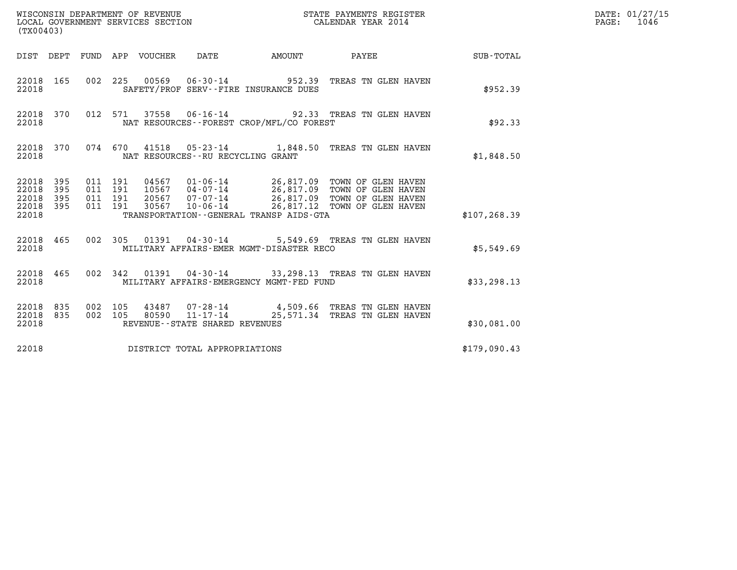| (TX00403)                                                       |                                          |                                          |        | STATE PAYMENTS REGISTER                                                                                                                                                                           |                  | DATE: 01/27/15<br>$\mathtt{PAGE:}$<br>1046 |
|-----------------------------------------------------------------|------------------------------------------|------------------------------------------|--------|---------------------------------------------------------------------------------------------------------------------------------------------------------------------------------------------------|------------------|--------------------------------------------|
| DIST DEPT FUND APP VOUCHER DATE                                 |                                          |                                          | AMOUNT | PAYEE                                                                                                                                                                                             | <b>SUB-TOTAL</b> |                                            |
| 22018 165<br>22018                                              |                                          | SAFETY/PROF SERV--FIRE INSURANCE DUES    |        | 002 225 00569 06-30-14 952.39 TREAS TN GLEN HAVEN                                                                                                                                                 | \$952.39         |                                            |
| 22018 370<br>22018                                              |                                          | NAT RESOURCES--FOREST CROP/MFL/CO FOREST |        | 012 571 37558 06-16-14 92.33 TREAS TN GLEN HAVEN                                                                                                                                                  | \$92.33          |                                            |
| 22018 370<br>22018                                              |                                          | NAT RESOURCES--RU RECYCLING GRANT        |        | 074 670 41518 05-23-14 1,848.50 TREAS TN GLEN HAVEN                                                                                                                                               | \$1,848.50       |                                            |
| 22018 395<br>22018<br>395<br>22018<br>395<br>22018 395<br>22018 | 011 191<br>011 191<br>011 191<br>011 191 | TRANSPORTATION--GENERAL TRANSP AIDS-GTA  |        | 04567  01-06-14  26,817.09  TOWN OF GLEN HAVEN<br>10567  04-07-14  26,817.09  TOWN OF GLEN HAVEN<br>20567  07-07-14  26,817.09  TOWN OF GLEN HAVEN<br>30567 10-06-14 26,817.12 TOWN OF GLEN HAVEN | \$107, 268.39    |                                            |
| 22018 465<br>22018                                              |                                          | MILITARY AFFAIRS-EMER MGMT-DISASTER RECO |        | 002 305 01391 04-30-14 5,549.69 TREAS TN GLEN HAVEN                                                                                                                                               | \$5,549.69       |                                            |
| 22018 465<br>22018                                              | 002 342                                  | MILITARY AFFAIRS-EMERGENCY MGMT-FED FUND |        | 01391  04-30-14  33,298.13  TREAS TN GLEN HAVEN                                                                                                                                                   | \$33, 298.13     |                                            |
| 22018 835<br>22018 835<br>22018                                 | 002 105                                  | REVENUE - - STATE SHARED REVENUES        |        | 43487 07-28-14 4,509.66 TREAS TN GLEN HAVEN<br>002 105 80590 11-17-14 25,571.34 TREAS TN GLEN HAVEN                                                                                               | \$30,081.00      |                                            |
| 22018                                                           |                                          | DISTRICT TOTAL APPROPRIATIONS            |        |                                                                                                                                                                                                   | \$179,090.43     |                                            |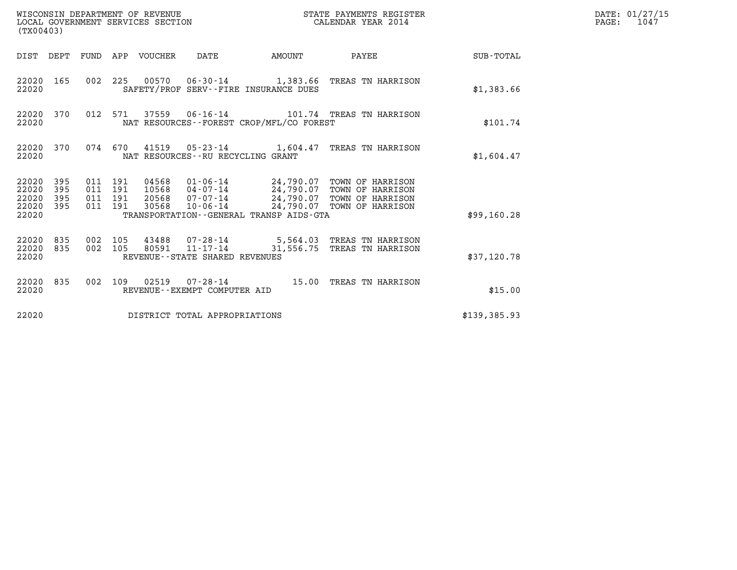| (TX00403)                                         |            |                                          | WISCONSIN DEPARTMENT OF REVENUE<br>LOCAL GOVERNMENT SERVICES SECTION |                                                  |                                              | STATE PAYMENTS REGISTER<br>CALENDAR YEAR 2014                                                                                                                                       |              | DATE: 01/27/15<br>$\mathtt{PAGE:}$<br>1047 |
|---------------------------------------------------|------------|------------------------------------------|----------------------------------------------------------------------|--------------------------------------------------|----------------------------------------------|-------------------------------------------------------------------------------------------------------------------------------------------------------------------------------------|--------------|--------------------------------------------|
|                                                   |            |                                          | DIST DEPT FUND APP VOUCHER DATE                                      |                                                  | AMOUNT                                       | PAYEE SUB-TOTAL                                                                                                                                                                     |              |                                            |
| 22020 165<br>22020                                |            |                                          |                                                                      |                                                  | SAFETY/PROF SERV--FIRE INSURANCE DUES        | 002 225 00570 06-30-14 1,383.66 TREAS TN HARRISON                                                                                                                                   | \$1,383.66   |                                            |
| 22020                                             | 22020 370  |                                          |                                                                      |                                                  | NAT RESOURCES - - FOREST CROP/MFL/CO FOREST  | 012 571 37559 06-16-14 101.74 TREAS TN HARRISON                                                                                                                                     | \$101.74     |                                            |
| 22020                                             | 22020 370  |                                          |                                                                      | NAT RESOURCES - - RU RECYCLING GRANT             |                                              | 074 670 41519 05-23-14 1,604.47 TREAS TN HARRISON                                                                                                                                   | \$1,604.47   |                                            |
| 22020 395<br>22020<br>22020<br>22020 395<br>22020 | 395<br>395 | 011 191<br>011 191<br>011 191<br>011 191 | 30568                                                                |                                                  | TRANSPORTATION - - GENERAL TRANSP AIDS - GTA | 04568  01-06-14  24,790.07  TOWN OF HARRISON<br>10568  04-07-14  24,790.07  TOWN OF HARRISON<br>20568  07-07-14  24,790.07  TOWN OF HARRISON<br>10-06-14 24,790.07 TOWN OF HARRISON | \$99,160.28  |                                            |
| 22020 835<br>22020 835<br>22020                   |            | 002 105<br>002 105                       |                                                                      | 80591 11-17-14<br>REVENUE--STATE SHARED REVENUES |                                              | 43488  07-28-14  5,564.03  TREAS TN HARRISON<br>31,556.75 TREAS TN HARRISON                                                                                                         | \$37,120.78  |                                            |
| 22020                                             | 22020 835  |                                          |                                                                      | REVENUE--EXEMPT COMPUTER AID                     |                                              | 002 109 02519 07-28-14 15.00 TREAS TN HARRISON                                                                                                                                      | \$15.00      |                                            |
| 22020                                             |            |                                          |                                                                      | DISTRICT TOTAL APPROPRIATIONS                    |                                              |                                                                                                                                                                                     | \$139,385.93 |                                            |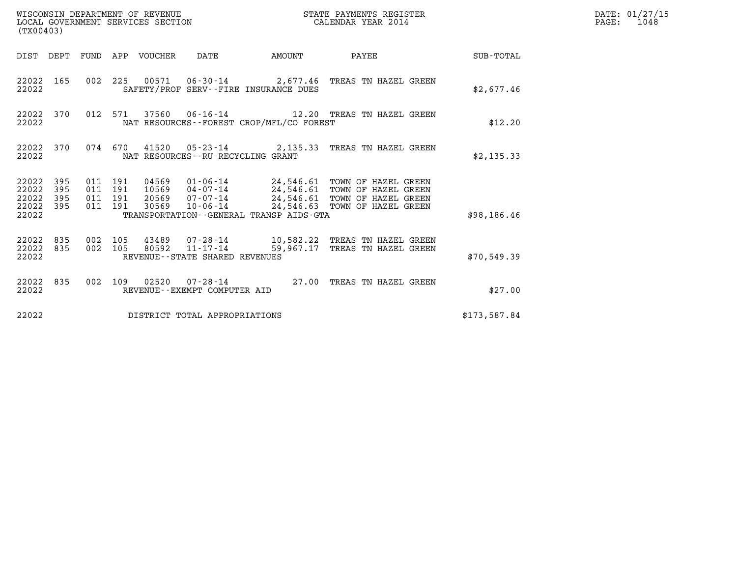| (TX00403)                                                    | WISCONSIN DEPARTMENT OF REVENUE<br>LOCAL GOVERNMENT SERVICES SECTION                                                                                                                                                                                                                                          | STATE PAYMENTS REGISTER<br>CALENDAR YEAR 2014 | DATE: 01/27/15<br>$\mathtt{PAGE:}$<br>1048 |
|--------------------------------------------------------------|---------------------------------------------------------------------------------------------------------------------------------------------------------------------------------------------------------------------------------------------------------------------------------------------------------------|-----------------------------------------------|--------------------------------------------|
|                                                              | DIST DEPT FUND APP VOUCHER DATE<br>AMOUNT                                                                                                                                                                                                                                                                     | PAYEE SUB-TOTAL                               |                                            |
| 22022 165<br>22022                                           | 002 225 00571 06-30-14 2,677.46 TREAS TN HAZEL GREEN<br>SAFETY/PROF SERV--FIRE INSURANCE DUES                                                                                                                                                                                                                 | \$2,677.46                                    |                                            |
| 22022 370<br>22022                                           | 012 571<br>NAT RESOURCES--FOREST CROP/MFL/CO FOREST                                                                                                                                                                                                                                                           | \$12.20                                       |                                            |
| 22022 370<br>22022                                           | 074 670 41520 05-23-14 2,135.33 TREAS TN HAZEL GREEN<br>NAT RESOURCES - - RU RECYCLING GRANT                                                                                                                                                                                                                  | \$2,135.33                                    |                                            |
| 22022 395<br>22022<br>395<br>22022 395<br>22022 395<br>22022 | 011 191<br>04569   01-06-14   24,546.61   TOWN OF HAZEL GREEN<br>10569   04-07-14   24,546.61   TOWN OF HAZEL GREEN<br>20569   07-07-14   24,546.61   TOWN OF HAZEL GREEN<br>011 191<br>011 191<br>30569  10-06-14  24,546.63  TOWN OF HAZEL GREEN<br>011 191<br>TRANSPORTATION - - GENERAL TRANSP AIDS - GTA | \$98,186.46                                   |                                            |
| 22022 835<br>22022 835<br>22022                              | 002 105<br>002 105<br>REVENUE--STATE SHARED REVENUES                                                                                                                                                                                                                                                          | \$70,549.39                                   |                                            |
| 22022 835<br>22022                                           | 002 109 02520 07-28-14 27.00 TREAS TN HAZEL GREEN<br>REVENUE--EXEMPT COMPUTER AID                                                                                                                                                                                                                             | \$27.00                                       |                                            |
| 22022                                                        | DISTRICT TOTAL APPROPRIATIONS                                                                                                                                                                                                                                                                                 | \$173,587.84                                  |                                            |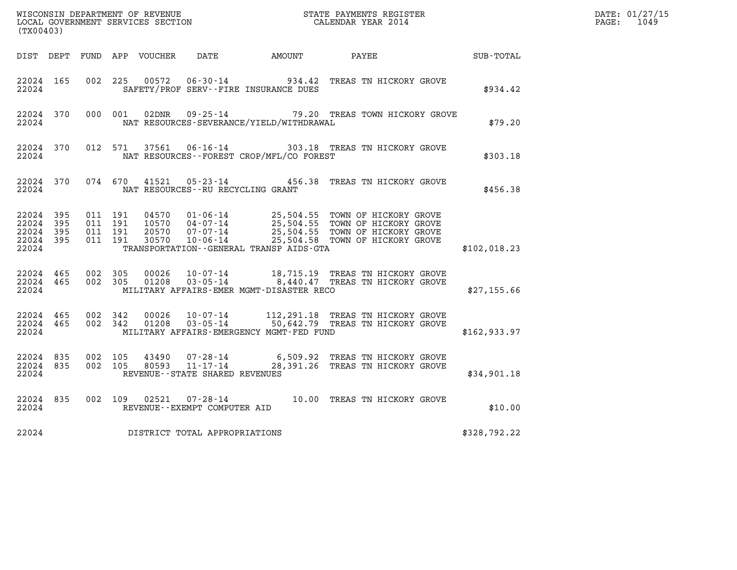| (TX00403)                                                 |                        |                               |         |                |                                   |                                              |                                                                                                                                                                                                                  |              | DATE: 01/27/15<br>$\mathtt{PAGE:}$<br>1049 |
|-----------------------------------------------------------|------------------------|-------------------------------|---------|----------------|-----------------------------------|----------------------------------------------|------------------------------------------------------------------------------------------------------------------------------------------------------------------------------------------------------------------|--------------|--------------------------------------------|
|                                                           |                        |                               |         |                |                                   | DIST DEPT FUND APP VOUCHER DATE AMOUNT PAYEE | <b>SUB-TOTAL</b>                                                                                                                                                                                                 |              |                                            |
| 22024 165<br>22024                                        |                        | 002 225                       |         | 00572          |                                   | SAFETY/PROF SERV--FIRE INSURANCE DUES        | 06-30-14 934.42 TREAS TN HICKORY GROVE                                                                                                                                                                           | \$934.42     |                                            |
| 22024                                                     | 22024 370              |                               | 000 001 |                |                                   | NAT RESOURCES-SEVERANCE/YIELD/WITHDRAWAL     | 02DNR  09-25-14  79.20 TREAS TOWN HICKORY GROVE                                                                                                                                                                  | \$79.20      |                                            |
| 22024                                                     | 22024 370              |                               | 012 571 |                |                                   | NAT RESOURCES - - FOREST CROP/MFL/CO FOREST  | 37561  06-16-14  303.18  TREAS TN HICKORY GROVE                                                                                                                                                                  | \$303.18     |                                            |
| 22024                                                     |                        |                               |         |                | NAT RESOURCES--RU RECYCLING GRANT |                                              | 22024 370 074 670 41521 05-23-14 456.38 TREAS TN HICKORY GROVE                                                                                                                                                   | \$456.38     |                                            |
| 22024 395<br>22024 395<br>22024 395<br>22024 395<br>22024 |                        | 011 191<br>011 191<br>011 191 | 011 191 | 30570          |                                   | TRANSPORTATION--GENERAL TRANSP AIDS-GTA      | 04570   01-06-14   25,504.55   TOWN OF HICKORY GROVE<br>10570   04-07-14   25,504.55   TOWN OF HICKORY GROVE<br>20570   07-07-14   25,504.55   TOWN OF HICKORY GROVE<br>10-06-14 25,504.58 TOWN OF HICKORY GROVE | \$102,018.23 |                                            |
| 22024                                                     | 22024 465              | 22024 465 002 305<br>002 305  |         | 00026          |                                   | MILITARY AFFAIRS-EMER MGMT-DISASTER RECO     | 10-07-14 18,715.19 TREAS TN HICKORY GROVE<br>01208  03-05-14  8,440.47  TREAS TN HICKORY GROVE                                                                                                                   | \$27,155.66  |                                            |
| 22024                                                     | 22024 465<br>22024 465 | 002 342<br>002 342            |         | 00026<br>01208 | 03-05-14                          | MILITARY AFFAIRS-EMERGENCY MGMT-FED FUND     | 10-07-14 112,291.18 TREAS TN HICKORY GROVE<br>50,642.79 TREAS TN HICKORY GROVE                                                                                                                                   | \$162,933.97 |                                            |
| 22024 835                                                 | 22024 835<br>22024     | 002 105                       |         | 43490          | REVENUE - - STATE SHARED REVENUES |                                              | 07-28-14 6,509.92 TREAS TN HICKORY GROVE<br>002 105 80593 11-17-14 28,391.26 TREAS TN HICKORY GROVE                                                                                                              | \$34,901.18  |                                            |
|                                                           | 22024 835<br>22024     |                               |         |                | REVENUE--EXEMPT COMPUTER AID      |                                              | 002 109 02521 07-28-14 10.00 TREAS TN HICKORY GROVE                                                                                                                                                              | \$10.00      |                                            |
| 22024                                                     |                        |                               |         |                | DISTRICT TOTAL APPROPRIATIONS     |                                              |                                                                                                                                                                                                                  | \$328,792.22 |                                            |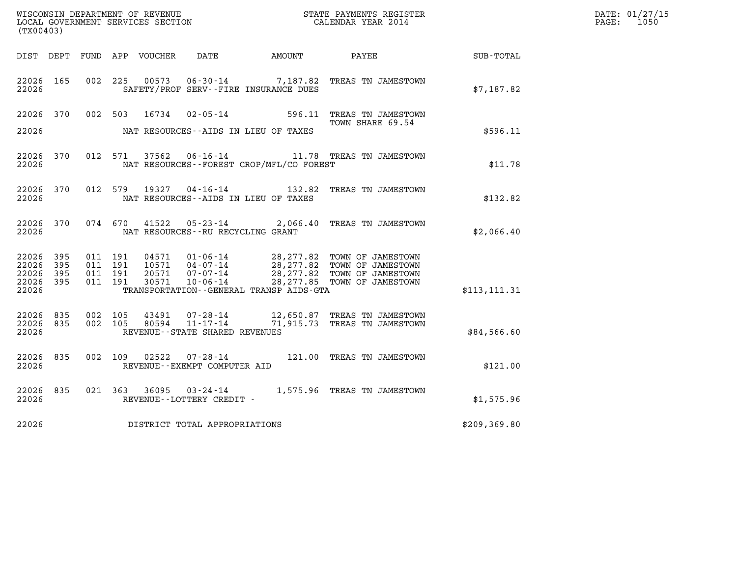| (TX00403)                                     |                     |                                          |                                  |                                                  |                                              |                                                                                                                                             |               | DATE: 01/27/15<br>PAGE: 1050 |
|-----------------------------------------------|---------------------|------------------------------------------|----------------------------------|--------------------------------------------------|----------------------------------------------|---------------------------------------------------------------------------------------------------------------------------------------------|---------------|------------------------------|
|                                               |                     |                                          |                                  |                                                  | DIST DEPT FUND APP VOUCHER DATE AMOUNT PAYEE |                                                                                                                                             | SUB-TOTAL     |                              |
| 22026 165<br>22026                            |                     | 002 225                                  | 00573                            |                                                  | SAFETY/PROF SERV--FIRE INSURANCE DUES        | 06-30-14 7,187.82 TREAS TN JAMESTOWN                                                                                                        | \$7,187.82    |                              |
| 22026 370                                     |                     |                                          |                                  |                                                  |                                              | 002 503 16734 02-05-14 596.11 TREAS TN JAMESTOWN<br>TOWN SHARE 69.54                                                                        |               |                              |
| 22026                                         |                     |                                          |                                  |                                                  | NAT RESOURCES--AIDS IN LIEU OF TAXES         |                                                                                                                                             | \$596.11      |                              |
| 22026 370<br>22026                            |                     |                                          |                                  |                                                  | NAT RESOURCES--FOREST CROP/MFL/CO FOREST     | 012 571 37562 06-16-14 11.78 TREAS TN JAMESTOWN                                                                                             | \$11.78       |                              |
| 22026 370<br>22026                            |                     |                                          |                                  |                                                  | NAT RESOURCES--AIDS IN LIEU OF TAXES         | 012 579 19327 04-16-14 132.82 TREAS TN JAMESTOWN                                                                                            | \$132.82      |                              |
| 22026 370<br>22026                            |                     | 074 670                                  | 41522                            | NAT RESOURCES - - RU RECYCLING GRANT             |                                              | 05-23-14 2,066.40 TREAS TN JAMESTOWN                                                                                                        | \$2,066.40    |                              |
| 22026 395<br>22026<br>22026<br>22026<br>22026 | 395<br>395<br>- 395 | 011 191<br>011 191<br>011 191<br>011 191 | 04571<br>10571<br>20571<br>30571 | $07 - 07 - 14$<br>10-06-14                       | TRANSPORTATION--GENERAL TRANSP AIDS-GTA      | 01-06-14 28,277.82 TOWN OF JAMESTOWN<br>04-07-14 28,277.82 TOWN OF JAMESTOWN<br>28,277.82 TOWN OF JAMESTOWN<br>28, 277.85 TOWN OF JAMESTOWN | \$113, 111.31 |                              |
| 22026 835<br>22026 835<br>22026               |                     | 002 105<br>002 105                       | 43491                            | 80594 11-17-14<br>REVENUE--STATE SHARED REVENUES |                                              | 07-28-14 12,650.87 TREAS TN JAMESTOWN<br>71,915.73 TREAS TN JAMESTOWN                                                                       | \$84,566.60   |                              |
| 22026 835<br>22026                            |                     |                                          |                                  | REVENUE--EXEMPT COMPUTER AID                     |                                              | 002 109 02522 07-28-14 121.00 TREAS TN JAMESTOWN                                                                                            | \$121.00      |                              |
| 22026 835<br>22026                            |                     |                                          |                                  | REVENUE--LOTTERY CREDIT -                        |                                              | 021 363 36095 03-24-14 1,575.96 TREAS TN JAMESTOWN                                                                                          | \$1,575.96    |                              |
| 22026                                         |                     |                                          |                                  | DISTRICT TOTAL APPROPRIATIONS                    |                                              |                                                                                                                                             | \$209, 369.80 |                              |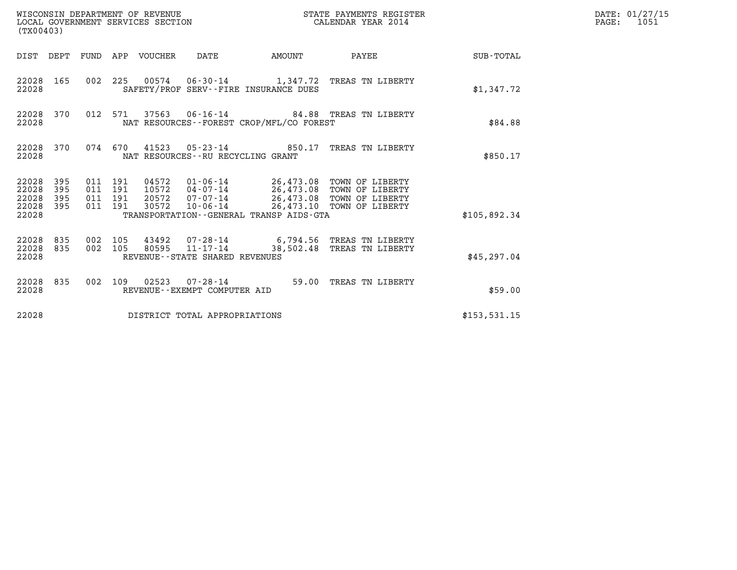| (TX00403)                                 |                          |                                          |         | WISCONSIN DEPARTMENT OF REVENUE<br>LOCAL GOVERNMENT SERVICES SECTION |                                                  |                                          | STATE PAYMENTS REGISTER<br>CALENDAR YEAR 2014                                                                                                        |                  | DATE: 01/27/15<br>$\mathtt{PAGE:}$<br>1051 |
|-------------------------------------------|--------------------------|------------------------------------------|---------|----------------------------------------------------------------------|--------------------------------------------------|------------------------------------------|------------------------------------------------------------------------------------------------------------------------------------------------------|------------------|--------------------------------------------|
|                                           |                          |                                          |         | DIST DEPT FUND APP VOUCHER DATE                                      |                                                  | AMOUNT                                   | PAYEE                                                                                                                                                | <b>SUB-TOTAL</b> |                                            |
| 22028 165<br>22028                        |                          |                                          |         |                                                                      |                                                  | SAFETY/PROF SERV--FIRE INSURANCE DUES    | 002 225 00574 06-30-14 1,347.72 TREAS TN LIBERTY                                                                                                     | \$1,347.72       |                                            |
| 22028 370<br>22028                        |                          |                                          | 012 571 |                                                                      |                                                  | NAT RESOURCES--FOREST CROP/MFL/CO FOREST | 37563  06-16-14  84.88  TREAS TN LIBERTY                                                                                                             | \$84.88          |                                            |
| 22028 370<br>22028                        |                          |                                          |         |                                                                      | NAT RESOURCES - - RU RECYCLING GRANT             |                                          | 074 670 41523 05-23-14 850.17 TREAS TN LIBERTY                                                                                                       | \$850.17         |                                            |
| 22028<br>22028<br>22028<br>22028<br>22028 | 395<br>395<br>395<br>395 | 011 191<br>011 191<br>011 191<br>011 191 |         | 30572                                                                | 20572 07-07-14<br>10-06-14                       | TRANSPORTATION--GENERAL TRANSP AIDS-GTA  | 04572  01-06-14  26,473.08  TOWN OF LIBERTY<br>10572  04-07-14  26,473.08  TOWN OF LIBERTY<br>26,473.08 TOWN OF LIBERTY<br>26,473.10 TOWN OF LIBERTY | \$105.892.34     |                                            |
| 22028 835<br>22028<br>22028               | 835                      | 002 105<br>002 105                       |         |                                                                      | 80595 11-17-14<br>REVENUE--STATE SHARED REVENUES |                                          | 43492 07-28-14 6,794.56 TREAS TN LIBERTY<br>38,502.48 TREAS TN LIBERTY                                                                               | \$45,297.04      |                                            |
| 22028 835<br>22028                        |                          |                                          |         |                                                                      | REVENUE--EXEMPT COMPUTER AID                     |                                          | 002 109 02523 07-28-14 59.00 TREAS TN LIBERTY                                                                                                        | \$59.00          |                                            |
| 22028                                     |                          |                                          |         |                                                                      | DISTRICT TOTAL APPROPRIATIONS                    |                                          |                                                                                                                                                      | \$153, 531.15    |                                            |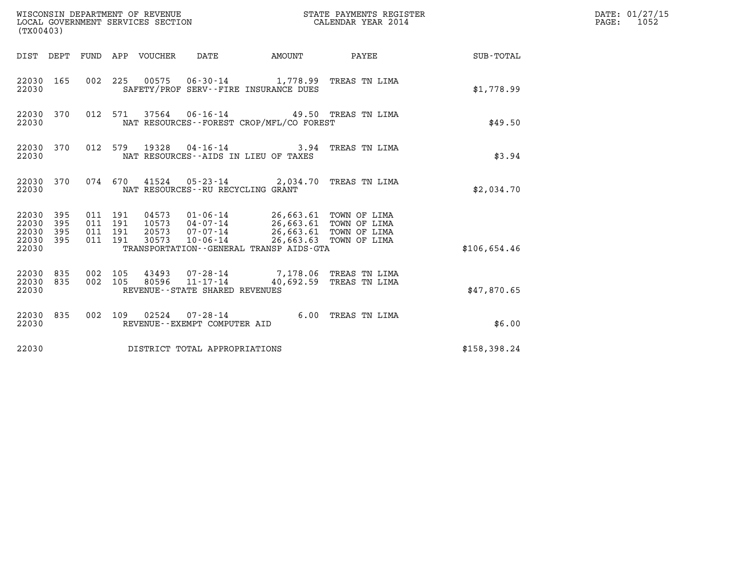| (TX00403)                                     |                   |                                          |         |                                  | WISCONSIN DEPARTMENT OF REVENUE<br>LOCAL GOVERNMENT SERVICES SECTION |                                                                   | STATE PAYMENTS REGISTER<br>CALENDAR YEAR 2014                              |              | DATE: 01/27/15<br>$\mathtt{PAGE}$ :<br>1052 |
|-----------------------------------------------|-------------------|------------------------------------------|---------|----------------------------------|----------------------------------------------------------------------|-------------------------------------------------------------------|----------------------------------------------------------------------------|--------------|---------------------------------------------|
|                                               |                   |                                          |         | DIST DEPT FUND APP VOUCHER       | DATE                                                                 | <b>AMOUNT</b>                                                     | PAYEE                                                                      | SUB-TOTAL    |                                             |
| 22030 165<br>22030                            |                   |                                          |         |                                  | SAFETY/PROF SERV--FIRE INSURANCE DUES                                |                                                                   | 002 225 00575 06-30-14 1,778.99 TREAS TN LIMA                              | \$1,778.99   |                                             |
| 22030 370<br>22030                            |                   |                                          | 012 571 |                                  |                                                                      | NAT RESOURCES--FOREST CROP/MFL/CO FOREST                          | 37564 06-16-14 49.50 TREAS TN LIMA                                         | \$49.50      |                                             |
| 22030 370<br>22030                            |                   | 012 579                                  |         | 19328                            | NAT RESOURCES--AIDS IN LIEU OF TAXES                                 |                                                                   | 04-16-14 3.94 TREAS TN LIMA                                                | \$3.94       |                                             |
| 22030 370<br>22030                            |                   |                                          | 074 670 |                                  | NAT RESOURCES - - RU RECYCLING GRANT                                 |                                                                   | 41524  05-23-14  2,034.70  TREAS TN LIMA                                   | \$2,034.70   |                                             |
| 22030 395<br>22030<br>22030<br>22030<br>22030 | 395<br>395<br>395 | 011 191<br>011 191<br>011 191<br>011 191 |         | 04573<br>10573<br>20573<br>30573 | $01 - 06 - 14$<br>04-07-14<br>07-07-14<br>$10 - 06 - 14$             | 26,663.61 TOWN OF LIMA<br>TRANSPORTATION--GENERAL TRANSP AIDS-GTA | 26,663.61 TOWN OF LIMA<br>26,663.61 TOWN OF LIMA<br>26,663.63 TOWN OF LIMA | \$106,654.46 |                                             |
| 22030<br>22030<br>22030                       | 835<br>835        | 002 105<br>002 105                       |         | 43493<br>80596                   | 07-28-14<br>$11 - 17 - 14$<br>REVENUE--STATE SHARED REVENUES         |                                                                   | 7,178.06 TREAS TN LIMA<br>40,692.59 TREAS TN LIMA                          | \$47,870.65  |                                             |
| 22030 835<br>22030                            |                   |                                          |         |                                  | 002 109 02524 07-28-14<br>REVENUE--EXEMPT COMPUTER AID               |                                                                   | 6.00 TREAS TN LIMA                                                         | \$6.00       |                                             |
| 22030                                         |                   |                                          |         |                                  | DISTRICT TOTAL APPROPRIATIONS                                        |                                                                   |                                                                            | \$158,398.24 |                                             |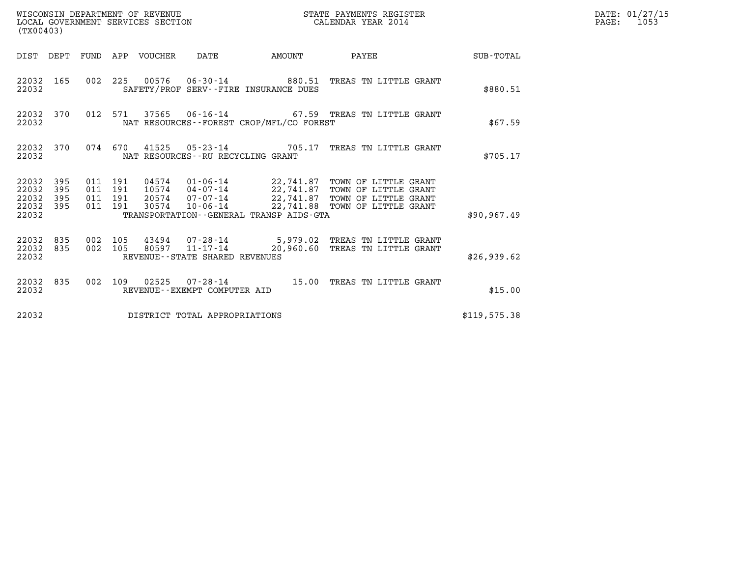| WISCONSIN DEPARTMENT OF REVENUE<br>LOCAL GOVERNMENT SERVICES SECTION<br>(TX00403) |                               |                    |                    |                                 |                                      |                                          | STATE PAYMENTS REGISTER<br>CALENDAR YEAR 2014                                                                                                                                                                   |              | DATE: 01/27/15<br>$\mathtt{PAGE:}$<br>1053 |
|-----------------------------------------------------------------------------------|-------------------------------|--------------------|--------------------|---------------------------------|--------------------------------------|------------------------------------------|-----------------------------------------------------------------------------------------------------------------------------------------------------------------------------------------------------------------|--------------|--------------------------------------------|
|                                                                                   |                               |                    |                    | DIST DEPT FUND APP VOUCHER DATE |                                      | AMOUNT                                   | PAYEE SUB-TOTAL                                                                                                                                                                                                 |              |                                            |
| 22032                                                                             | 22032 165                     |                    |                    |                                 |                                      | SAFETY/PROF SERV--FIRE INSURANCE DUES    | 002 225 00576 06-30-14 880.51 TREAS TN LITTLE GRANT                                                                                                                                                             | \$880.51     |                                            |
| 22032                                                                             | 22032 370                     |                    | 012 571            |                                 |                                      | NAT RESOURCES--FOREST CROP/MFL/CO FOREST | $37565$ 06-16-14 67.59 TREAS TN LITTLE GRANT                                                                                                                                                                    | \$67.59      |                                            |
| 22032                                                                             | 22032 370                     |                    |                    |                                 | NAT RESOURCES - - RU RECYCLING GRANT |                                          | 074  670  41525  05-23-14  705.17  TREAS TN LITTLE GRANT                                                                                                                                                        | \$705.17     |                                            |
| 22032<br>22032 395<br>22032                                                       | 22032 395<br>395<br>22032 395 | 011 191<br>011 191 | 011 191<br>011 191 |                                 |                                      | TRANSPORTATION--GENERAL TRANSP AIDS-GTA  | 04574   01-06-14   22,741.87 TOWN OF LITTLE GRANT<br>10574   04-07-14   22,741.87 TOWN OF LITTLE GRANT<br>20574   07-07-14   22,741.87 TOWN OF LITTLE GRANT<br>30574  10-06-14  22,741.88  TOWN OF LITTLE GRANT | \$90.967.49  |                                            |
| 22032                                                                             | 22032 835<br>22032 835        | 002 105<br>002 105 |                    |                                 | REVENUE--STATE SHARED REVENUES       |                                          |                                                                                                                                                                                                                 | \$26,939.62  |                                            |
| 22032                                                                             | 22032 835                     |                    |                    |                                 | REVENUE--EXEMPT COMPUTER AID         |                                          | 002 109 02525 07-28-14 15.00 TREAS TN LITTLE GRANT                                                                                                                                                              | \$15.00      |                                            |
| 22032                                                                             |                               |                    |                    |                                 | DISTRICT TOTAL APPROPRIATIONS        |                                          |                                                                                                                                                                                                                 | \$119,575.38 |                                            |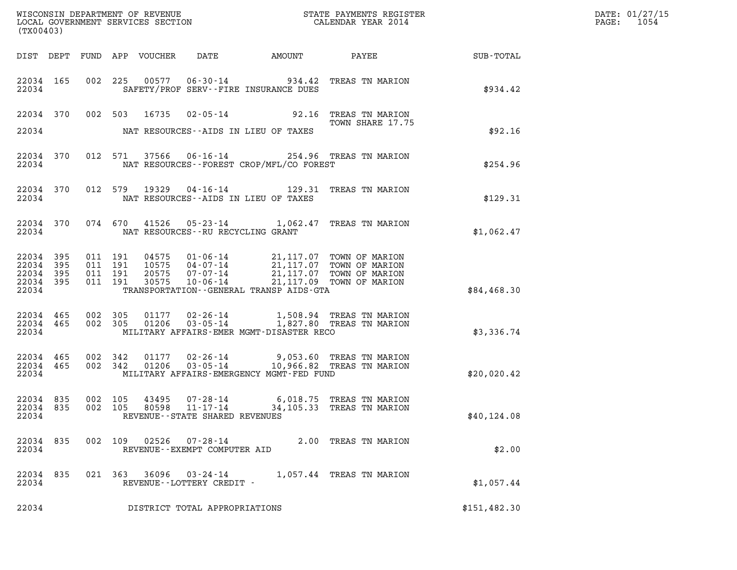| DATE: | 01/27/15 |
|-------|----------|
| PAGE: | 1054     |

| (TX00403)                                                 |       |  |                                          |  |                                |                                                                                                                                                                                                                                 |                                                                                                                                                                                                                                                                                              |              | DATE: 01/27/15<br>PAGE: 1054 |
|-----------------------------------------------------------|-------|--|------------------------------------------|--|--------------------------------|---------------------------------------------------------------------------------------------------------------------------------------------------------------------------------------------------------------------------------|----------------------------------------------------------------------------------------------------------------------------------------------------------------------------------------------------------------------------------------------------------------------------------------------|--------------|------------------------------|
|                                                           |       |  |                                          |  |                                |                                                                                                                                                                                                                                 | DIST DEPT FUND APP VOUCHER DATE AMOUNT PAYEE SUB-TOTAL                                                                                                                                                                                                                                       |              |                              |
| 22034                                                     |       |  |                                          |  |                                | SAFETY/PROF SERV--FIRE INSURANCE DUES                                                                                                                                                                                           | 22034 165 002 225 00577 06-30-14 934.42 TREAS TN MARION                                                                                                                                                                                                                                      | \$934.42     |                              |
|                                                           |       |  |                                          |  |                                | 22034 NAT RESOURCES--AIDS IN LIEU OF TAXES                                                                                                                                                                                      | 22034 370 002 503 16735 02-05-14 92.16 TREAS TN MARION<br>TOWN SHARE 17.75                                                                                                                                                                                                                   | \$92.16      |                              |
|                                                           | 22034 |  |                                          |  |                                | NAT RESOURCES - - FOREST CROP/MFL/CO FOREST                                                                                                                                                                                     | 22034 370 012 571 37566 06-16-14 254.96 TREAS TN MARION                                                                                                                                                                                                                                      | \$254.96     |                              |
|                                                           | 22034 |  |                                          |  |                                | NAT RESOURCES--AIDS IN LIEU OF TAXES                                                                                                                                                                                            | 22034 370 012 579 19329 04-16-14 129.31 TREAS TN MARION                                                                                                                                                                                                                                      | \$129.31     |                              |
|                                                           |       |  |                                          |  |                                | 22034 NAT RESOURCES--RU RECYCLING GRANT                                                                                                                                                                                         | 22034 370 074 670 41526 05-23-14 1,062.47 TREAS TN MARION                                                                                                                                                                                                                                    | \$1,062.47   |                              |
| 22034 395<br>22034 395<br>22034 395<br>22034 395<br>22034 |       |  | 011 191<br>011 191<br>011 191<br>011 191 |  |                                | 04575  01-06-14  21,117.07  TOWN OF MARION<br>10575  04-07-14  21,117.07  TOWN OF MARION<br>20575  07-07-14  21,117.07  TOWN OF MARION<br>30575  10-06-14  21,117.09  TOWN OF MARION<br>TRANSPORTATION--GENERAL TRANSP AIDS-GTA |                                                                                                                                                                                                                                                                                              | \$84,468.30  |                              |
|                                                           |       |  |                                          |  |                                |                                                                                                                                                                                                                                 | $\begin{array}{cccc} 22034 & 465 & 002 & 305 & 01177 & 02\texttt{-}26\texttt{-}14 & 1,508.94 & \texttt{TREAS TN MARION} \\ 22034 & 465 & 002 & 305 & 01206 & 03\texttt{-}05\texttt{-}14 & 1,827.80 & \texttt{TREAS TN MARION} \end{array}$<br>22034 MILITARY AFFAIRS-EMER MGMT-DISASTER RECO | \$3,336.74   |                              |
| 22034                                                     |       |  |                                          |  |                                | MILITARY AFFAIRS-EMERGENCY MGMT-FED FUND                                                                                                                                                                                        | $\begin{array}{cccccccc} 22034 & 465 & 002 & 342 & 01177 & 02-26-14 & & & 9,053.60 & \text{TREAS TN MARION} \\ 22034 & 465 & 002 & 342 & 01206 & 03-05-14 & & & 10,966.82 & \text{TREAS TN MARION} \end{array}$                                                                              | \$20,020.42  |                              |
| 22034 835<br>22034                                        |       |  |                                          |  | REVENUE--STATE SHARED REVENUES |                                                                                                                                                                                                                                 | 22034 835 002 105 43495 07-28-14 6,018.75 TREAS TN MARION<br>002 105 80598 11-17-14 34,105.33 TREAS TN MARION                                                                                                                                                                                | \$40,124.08  |                              |
| 22034 835<br>22034                                        |       |  |                                          |  | REVENUE--EXEMPT COMPUTER AID   |                                                                                                                                                                                                                                 | 002 109 02526 07-28-14 2.00 TREAS TN MARION                                                                                                                                                                                                                                                  | \$2.00       |                              |
| 22034 835<br>22034                                        |       |  |                                          |  | REVENUE--LOTTERY CREDIT -      |                                                                                                                                                                                                                                 | 021 363 36096 03-24-14 1,057.44 TREAS TN MARION                                                                                                                                                                                                                                              | \$1,057.44   |                              |
| 22034                                                     |       |  |                                          |  | DISTRICT TOTAL APPROPRIATIONS  |                                                                                                                                                                                                                                 |                                                                                                                                                                                                                                                                                              | \$151,482.30 |                              |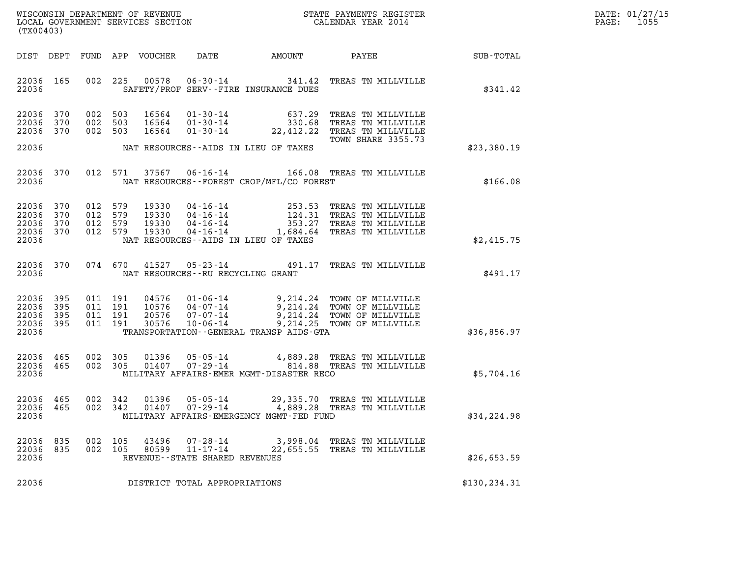| DATE: | 01/27/15 |
|-------|----------|
| PAGE: | 1055     |

| WISCONSIN DEPARTMENT OF REVENUE<br>LOCAL GOVERNMENT SERVICES SECTION<br>(TX00403) |                               |                                          |         |                                  |                                                                          | STATE PAYMENTS REGISTER<br>CALENDAR YEAR 2014                  |                                                                                                                                               |               | DATE: 01/27/15<br>1055<br>PAGE: |
|-----------------------------------------------------------------------------------|-------------------------------|------------------------------------------|---------|----------------------------------|--------------------------------------------------------------------------|----------------------------------------------------------------|-----------------------------------------------------------------------------------------------------------------------------------------------|---------------|---------------------------------|
| DIST DEPT                                                                         |                               |                                          |         | FUND APP VOUCHER                 | DATE                                                                     | AMOUNT                                                         | <b>PAYEE</b> FOR THE PAYEE                                                                                                                    | SUB-TOTAL     |                                 |
| 22036 165<br>22036                                                                |                               | 002                                      | 225     | 00578                            |                                                                          | $06 - 30 - 14$ 341.42<br>SAFETY/PROF SERV--FIRE INSURANCE DUES | TREAS TN MILLVILLE                                                                                                                            | \$341.42      |                                 |
| 22036 370<br>22036<br>22036 370                                                   | 370                           | 002 503<br>002 503<br>002 503            |         | 16564<br>16564<br>16564          | $01 - 30 - 14$                                                           | 01-30-14 637.29<br>01-30-14 330.68                             | TREAS TN MILLVILLE<br>TREAS TN MILLVILLE<br>22,412.22 TREAS TN MILLVILLE                                                                      |               |                                 |
| 22036                                                                             |                               |                                          |         |                                  |                                                                          | NAT RESOURCES--AIDS IN LIEU OF TAXES                           | TOWN SHARE 3355.73                                                                                                                            | \$23,380.19   |                                 |
| 22036<br>22036                                                                    | 370                           |                                          | 012 571 | 37567                            | $06 - 16 - 14$                                                           | NAT RESOURCES--FOREST CROP/MFL/CO FOREST                       | 166.08 TREAS TN MILLVILLE                                                                                                                     | \$166.08      |                                 |
| 22036<br>22036 370<br>22036 370<br>22036 370<br>22036                             | 370                           | 012 579<br>012 579<br>012 579<br>012 579 |         | 19330<br>19330<br>19330<br>19330 | $04 - 16 - 14$                                                           | NAT RESOURCES--AIDS IN LIEU OF TAXES                           | 04-16-14 253.53 TREAS TN MILLVILLE<br>04-16-14 124.31 TREAS TN MILLVILLE<br>04-16-14 353.27 TREAS TN MILLVILLE<br>1,684.64 TREAS TN MILLVILLE | \$2,415.75    |                                 |
| 22036                                                                             | 22036 370                     |                                          | 074 670 | 41527                            | $05 - 23 - 14$<br>NAT RESOURCES--RU RECYCLING GRANT                      |                                                                | 491.17 TREAS TN MILLVILLE                                                                                                                     | \$491.17      |                                 |
| 22036 395<br>22036<br>22036 395<br>22036 395<br>22036                             | 395                           | 011 191<br>011<br>011 191<br>011 191     | 191     | 10576<br>20576<br>30576          | 04576   01-06-14<br>04-07-14<br>07-07-14<br>07 - 07 - 14<br>10 - 06 - 14 | TRANSPORTATION - - GENERAL TRANSP AIDS - GTA                   | 9,214.24 TOWN OF MILLVILLE<br>9,214.24 TOWN OF MILLVILLE<br>9,214.24 TOWN OF MILLVILLE<br>9,214.25 TOWN OF MILLVILLE                          | \$36,856.97   |                                 |
| 22036<br>22036 465<br>22036                                                       | 465                           | 002<br>002 305                           | 305     | 01396<br>01407                   |                                                                          | MILITARY AFFAIRS-EMER MGMT-DISASTER RECO                       | 05-05-14 4,889.28 TREAS TN MILLVILLE<br>07-29-14 814.88 TREAS TN MILLVILLE                                                                    | \$5,704.16    |                                 |
| 22036 465<br>22036<br>22036                                                       | 465                           | 002 342<br>002 342                       |         | 01396<br>01407                   | 05-05-14<br>07-29-14                                                     | MILITARY AFFAIRS-EMERGENCY MGMT-FED FUND                       | 29,335.70 TREAS TN MILLVILLE<br>4,889.28 TREAS TN MILLVILLE                                                                                   | \$34,224.98   |                                 |
| 22036<br>22036<br>22036                                                           | 835<br>835                    | 002<br>002 105                           | 105     | 43496<br>80599                   | $07 - 28 - 14$<br>$11 - 17 - 14$<br>REVENUE - - STATE SHARED REVENUES    |                                                                | 3,998.04 TREAS TN MILLVILLE<br>22,655.55 TREAS TN MILLVILLE                                                                                   | \$26,653.59   |                                 |
| 22036                                                                             | DISTRICT TOTAL APPROPRIATIONS |                                          |         |                                  |                                                                          |                                                                |                                                                                                                                               | \$130, 234.31 |                                 |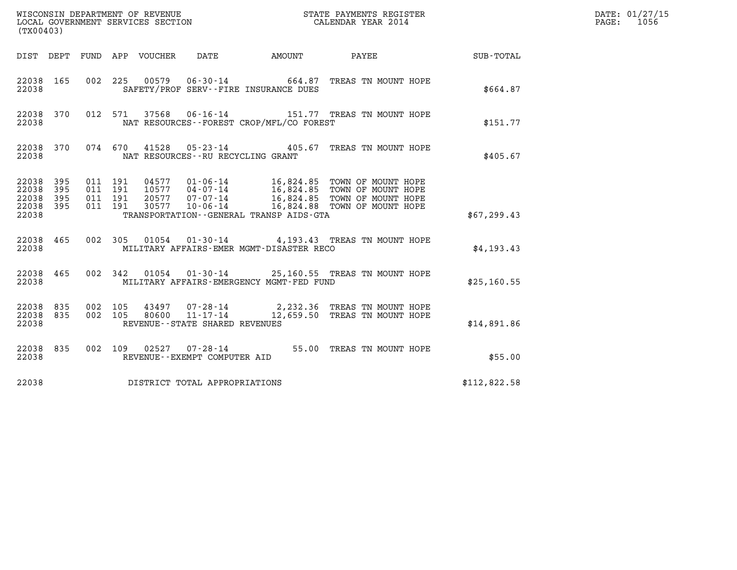| (TX00403)                                     |                   |                                          |                                                                                                                                                                                                                                       |              | DATE: 01/27/15<br>$\mathtt{PAGE:}$<br>1056 |
|-----------------------------------------------|-------------------|------------------------------------------|---------------------------------------------------------------------------------------------------------------------------------------------------------------------------------------------------------------------------------------|--------------|--------------------------------------------|
|                                               |                   |                                          | DIST DEPT FUND APP VOUCHER<br>DATE<br>AMOUNT PAYEE                                                                                                                                                                                    | SUB - TOTAL  |                                            |
| 22038 165<br>22038                            |                   | 002 225                                  | 06-30-14 664.87 TREAS TN MOUNT HOPE<br>00579<br>SAFETY/PROF SERV--FIRE INSURANCE DUES                                                                                                                                                 | \$664.87     |                                            |
| 22038 370<br>22038                            |                   |                                          | 37568 06-16-14<br>012 571<br>151.77 TREAS TN MOUNT HOPE<br>NAT RESOURCES--FOREST CROP/MFL/CO FOREST                                                                                                                                   | \$151.77     |                                            |
| 22038 370<br>22038                            |                   |                                          | 074 670<br>41528<br>05-23-14 405.67 TREAS TN MOUNT HOPE<br>NAT RESOURCES - - RU RECYCLING GRANT                                                                                                                                       | \$405.67     |                                            |
| 22038 395<br>22038<br>22038<br>22038<br>22038 | 395<br>395<br>395 | 011 191<br>011 191<br>011 191<br>011 191 | 16,824.85 TOWN OF MOUNT HOPE<br>10577 04-07-14<br>16,824.85 TOWN OF MOUNT HOPE<br>16,824.85 TOWN OF MOUNT HOPE<br>20577<br>07-07-14<br>10-06-14 16,824.88 TOWN OF MOUNT HOPE<br>30577<br>TRANSPORTATION - - GENERAL TRANSP AIDS - GTA | \$67, 299.43 |                                            |
| 22038 465<br>22038                            |                   |                                          | 01054  01-30-14  4,193.43  TREAS TN MOUNT HOPE<br>002 305<br>MILITARY AFFAIRS-EMER MGMT-DISASTER RECO                                                                                                                                 | \$4,193.43   |                                            |
| 22038 465<br>22038                            |                   | 002 342                                  | 01054  01-30-14  25,160.55  TREAS TN MOUNT HOPE<br>MILITARY AFFAIRS-EMERGENCY MGMT-FED FUND                                                                                                                                           | \$25,160.55  |                                            |
| 22038<br>22038<br>22038                       | 835<br>835        | 002 105<br>002 105                       | $43497$ 07-28-14 2,232.36 TREAS TN MOUNT HOPE<br>80600  11-17-14   12,659.50 TREAS TN MOUNT HOPE<br>REVENUE--STATE SHARED REVENUES                                                                                                    | \$14,891.86  |                                            |
| 22038 835<br>22038                            |                   |                                          | 02527  07-28-14  55.00 TREAS TN MOUNT HOPE<br>002 109<br>REVENUE--EXEMPT COMPUTER AID                                                                                                                                                 | \$55.00      |                                            |
| 22038                                         |                   |                                          | DISTRICT TOTAL APPROPRIATIONS                                                                                                                                                                                                         | \$112,822.58 |                                            |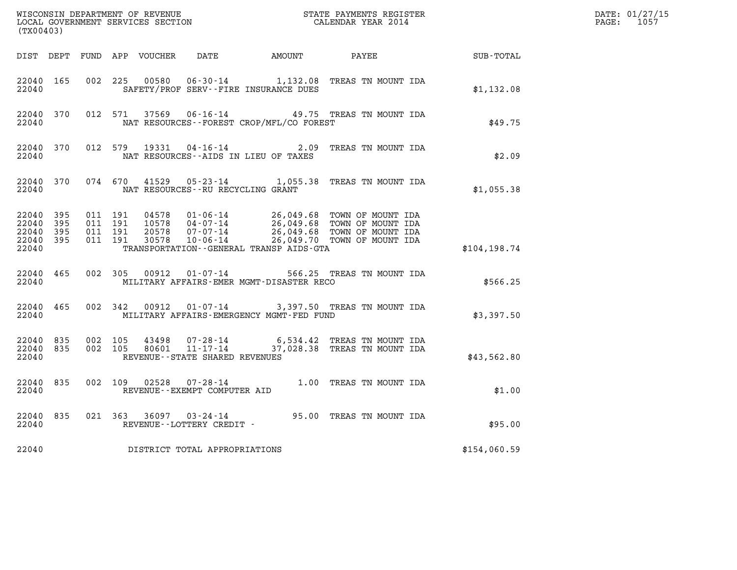| WISCONSIN DEPARTMENT OF REVENUE<br>LOCAL GOVERNMENT SERVICES SECTION<br>LOCAL GOVERNMENT SERVICES SECTION<br>CALENDAR YEAR 2014<br>(TX00403) |           |                    |                               |                                                     |                                          |                                                                                                                                                                                                                                 |               | DATE: 01/27/15<br>PAGE: 1057 |
|----------------------------------------------------------------------------------------------------------------------------------------------|-----------|--------------------|-------------------------------|-----------------------------------------------------|------------------------------------------|---------------------------------------------------------------------------------------------------------------------------------------------------------------------------------------------------------------------------------|---------------|------------------------------|
|                                                                                                                                              |           |                    |                               |                                                     |                                          | DIST DEPT FUND APP VOUCHER DATE AMOUNT PAYEE                                                                                                                                                                                    | SUB-TOTAL     |                              |
| 22040 165<br>22040                                                                                                                           |           |                    |                               |                                                     | SAFETY/PROF SERV--FIRE INSURANCE DUES    | 002 225 00580 06-30-14 1,132.08 TREAS TN MOUNT IDA                                                                                                                                                                              | \$1,132.08    |                              |
| 22040 370<br>22040                                                                                                                           |           |                    |                               |                                                     | NAT RESOURCES--FOREST CROP/MFL/CO FOREST | 012 571 37569 06-16-14 49.75 TREAS TN MOUNT IDA                                                                                                                                                                                 | \$49.75       |                              |
| 22040 370<br>22040                                                                                                                           |           |                    |                               | 012 579 19331 04-16-14                              | NAT RESOURCES--AIDS IN LIEU OF TAXES     | 2.09 TREAS TN MOUNT IDA                                                                                                                                                                                                         | \$2.09        |                              |
| 22040                                                                                                                                        | 22040 370 |                    |                               |                                                     | NAT RESOURCES--RU RECYCLING GRANT        | 074 670 41529 05-23-14 1,055.38 TREAS TN MOUNT IDA                                                                                                                                                                              | \$1,055.38    |                              |
| 22040 395<br>22040 395<br>22040 395<br>22040 395<br>22040                                                                                    |           | 011 191            | 011 191<br>011 191<br>011 191 | 30578                                               | TRANSPORTATION--GENERAL TRANSP AIDS-GTA  | 04578  01-06-14  26,049.68  TOWN OF MOUNT IDA<br>10578  04-07-14  26,049.68  TOWN OF MOUNT IDA<br>20578  07-07-14  26,049.68  TOWN OF MOUNT IDA<br>07-07-14 26,049.68 TOWN OF MOUNT IDA<br>10-06-14 26,049.70 TOWN OF MOUNT IDA | \$104, 198.74 |                              |
| 22040 465<br>22040                                                                                                                           |           |                    |                               | 002 305 00912 01-07-14                              | MILITARY AFFAIRS-EMER MGMT-DISASTER RECO | 566.25 TREAS TN MOUNT IDA                                                                                                                                                                                                       | \$566.25      |                              |
| 22040                                                                                                                                        | 22040 465 |                    |                               |                                                     | MILITARY AFFAIRS-EMERGENCY MGMT-FED FUND | 002 342 00912 01-07-14 3,397.50 TREAS TN MOUNT IDA                                                                                                                                                                              | \$3,397.50    |                              |
| 22040 835<br>22040                                                                                                                           | 22040 835 | 002 105<br>002 105 |                               | 43498 07-28-14<br>REVENUE - - STATE SHARED REVENUES |                                          | 6,534.42 TREAS TN MOUNT IDA<br>80601  11-17-14  37,028.38  TREAS  TN MOUNT IDA                                                                                                                                                  | \$43,562.80   |                              |
| 22040 835<br>22040                                                                                                                           |           |                    |                               | REVENUE--EXEMPT COMPUTER AID                        |                                          | 002 109 02528 07-28-14 1.00 TREAS TN MOUNT IDA                                                                                                                                                                                  | \$1.00        |                              |
| 22040 835<br>22040                                                                                                                           |           |                    |                               | REVENUE--LOTTERY CREDIT -                           |                                          | 021 363 36097 03-24-14 95.00 TREAS TN MOUNT IDA                                                                                                                                                                                 | \$95.00       |                              |
| 22040                                                                                                                                        |           |                    |                               | DISTRICT TOTAL APPROPRIATIONS                       |                                          |                                                                                                                                                                                                                                 | \$154,060.59  |                              |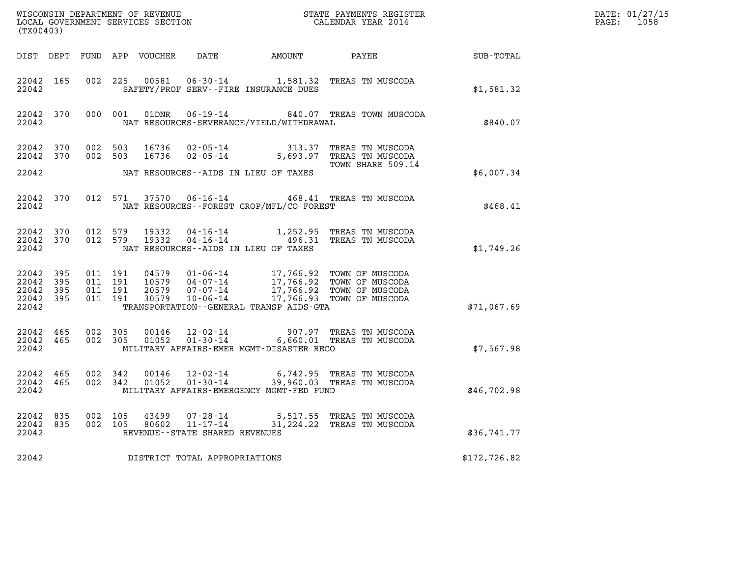| (TX00403)                                    |                        |                                          |         |                |                                               | $\tt WISCONSIM DEPARTMENT OF REVENUE$ $\tt WISCONSIMENT$ SERVICES SECTION $\tt WISCONERNMENT$ SERVICES SECTION $\tt CALENDAR$ YEAR 2014 |                                                                                                                                                                                          |                                                 | DATE: 01/27/15<br>$\mathtt{PAGE:}$<br>1058 |
|----------------------------------------------|------------------------|------------------------------------------|---------|----------------|-----------------------------------------------|-----------------------------------------------------------------------------------------------------------------------------------------|------------------------------------------------------------------------------------------------------------------------------------------------------------------------------------------|-------------------------------------------------|--------------------------------------------|
|                                              |                        |                                          |         |                |                                               | DIST DEPT FUND APP VOUCHER DATE AMOUNT PAYEE                                                                                            |                                                                                                                                                                                          | $\begin{array}{c}\text{SUB - TOTAL}\end{array}$ |                                            |
| 22042 165<br>22042                           |                        |                                          | 002 225 | 00581          |                                               | SAFETY/PROF SERV--FIRE INSURANCE DUES                                                                                                   | 06-30-14 1,581.32 TREAS TN MUSCODA                                                                                                                                                       | \$1,581.32                                      |                                            |
| 22042                                        | 22042 370              |                                          | 000 001 |                |                                               | NAT RESOURCES-SEVERANCE/YIELD/WITHDRAWAL                                                                                                | 01DNR  06-19-14  840.07 TREAS TOWN MUSCODA                                                                                                                                               | \$840.07                                        |                                            |
| 22042 370<br>22042 370                       |                        | 002 503<br>002 503                       |         |                |                                               |                                                                                                                                         | 16736 02-05-14 313.37 TREAS TN MUSCODA<br>16736 02-05-14 5,693.97 TREAS TN MUSCODA                                                                                                       |                                                 |                                            |
| 22042                                        |                        |                                          |         |                |                                               | NAT RESOURCES -- AIDS IN LIEU OF TAXES                                                                                                  | TOWN SHARE 509.14                                                                                                                                                                        | \$6,007.34                                      |                                            |
| 22042                                        | 22042 370              |                                          |         |                |                                               | NAT RESOURCES--FOREST CROP/MFL/CO FOREST                                                                                                | 012 571 37570 06-16-14 468.41 TREAS TN MUSCODA                                                                                                                                           | \$468.41                                        |                                            |
| 22042 370<br>22042                           |                        | 22042 370 012 579<br>012 579             |         | 19332<br>19332 | 04-16-14                                      | NAT RESOURCES--AIDS IN LIEU OF TAXES                                                                                                    | 1,252.95 TREAS TN MUSCODA<br>04-16-14    496.31 TREAS TN MUSCODA                                                                                                                         | \$1,749.26                                      |                                            |
| 22042 395<br>22042 395<br>22042 395<br>22042 | 22042 395              | 011 191<br>011 191<br>011 191<br>011 191 |         |                |                                               | TRANSPORTATION - - GENERAL TRANSP AIDS - GTA                                                                                            | 04579  01-06-14  17,766.92  TOWN OF MUSCODA<br>10579  04-07-14  17,766.92  TOWN OF MUSCODA<br>20579  07-07-14  17,766.92  TOWN OF MUSCODA<br>30579  10-06-14  17,766.93  TOWN OF MUSCODA | \$71,067.69                                     |                                            |
| 22042                                        | 22042 465<br>22042 465 | 002 305<br>002 305                       |         |                | $01052$ $01-30-14$                            | MILITARY AFFAIRS-EMER MGMT-DISASTER RECO                                                                                                | 00146  12-02-14  907.97 TREAS TN MUSCODA<br>6,660.01 TREAS TN MUSCODA                                                                                                                    | \$7,567.98                                      |                                            |
| 22042 465<br>22042                           | 22042 465              | 002 342<br>002 342                       |         |                | $00146$ $12-02-14$                            | MILITARY AFFAIRS-EMERGENCY MGMT-FED FUND                                                                                                | 6,742.95 TREAS TN MUSCODA<br>01052  01-30-14  39,960.03  TREAS TN MUSCODA                                                                                                                | \$46,702.98                                     |                                            |
| 22042 835<br>22042 835<br>22042              |                        | 002 105<br>002 105                       |         | 43499<br>80602 | 11-17-14<br>REVENUE - - STATE SHARED REVENUES |                                                                                                                                         | 07-28-14 5,517.55 TREAS TN MUSCODA<br>31,224.22 TREAS TN MUSCODA                                                                                                                         | \$36,741.77                                     |                                            |
| 22042                                        |                        |                                          |         |                | DISTRICT TOTAL APPROPRIATIONS                 |                                                                                                                                         |                                                                                                                                                                                          | \$172,726.82                                    |                                            |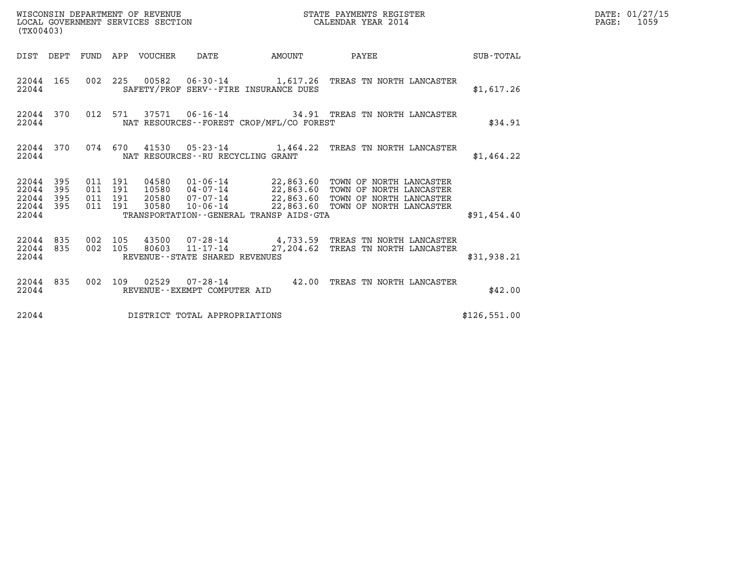| (TX00403)                                             |           |                                          |                                 | WISCONSIN DEPARTMENT OF REVENUE<br>LOCAL GOVERNMENT SERVICES SECTION |                                             | STATE PAYMENTS REGISTER<br>CALENDAR YEAR 2014                                                                                                                                                                            |              | DATE: 01/27/15<br>$\mathtt{PAGE:}$<br>1059 |
|-------------------------------------------------------|-----------|------------------------------------------|---------------------------------|----------------------------------------------------------------------|---------------------------------------------|--------------------------------------------------------------------------------------------------------------------------------------------------------------------------------------------------------------------------|--------------|--------------------------------------------|
|                                                       |           |                                          | DIST DEPT FUND APP VOUCHER DATE |                                                                      |                                             | AMOUNT PAYEE SUB-TOTAL                                                                                                                                                                                                   |              |                                            |
| 22044                                                 | 22044 165 |                                          |                                 |                                                                      | SAFETY/PROF SERV--FIRE INSURANCE DUES       | 002 225 00582 06-30-14 1,617.26 TREAS TN NORTH LANCASTER                                                                                                                                                                 | \$1,617.26   |                                            |
| 22044                                                 | 22044 370 |                                          |                                 |                                                                      | NAT RESOURCES - - FOREST CROP/MFL/CO FOREST | 012 571 37571 06-16-14 34.91 TREAS TN NORTH LANCASTER                                                                                                                                                                    | \$34.91      |                                            |
| 22044                                                 | 22044 370 |                                          |                                 | NAT RESOURCES--RU RECYCLING GRANT                                    |                                             | 074 670 41530 05-23-14 1,464.22 TREAS TN NORTH LANCASTER                                                                                                                                                                 | \$1,464.22   |                                            |
| 22044 395<br>22044<br>22044 395<br>22044 395<br>22044 | 395       | 011 191<br>011 191<br>011 191<br>011 191 |                                 |                                                                      | TRANSPORTATION--GENERAL TRANSP AIDS-GTA     | 04580  01-06-14  22,863.60  TOWN OF NORTH LANCASTER<br>10580  04-07-14  22,863.60  TOWN OF NORTH LANCASTER<br>20580  07-07-14  22,863.60  TOWN OF NORTH LANCASTER<br>30580  10-06-14  22,863.60  TOWN OF NORTH LANCASTER | \$91,454.40  |                                            |
| 22044                                                 | 22044 835 | 22044 835 002 105                        |                                 | $002$ 105 80603 11-17-14<br>REVENUE--STATE SHARED REVENUES           |                                             | 43500  07-28-14  4,733.59  TREAS TN NORTH LANCASTER<br>27,204.62 TREAS TN NORTH LANCASTER                                                                                                                                | \$31,938.21  |                                            |
| 22044                                                 |           |                                          |                                 | REVENUE--EXEMPT COMPUTER AID                                         |                                             | 22044 835 002 109 02529 07-28-14 42.00 TREAS TN NORTH LANCASTER                                                                                                                                                          | \$42.00      |                                            |
| 22044                                                 |           |                                          |                                 | DISTRICT TOTAL APPROPRIATIONS                                        |                                             |                                                                                                                                                                                                                          | \$126,551.00 |                                            |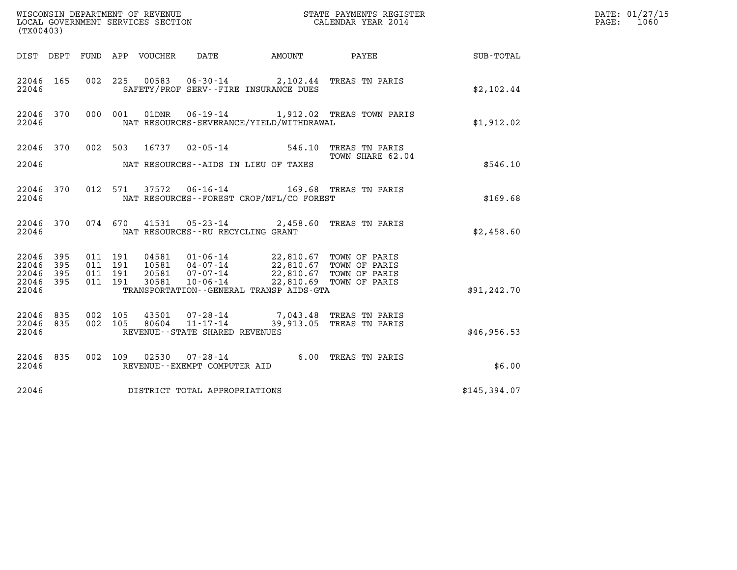| (TX00403)                            |                    |                                                                                                                                              |                          | DATE: 01/27/15<br>1060<br>$\mathtt{PAGE:}$ |  |
|--------------------------------------|--------------------|----------------------------------------------------------------------------------------------------------------------------------------------|--------------------------|--------------------------------------------|--|
|                                      |                    | DIST DEPT FUND APP VOUCHER DATE                                                                                                              | AMOUNT PAYEE             | SUB-TOTAL                                  |  |
| 22046 165<br>22046                   |                    | 002 225 00583 06-30-14 2,102.44 TREAS TN PARIS<br>SAFETY/PROF SERV--FIRE INSURANCE DUES                                                      |                          | \$2,102.44                                 |  |
| 22046 370 000 001<br>22046           |                    | 01DNR  06-19-14   1,912.02 TREAS TOWN PARIS<br>NAT RESOURCES-SEVERANCE/YIELD/WITHDRAWAL                                                      |                          | \$1,912.02                                 |  |
|                                      |                    | 22046 370 002 503 16737 02-05-14 546.10 TREAS TN PARIS                                                                                       | TOWN SHARE 62.04         |                                            |  |
| 22046                                |                    | NAT RESOURCES--AIDS IN LIEU OF TAXES                                                                                                         |                          | \$546.10                                   |  |
| 22046 370<br>22046                   |                    | 012 571 37572 06-16-14 169.68 TREAS TN PARIS<br>NAT RESOURCES--FOREST CROP/MFL/CO FOREST                                                     |                          | \$169.68                                   |  |
| 22046                                |                    | 22046 370 074 670 41531 05-23-14 2,458.60 TREAS TN PARIS<br>NAT RESOURCES -- RU RECYCLING GRANT                                              |                          | \$2,458.60                                 |  |
| 395<br>22046<br>395<br>22046         | 011 191<br>011 191 | 04581   01-06-14   22,810.67   TOWN OF PARIS<br>10581   04-07-14   22,810.67   TOWN OF PARIS<br>20581   07-07-14   22,810.67   TOWN OF PARIS |                          |                                            |  |
| 22046<br>- 395<br>22046 395<br>22046 | 011 191<br>011 191 | 10-06-14<br>30581<br>TRANSPORTATION - - GENERAL TRANSP AIDS - GTA                                                                            | 22,810.69 TOWN OF PARIS  | \$91, 242.70                               |  |
| 22046 835<br>22046 835<br>22046      | 002 105<br>002 105 | 43501 07-28-14 7,043.48 TREAS TN PARIS<br>$11 - 17 - 14$<br>80604<br>REVENUE--STATE SHARED REVENUES                                          | 39,913.05 TREAS TN PARIS | \$46,956.53                                |  |
| 22046 835<br>22046                   |                    | 002 109 02530 07-28-14 6.00 TREAS TN PARIS<br>REVENUE--EXEMPT COMPUTER AID                                                                   |                          | \$6.00                                     |  |
| 22046                                |                    | DISTRICT TOTAL APPROPRIATIONS                                                                                                                |                          | \$145,394.07                               |  |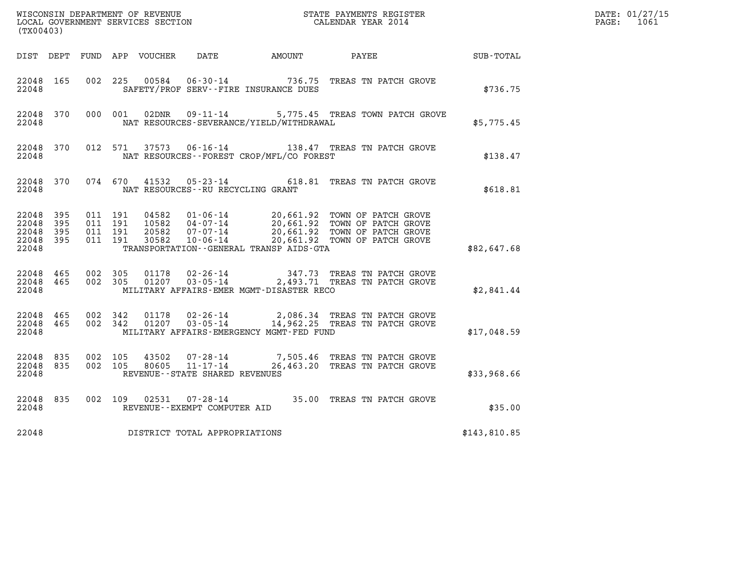| (TX00403)                                     |                     |                                          |         |                                  |                                                                    |                                              |                                                                                                                                                                                     |                  | DATE: 01/27/15<br>$\mathtt{PAGE:}$<br>1061 |
|-----------------------------------------------|---------------------|------------------------------------------|---------|----------------------------------|--------------------------------------------------------------------|----------------------------------------------|-------------------------------------------------------------------------------------------------------------------------------------------------------------------------------------|------------------|--------------------------------------------|
|                                               |                     |                                          |         |                                  |                                                                    | DIST DEPT FUND APP VOUCHER DATE AMOUNT PAYEE |                                                                                                                                                                                     | <b>SUB-TOTAL</b> |                                            |
| 22048 165<br>22048                            |                     | 002 225                                  |         | 00584                            | $06 - 30 - 14$                                                     | SAFETY/PROF SERV--FIRE INSURANCE DUES        | 736.75 TREAS TN PATCH GROVE                                                                                                                                                         | \$736.75         |                                            |
| 22048                                         | 22048 370           |                                          | 000 001 | 02DNR                            |                                                                    | NAT RESOURCES-SEVERANCE/YIELD/WITHDRAWAL     | 09-11-14 5,775.45 TREAS TOWN PATCH GROVE                                                                                                                                            | \$5,775.45       |                                            |
| 22048 370<br>22048                            |                     |                                          |         |                                  |                                                                    | NAT RESOURCES--FOREST CROP/MFL/CO FOREST     | 012 571 37573 06-16-14 138.47 TREAS TN PATCH GROVE                                                                                                                                  | \$138.47         |                                            |
| 22048                                         | 22048 370           |                                          |         |                                  |                                                                    | NAT RESOURCES - - RU RECYCLING GRANT         | 074 670 41532 05-23-14 618.81 TREAS TN PATCH GROVE                                                                                                                                  | \$618.81         |                                            |
| 22048 395<br>22048<br>22048<br>22048<br>22048 | 395<br>395<br>- 395 | 011 191<br>011 191<br>011 191<br>011 191 |         | 04582<br>10582<br>20582<br>30582 | 04 - 07 - 14<br>07 - 07 - 14<br>10-06-14                           | TRANSPORTATION--GENERAL TRANSP AIDS-GTA      | 01-06-14 20,661.92 TOWN OF PATCH GROVE<br>04-07-14 20,661.92 TOWN OF PATCH GROVE<br>20,661.92 IOMN OF PATCH GROVE<br>20,661.92 TOWN OF PATCH GROVE<br>20,661.92 TOWN OF PATCH GROVE | \$82,647.68      |                                            |
| 22048 465<br>22048                            | 22048 465           | 002 305<br>002 305                       |         |                                  |                                                                    | MILITARY AFFAIRS-EMER MGMT-DISASTER RECO     | $01178$ 02-26-14 $347.73$ TREAS TN PATCH GROVE<br>01207   03-05-14   2,493.71 TREAS TN PATCH GROVE                                                                                  | \$2,841.44       |                                            |
| 22048 465<br>22048 465<br>22048               |                     | 002 342<br>002 342                       |         | 01178                            | 02-26-14                                                           | MILITARY AFFAIRS-EMERGENCY MGMT-FED FUND     | 2,086.34 TREAS TN PATCH GROVE<br>01207 03-05-14 14,962.25 TREAS TN PATCH GROVE                                                                                                      | \$17,048.59      |                                            |
| 22048<br>22048 835<br>22048                   | 835                 | 002 105<br>002 105                       |         | 43502<br>80605                   | $07 - 28 - 14$<br>$11 - 17 - 14$<br>REVENUE--STATE SHARED REVENUES |                                              | 7,505.46 TREAS TN PATCH GROVE<br>26,463.20 TREAS TN PATCH GROVE                                                                                                                     | \$33,968.66      |                                            |
| 22048 835<br>22048                            |                     |                                          | 002 109 |                                  | REVENUE--EXEMPT COMPUTER AID                                       |                                              | 02531  07-28-14  35.00 TREAS TN PATCH GROVE                                                                                                                                         | \$35.00          |                                            |
| 22048                                         |                     |                                          |         |                                  | DISTRICT TOTAL APPROPRIATIONS                                      |                                              |                                                                                                                                                                                     | \$143,810.85     |                                            |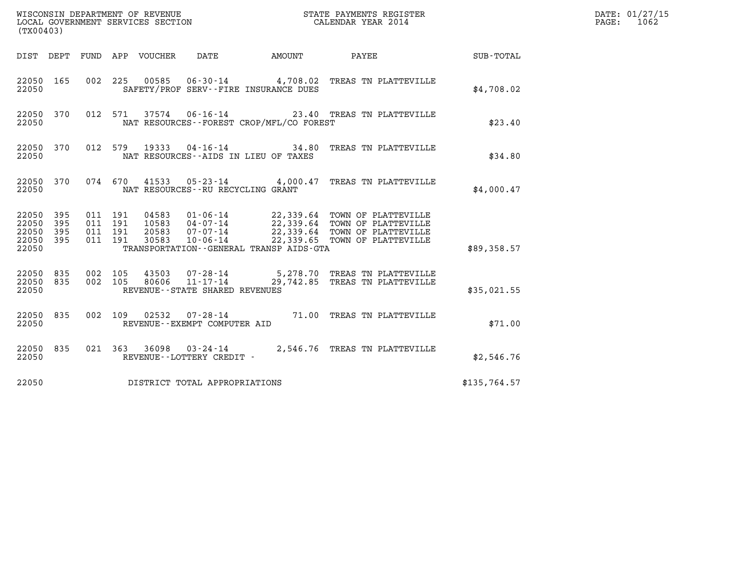| (TX00403)                                                       |                                                                                                   |                                                                                                                                                                                                          | DATE: 01/27/15<br>$\mathtt{PAGE:}$<br>1062 |  |
|-----------------------------------------------------------------|---------------------------------------------------------------------------------------------------|----------------------------------------------------------------------------------------------------------------------------------------------------------------------------------------------------------|--------------------------------------------|--|
| DIST DEPT FUND APP VOUCHER                                      | DATE                                                                                              |                                                                                                                                                                                                          |                                            |  |
| 22050 165<br>22050                                              | 00585<br>002 225<br>SAFETY/PROF SERV--FIRE INSURANCE DUES                                         | 06-30-14 4,708.02 TREAS TN PLATTEVILLE                                                                                                                                                                   | \$4,708.02                                 |  |
| 22050 370<br>22050                                              | 012 571 37574 06-16-14 23.40 TREAS TN PLATTEVILLE<br>NAT RESOURCES--FOREST CROP/MFL/CO FOREST     |                                                                                                                                                                                                          | \$23.40                                    |  |
| 22050 370<br>22050                                              | 012 579<br>19333<br>NAT RESOURCES -- AIDS IN LIEU OF TAXES                                        | 04-16-14 34.80 TREAS TN PLATTEVILLE                                                                                                                                                                      | \$34.80                                    |  |
| 22050 370<br>22050                                              | 074  670  41533  05-23-14  4,000.47  TREAS TN PLATTEVILLE<br>NAT RESOURCES - - RU RECYCLING GRANT |                                                                                                                                                                                                          | \$4,000.47                                 |  |
| 22050 395<br>395<br>22050<br>22050<br>395<br>22050 395<br>22050 | 011 191<br>011 191<br>011 191<br>011 191<br>TRANSPORTATION--GENERAL TRANSP AIDS-GTA               | 04583  01-06-14  22,339.64  TOWN OF PLATTEVILLE<br>10583  04-07-14  22,339.64  TOWN OF PLATTEVILLE<br>20583  07-07-14  22,339.64  TOWN OF PLATTEVILLE<br>30583  10-06-14  22,339.65  TOWN OF PLATTEVILLE | \$89,358.57                                |  |
| 22050 835<br>22050 835<br>22050                                 | 002 105<br>43503<br>002 105<br>80606<br>REVENUE--STATE SHARED REVENUES                            | $07 - 28 - 14$ 5,278.70 TREAS TN PLATTEVILLE<br>11-17-14 29,742.85 TREAS TN PLATTEVILLE                                                                                                                  | \$35,021.55                                |  |
| 22050 835<br>22050                                              | 002 109 02532 07-28-14 71.00 TREAS TN PLATTEVILLE<br>REVENUE--EXEMPT COMPUTER AID                 |                                                                                                                                                                                                          | \$71.00                                    |  |
| 22050 835<br>22050                                              | 021 363 36098 03-24-14 2,546.76 TREAS TN PLATTEVILLE<br>REVENUE--LOTTERY CREDIT -                 |                                                                                                                                                                                                          | \$2,546.76                                 |  |
| 22050                                                           | DISTRICT TOTAL APPROPRIATIONS                                                                     |                                                                                                                                                                                                          | \$135,764.57                               |  |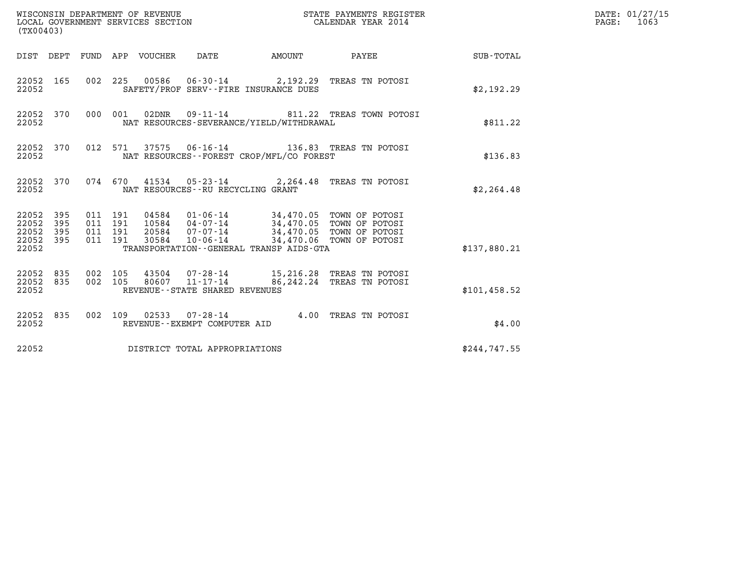| (TX00403)                                         |            |                                          |                                 | WISCONSIN DEPARTMENT OF REVENUE<br>LOCAL GOVERNMENT SERVICES SECTION |                                          | STATE PAYMENTS REGISTER<br>CALENDAR YEAR 2014                                                                                                    |               | DATE: 01/27/15<br>$\mathtt{PAGE}$ :<br>1063 |
|---------------------------------------------------|------------|------------------------------------------|---------------------------------|----------------------------------------------------------------------|------------------------------------------|--------------------------------------------------------------------------------------------------------------------------------------------------|---------------|---------------------------------------------|
|                                                   |            |                                          | DIST DEPT FUND APP VOUCHER DATE |                                                                      | <b>AMOUNT</b>                            | PAYEE                                                                                                                                            | SUB-TOTAL     |                                             |
| 22052 165<br>22052                                |            |                                          |                                 | SAFETY/PROF SERV--FIRE INSURANCE DUES                                |                                          | 002 225 00586 06-30-14 2,192.29 TREAS TN POTOSI                                                                                                  | \$2,192.29    |                                             |
| 22052 370<br>22052                                |            | 000 001                                  | 02DNR                           | $09 - 11 - 14$                                                       | NAT RESOURCES-SEVERANCE/YIELD/WITHDRAWAL | 811.22 TREAS TOWN POTOSI                                                                                                                         | \$811.22      |                                             |
| 22052 370<br>22052                                |            | 012 571                                  |                                 |                                                                      | NAT RESOURCES--FOREST CROP/MFL/CO FOREST | 37575   06-16-14   136.83   TREAS   TN POTOSI                                                                                                    | \$136.83      |                                             |
| 22052 370<br>22052                                |            |                                          |                                 | NAT RESOURCES - - RU RECYCLING GRANT                                 |                                          | 074 670 41534 05-23-14 2,264.48 TREAS TN POTOSI                                                                                                  | \$2, 264.48   |                                             |
| 22052 395<br>22052<br>22052<br>22052 395<br>22052 | 395<br>395 | 011 191<br>011 191<br>011 191<br>011 191 | 30584                           | 20584 07-07-14<br>$10 - 06 - 14$                                     | TRANSPORTATION--GENERAL TRANSP AIDS-GTA  | 04584  01-06-14  34,470.05  TOWN OF POTOSI<br>10584  04-07-14  34,470.05  TOWN OF POTOSI<br>34,470.05 TOWN OF POTOSI<br>34,470.06 TOWN OF POTOSI | \$137,880.21  |                                             |
| 22052 835<br>22052<br>22052                       | 835        | 002 105<br>002 105                       | 80607                           | 43504 07-28-14<br>$11 - 17 - 14$<br>REVENUE--STATE SHARED REVENUES   |                                          | 15,216.28 TREAS TN POTOSI<br>86,242.24 TREAS TN POTOSI                                                                                           | \$101, 458.52 |                                             |
| 22052 835<br>22052                                |            |                                          |                                 | 002 109 02533 07-28-14<br>REVENUE--EXEMPT COMPUTER AID               |                                          | 4.00 TREAS TN POTOSI                                                                                                                             | \$4.00        |                                             |
| 22052                                             |            |                                          |                                 | DISTRICT TOTAL APPROPRIATIONS                                        |                                          |                                                                                                                                                  | \$244,747.55  |                                             |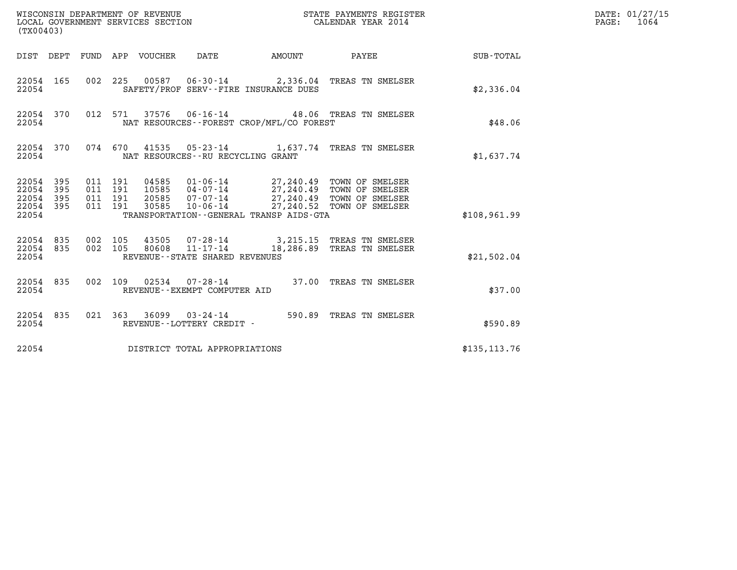| (TX00403)                                         |            |                                          |                                 |                                              |        | STATE PAYMENTS REGISTER                                                                                                                                                |                  | DATE: 01/27/15<br>$\mathtt{PAGE:}$<br>1064 |
|---------------------------------------------------|------------|------------------------------------------|---------------------------------|----------------------------------------------|--------|------------------------------------------------------------------------------------------------------------------------------------------------------------------------|------------------|--------------------------------------------|
|                                                   |            |                                          | DIST DEPT FUND APP VOUCHER DATE |                                              | AMOUNT | <b>PAYEE</b>                                                                                                                                                           | <b>SUB-TOTAL</b> |                                            |
| 22054 165<br>22054                                |            |                                          |                                 | SAFETY/PROF SERV--FIRE INSURANCE DUES        |        | 002 225 00587 06-30-14 2,336.04 TREAS TN SMELSER                                                                                                                       | \$2,336.04       |                                            |
| 22054 370<br>22054                                |            |                                          |                                 | NAT RESOURCES--FOREST CROP/MFL/CO FOREST     |        | 012 571 37576 06-16-14 48.06 TREAS TN SMELSER                                                                                                                          | \$48.06          |                                            |
| 22054 370<br>22054                                |            |                                          |                                 | NAT RESOURCES--RU RECYCLING GRANT            |        | 074 670 41535 05-23-14 1,637.74 TREAS TN SMELSER                                                                                                                       | \$1,637.74       |                                            |
| 22054 395<br>22054<br>22054<br>22054 395<br>22054 | 395<br>395 | 011 191<br>011 191<br>011 191<br>011 191 | 20585<br>30585                  | TRANSPORTATION - - GENERAL TRANSP AIDS - GTA |        | 04585  01-06-14  27,240.49  TOWN OF SMELSER<br>10585  04-07-14  27,240.49  TOWN OF SMELSER<br>07-07-14 27,240.49 TOWN OF SMELSER<br>10-06-14 27,240.52 TOWN OF SMELSER | \$108,961.99     |                                            |
| 22054 835<br>22054 835<br>22054                   |            | 002 105<br>002 105                       |                                 | REVENUE - - STATE SHARED REVENUES            |        | 43505  07-28-14  3,215.15  TREAS TN SMELSER<br>80608  11-17-14  18,286.89  TREAS TN SMELSER                                                                            | \$21,502.04      |                                            |
| 22054 835<br>22054                                |            | 002 109                                  |                                 | REVENUE--EXEMPT COMPUTER AID                 |        |                                                                                                                                                                        | \$37.00          |                                            |
| 22054 835<br>22054                                |            |                                          |                                 | REVENUE--LOTTERY CREDIT -                    |        | 021 363 36099 03-24-14 590.89 TREAS TN SMELSER                                                                                                                         | \$590.89         |                                            |
| 22054                                             |            |                                          |                                 | DISTRICT TOTAL APPROPRIATIONS                |        |                                                                                                                                                                        | \$135, 113.76    |                                            |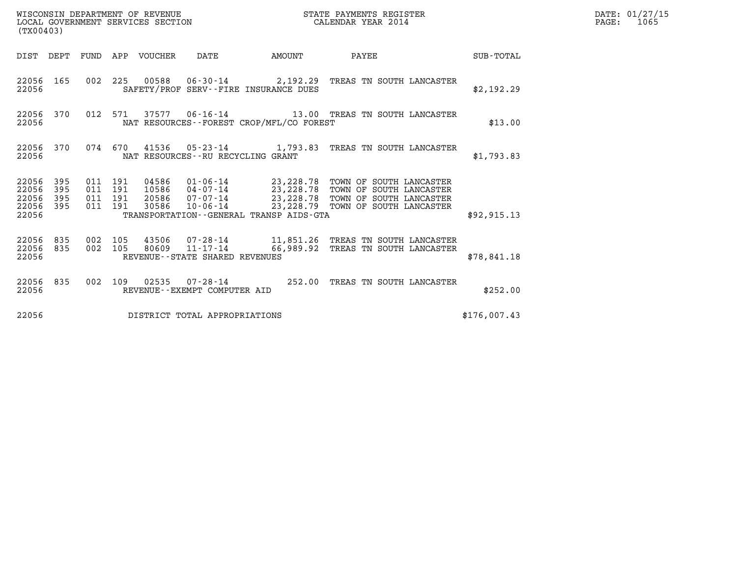| (TX00403)                                                             | WISCONSIN DEPARTMENT OF REVENUE<br>LOCAL GOVERNMENT SERVICES SECTION                                                                                                                                                                                              | STATE PAYMENTS REGISTER<br>CALENDAR YEAR 2014                                                            |              | DATE: 01/27/15<br>$\mathtt{PAGE:}$<br>1065 |
|-----------------------------------------------------------------------|-------------------------------------------------------------------------------------------------------------------------------------------------------------------------------------------------------------------------------------------------------------------|----------------------------------------------------------------------------------------------------------|--------------|--------------------------------------------|
|                                                                       |                                                                                                                                                                                                                                                                   |                                                                                                          |              |                                            |
| 22056 165<br>22056                                                    | 002 225 00588 06-30-14 2,192.29 TREAS TN SOUTH LANCASTER<br>SAFETY/PROF SERV--FIRE INSURANCE DUES                                                                                                                                                                 |                                                                                                          | \$2,192.29   |                                            |
| 22056 370<br>22056                                                    | 012 571 37577 06-16-14 13.00 TREAS TN SOUTH LANCASTER<br>NAT RESOURCES - - FOREST CROP/MFL/CO FOREST                                                                                                                                                              |                                                                                                          | \$13.00      |                                            |
| 22056 370<br>22056                                                    | 074 670 41536 05-23-14 1,793.83 TREAS TN SOUTH LANCASTER<br>NAT RESOURCES--RU RECYCLING GRANT                                                                                                                                                                     |                                                                                                          | \$1,793.83   |                                            |
| 22056<br>395<br>22056<br>395<br>22056<br>395<br>395<br>22056<br>22056 | 04586  01-06-14  23,228.78  TOWN OF SOUTH LANCASTER<br>10586  04-07-14  23,228.78  TOWN OF SOUTH LANCASTER<br>20586  07-07-14  23,228.78  TOWN OF SOUTH LANCASTER<br>011 191<br>011 191<br>011 191<br>011 191<br>30586<br>TRANSPORTATION--GENERAL TRANSP AIDS-GTA | 10-06-14 23,228.79 TOWN OF SOUTH LANCASTER                                                               | \$92, 915.13 |                                            |
| 22056 835<br>22056 835<br>22056                                       | 002 105<br>002 105<br>REVENUE--STATE SHARED REVENUES                                                                                                                                                                                                              | $43506$ 07-28-14 11,851.26 TREAS TN SOUTH LANCASTER<br>80609 11-17-14 66,989.92 TREAS TN SOUTH LANCASTER | \$78,841.18  |                                            |
| 22056 835<br>22056                                                    | 002 109 02535 07-28-14 252.00 TREAS TN SOUTH LANCASTER<br>REVENUE--EXEMPT COMPUTER AID                                                                                                                                                                            |                                                                                                          | \$252.00     |                                            |
| 22056                                                                 | DISTRICT TOTAL APPROPRIATIONS                                                                                                                                                                                                                                     |                                                                                                          | \$176,007.43 |                                            |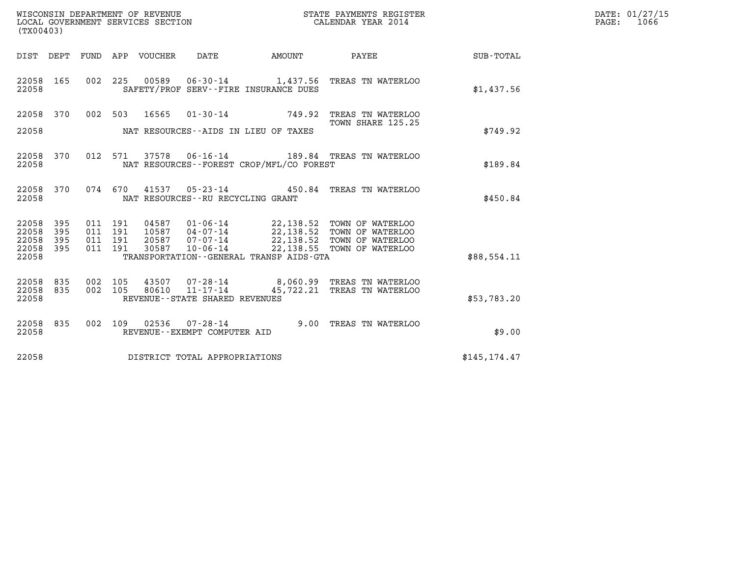| (TX00403)                                 |                          |                                          |                                 | WISCONSIN DEPARTMENT OF REVENUE<br>LOCAL GOVERNMENT SERVICES SECTION |                                              | STATE PAYMENTS REGISTER<br>CALENDAR YEAR 2014                                                                                                                              |               | DATE: 01/27/15<br>$\mathtt{PAGE:}$<br>1066 |
|-------------------------------------------|--------------------------|------------------------------------------|---------------------------------|----------------------------------------------------------------------|----------------------------------------------|----------------------------------------------------------------------------------------------------------------------------------------------------------------------------|---------------|--------------------------------------------|
|                                           |                          |                                          | DIST DEPT FUND APP VOUCHER DATE |                                                                      | <b>AMOUNT</b>                                | PAYEE                                                                                                                                                                      | SUB-TOTAL     |                                            |
| 22058 165<br>22058                        |                          |                                          |                                 |                                                                      | SAFETY/PROF SERV--FIRE INSURANCE DUES        | 002 225 00589 06-30-14 1,437.56 TREAS TN WATERLOO                                                                                                                          | \$1,437.56    |                                            |
|                                           |                          |                                          |                                 |                                                                      |                                              | 22058 370 002 503 16565 01-30-14 749.92 TREAS TN WATERLOO                                                                                                                  |               |                                            |
| 22058                                     |                          |                                          |                                 |                                                                      | NAT RESOURCES--AIDS IN LIEU OF TAXES         | TOWN SHARE 125.25                                                                                                                                                          | \$749.92      |                                            |
| 22058 370<br>22058                        |                          | 012 571                                  |                                 |                                                                      | NAT RESOURCES - - FOREST CROP/MFL/CO FOREST  | 37578  06-16-14  189.84  TREAS TN WATERLOO                                                                                                                                 | \$189.84      |                                            |
| 22058 370<br>22058                        |                          |                                          |                                 | NAT RESOURCES -- RU RECYCLING GRANT                                  |                                              | 074 670 41537 05-23-14 450.84 TREAS TN WATERLOO                                                                                                                            | \$450.84      |                                            |
| 22058<br>22058<br>22058<br>22058<br>22058 | 395<br>395<br>395<br>395 | 011 191<br>011 191<br>011 191<br>011 191 | 30587                           | $10 - 06 - 14$                                                       | TRANSPORTATION - - GENERAL TRANSP AIDS - GTA | 04587  01-06-14  22,138.52  TOWN OF WATERLOO<br>10587  04-07-14  22,138.52  TOWN OF WATERLOO<br>20587  07-07-14  22,138.52  TOWN OF WATERLOO<br>22,138.55 TOWN OF WATERLOO | \$88.554.11   |                                            |
| 22058 835<br>22058 835<br>22058           |                          | 002 105<br>002 105                       | 80610                           | $11 - 17 - 14$<br>REVENUE - - STATE SHARED REVENUES                  |                                              | 43507 07-28-14 8,060.99 TREAS TN WATERLOO<br>45,722.21 TREAS TN WATERLOO                                                                                                   | \$53,783.20   |                                            |
| 22058 835<br>22058                        |                          |                                          |                                 | 002 109 02536 07-28-14<br>REVENUE--EXEMPT COMPUTER AID               |                                              | 9.00 TREAS TN WATERLOO                                                                                                                                                     | \$9.00        |                                            |
| 22058                                     |                          |                                          |                                 | DISTRICT TOTAL APPROPRIATIONS                                        |                                              |                                                                                                                                                                            | \$145, 174.47 |                                            |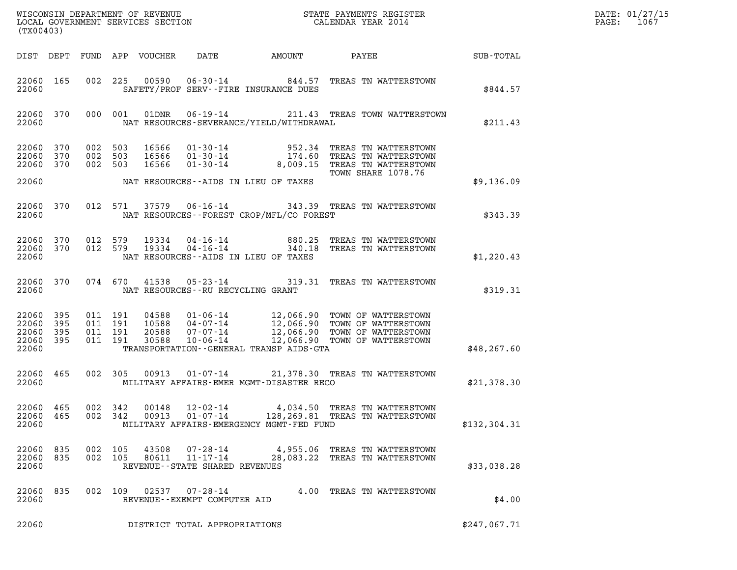| (TX00403)                                             |           |                                          |                            |                                                              |                                          | DATE: 01/27/15<br>1067<br>$\mathtt{PAGE:}$                                                                                                                                                           |               |  |
|-------------------------------------------------------|-----------|------------------------------------------|----------------------------|--------------------------------------------------------------|------------------------------------------|------------------------------------------------------------------------------------------------------------------------------------------------------------------------------------------------------|---------------|--|
|                                                       |           |                                          | DIST DEPT FUND APP VOUCHER | DATE                                                         | AMOUNT                                   | PAYEE SUB-TOTAL                                                                                                                                                                                      |               |  |
| 22060 165<br>22060                                    |           |                                          | 002 225 00590              |                                                              | SAFETY/PROF SERV--FIRE INSURANCE DUES    | 06-30-14 844.57 TREAS TN WATTERSTOWN                                                                                                                                                                 | \$844.57      |  |
| 22060                                                 | 22060 370 |                                          | 000 001<br>01DNR           |                                                              | NAT RESOURCES-SEVERANCE/YIELD/WITHDRAWAL | 06-19-14 211.43 TREAS TOWN WATTERSTOWN                                                                                                                                                               | \$211.43      |  |
| 22060 370<br>22060 370                                | 22060 370 | 002 503<br>002 503<br>002 503            | 16566                      |                                                              |                                          | 16566   01-30-14   952.34 TREAS TN WATTERSTOWN<br>16566   01-30-14   174.60 TREAS TN WATTERSTOWN<br>16566   01-30-14   8,009.15 TREAS TN WATTERSTOWN<br>TOWN SHARE 1078.76                           |               |  |
| 22060                                                 |           |                                          |                            |                                                              | NAT RESOURCES--AIDS IN LIEU OF TAXES     |                                                                                                                                                                                                      | \$9,136.09    |  |
| 22060                                                 | 22060 370 |                                          |                            |                                                              | NAT RESOURCES--FOREST CROP/MFL/CO FOREST | 012 571 37579 06-16-14 343.39 TREAS TN WATTERSTOWN                                                                                                                                                   | \$343.39      |  |
| 22060 370<br>22060 370<br>22060                       |           | 012 579                                  | 19334<br>012 579 19334     |                                                              | NAT RESOURCES--AIDS IN LIEU OF TAXES     | 04-16-14 880.25 TREAS TN WATTERSTOWN<br>04-16-14 340.18 TREAS TN WATTERSTOWN                                                                                                                         | \$1,220.43    |  |
| 22060                                                 | 22060 370 |                                          |                            | NAT RESOURCES--RU RECYCLING GRANT                            |                                          | 074 670 41538 05-23-14 319.31 TREAS TN WATTERSTOWN                                                                                                                                                   | \$319.31      |  |
| 22060 395<br>22060<br>22060 395<br>22060 395<br>22060 | 395       | 011 191<br>011 191<br>011 191<br>011 191 |                            |                                                              | TRANSPORTATION--GENERAL TRANSP AIDS-GTA  | 04588  01-06-14  12,066.90 TOWN OF WATTERSTOWN<br>10588  04-07-14  12,066.90 TOWN OF WATTERSTOWN<br>20588  07-07-14  12,066.90 TOWN OF WATTERSTOWN<br>30588  10-06-14  12,066.90 TOWN OF WATTERSTOWN | \$48, 267.60  |  |
| 22060 465<br>22060                                    |           | 002 305                                  | 00913                      |                                                              | MILITARY AFFAIRS-EMER MGMT-DISASTER RECO | 01-07-14 21,378.30 TREAS TN WATTERSTOWN                                                                                                                                                              | \$21,378.30   |  |
| 22060 465<br>22060 465<br>22060                       |           | 002 342<br>002 342                       | 00148<br>00913             | $12 - 02 - 14$<br>$01 - 07 - 14$                             | MILITARY AFFAIRS-EMERGENCY MGMT-FED FUND | 4,034.50 TREAS TN WATTERSTOWN<br>128, 269.81 TREAS TN WATTERSTOWN                                                                                                                                    | \$132, 304.31 |  |
| 22060 835<br>22060 835<br>22060                       |           | 002 105<br>002 105                       | 43508<br>80611             | 07-28-14<br>$11 - 17 - 14$<br>REVENUE--STATE SHARED REVENUES |                                          | 4,955.06 TREAS TN WATTERSTOWN<br>28,083.22 TREAS TN WATTERSTOWN                                                                                                                                      | \$33,038.28   |  |
| 22060 835<br>22060                                    |           |                                          |                            | 002 109 02537 07-28-14<br>REVENUE--EXEMPT COMPUTER AID       |                                          | 4.00 TREAS TN WATTERSTOWN                                                                                                                                                                            | \$4.00        |  |
| 22060                                                 |           |                                          |                            | DISTRICT TOTAL APPROPRIATIONS                                |                                          |                                                                                                                                                                                                      | \$247,067.71  |  |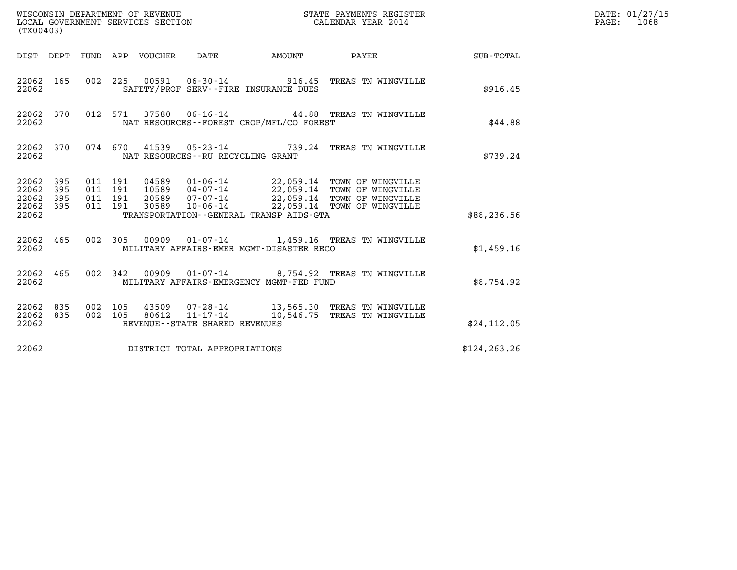| (TX00403)                                                    |                                          |                                                                                                                                                                                                                                             |                           | STATE PAYMENTS REGISTER                                                                       |                    | DATE: 01/27/15<br>$\mathtt{PAGE:}$<br>1068 |
|--------------------------------------------------------------|------------------------------------------|---------------------------------------------------------------------------------------------------------------------------------------------------------------------------------------------------------------------------------------------|---------------------------|-----------------------------------------------------------------------------------------------|--------------------|--------------------------------------------|
|                                                              | DIST DEPT FUND APP VOUCHER DATE          |                                                                                                                                                                                                                                             | <b>EXAMPLE THE AMOUNT</b> | PAYEE                                                                                         | <b>SUB - TOTAL</b> |                                            |
| 22062 165<br>22062                                           |                                          | SAFETY/PROF SERV--FIRE INSURANCE DUES                                                                                                                                                                                                       |                           | 002 225 00591 06-30-14 916.45 TREAS TN WINGVILLE                                              | \$916.45           |                                            |
| 22062 370<br>22062                                           |                                          | NAT RESOURCES--FOREST CROP/MFL/CO FOREST                                                                                                                                                                                                    |                           | 012 571 37580 06-16-14 44.88 TREAS TN WINGVILLE                                               | \$44.88            |                                            |
| 22062 370<br>22062                                           |                                          | NAT RESOURCES--RU RECYCLING GRANT                                                                                                                                                                                                           |                           | 074 670 41539 05-23-14 739.24 TREAS TN WINGVILLE                                              | \$739.24           |                                            |
| 22062 395<br>22062 395<br>22062<br>395<br>22062 395<br>22062 | 011 191<br>011 191<br>011 191<br>011 191 | 04589  01-06-14  22,059.14  TOWN OF WINGVILLE<br>10589  04-07-14  22,059.14  TOWN OF WINGVILLE<br>20589  07-07-14  22,059.14  TOWN OF WINGVILLE<br>30589  10-06-14  22,059.14  TOWN OF WINGVILLE<br>TRANSPORTATION--GENERAL TRANSP AIDS-GTA |                           |                                                                                               | \$88,236.56        |                                            |
| 22062 465<br>22062                                           |                                          | MILITARY AFFAIRS-EMER MGMT-DISASTER RECO                                                                                                                                                                                                    |                           | 002 305 00909 01-07-14 1,459.16 TREAS TN WINGVILLE                                            | \$1,459.16         |                                            |
| 22062 465<br>22062                                           | 002 342                                  | MILITARY AFFAIRS-EMERGENCY MGMT-FED FUND                                                                                                                                                                                                    |                           | 00909  01-07-14  8,754.92  TREAS TN WINGVILLE                                                 | \$8,754.92         |                                            |
| 22062 835<br>22062 835<br>22062                              | 002 105<br>002 105                       | REVENUE - - STATE SHARED REVENUES                                                                                                                                                                                                           |                           | 43509  07-28-14  13,565.30  TREAS TN WINGVILLE<br>80612 11-17-14 10,546.75 TREAS TN WINGVILLE | \$24, 112.05       |                                            |
| 22062                                                        |                                          | DISTRICT TOTAL APPROPRIATIONS                                                                                                                                                                                                               |                           |                                                                                               | \$124, 263.26      |                                            |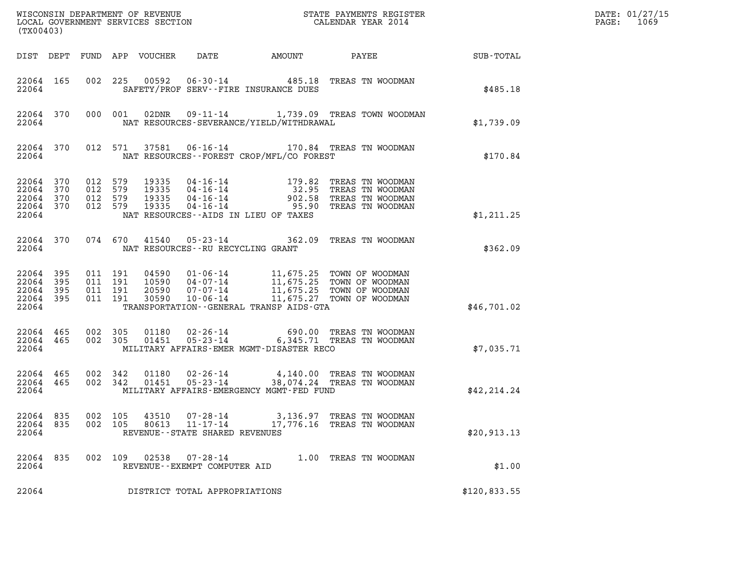| (TX00403)                                             |           |                                          |         |                                  |                                                                 |                                              |                                                                                                                                                                        |              | DATE: 01/27/15<br>1069<br>$\mathtt{PAGE:}$ |
|-------------------------------------------------------|-----------|------------------------------------------|---------|----------------------------------|-----------------------------------------------------------------|----------------------------------------------|------------------------------------------------------------------------------------------------------------------------------------------------------------------------|--------------|--------------------------------------------|
|                                                       |           |                                          |         | DIST DEPT FUND APP VOUCHER       | DATE                                                            | AMOUNT                                       | PAYEE                                                                                                                                                                  | SUB-TOTAL    |                                            |
| 22064 165<br>22064                                    |           |                                          |         |                                  |                                                                 | SAFETY/PROF SERV--FIRE INSURANCE DUES        | 002 225 00592 06-30-14 485.18 TREAS TN WOODMAN                                                                                                                         | \$485.18     |                                            |
| 22064                                                 | 22064 370 |                                          | 000 001 | 02DNR                            |                                                                 | NAT RESOURCES-SEVERANCE/YIELD/WITHDRAWAL     | 09-11-14 1,739.09 TREAS TOWN WOODMAN                                                                                                                                   | \$1,739.09   |                                            |
| 22064                                                 | 22064 370 |                                          | 012 571 | 37581                            |                                                                 | NAT RESOURCES--FOREST CROP/MFL/CO FOREST     | 06-16-14 170.84 TREAS TN WOODMAN                                                                                                                                       | \$170.84     |                                            |
| 22064 370<br>22064<br>22064 370<br>22064 370<br>22064 | 370       | 012 579<br>012 579<br>012 579<br>012 579 |         | 19335<br>19335<br>19335<br>19335 | $04 - 16 - 14$                                                  | NAT RESOURCES -- AIDS IN LIEU OF TAXES       | 04-16-14 179.82 TREAS TN WOODMAN<br>04-16-14 32.95 TREAS TN WOODMAN<br>04-16-14 902.58 TREAS TN WOODMAN<br>04-16-14 95.90 TREAS TN WOODMAN<br>95.90 TREAS TN WOODMAN   | \$1,211.25   |                                            |
| 22064                                                 | 22064 370 | 074 670                                  |         | 41540                            |                                                                 | NAT RESOURCES - - RU RECYCLING GRANT         | 05-23-14 362.09 TREAS TN WOODMAN                                                                                                                                       | \$362.09     |                                            |
| 22064<br>22064 395<br>22064 395<br>22064 395<br>22064 | 395       | 011 191<br>011 191<br>011 191<br>011 191 |         | 30590                            | $10 - 06 - 14$                                                  | TRANSPORTATION - - GENERAL TRANSP AIDS - GTA | 04590  01-06-14  11,675.25  TOWN OF WOODMAN<br>10590  04-07-14  11,675.25  TOWN OF WOODMAN<br>20590  07-07-14  11,675.25  TOWN OF WOODMAN<br>11,675.27 TOWN OF WOODMAN | \$46,701.02  |                                            |
| 22064 465<br>22064 465<br>22064                       |           | 002 305<br>002 305                       |         | 01180<br>01451                   | 02-26-14<br>$05 - 23 - 14$                                      | MILITARY AFFAIRS-EMER MGMT-DISASTER RECO     | 690.00 TREAS TN WOODMAN<br>6,345.71 TREAS TN WOODMAN                                                                                                                   | \$7,035.71   |                                            |
| 22064 465<br>22064 465<br>22064                       |           | 002 342<br>002 342                       |         | 01180<br>01451                   | $05 - 23 - 14$                                                  | MILITARY AFFAIRS-EMERGENCY MGMT-FED FUND     | 02-26-14 4,140.00 TREAS TN WOODMAN<br>38,074.24 TREAS TN WOODMAN                                                                                                       | \$42, 214.24 |                                            |
| 22064 835<br>22064 835<br>22064                       |           | 002 105<br>002 105                       |         | 43510<br>80613                   | 07-28-14<br>$11 - 17 - 14$<br>REVENUE - - STATE SHARED REVENUES |                                              | 3,136.97 TREAS TN WOODMAN<br>17,776.16 TREAS TN WOODMAN                                                                                                                | \$20,913.13  |                                            |
| 22064<br>22064                                        | 835       | 002 109                                  |         | 02538                            | $07 - 28 - 14$<br>REVENUE--EXEMPT COMPUTER AID                  |                                              | 1.00 TREAS TN WOODMAN                                                                                                                                                  | \$1.00       |                                            |
| 22064                                                 |           |                                          |         |                                  | DISTRICT TOTAL APPROPRIATIONS                                   |                                              |                                                                                                                                                                        | \$120,833.55 |                                            |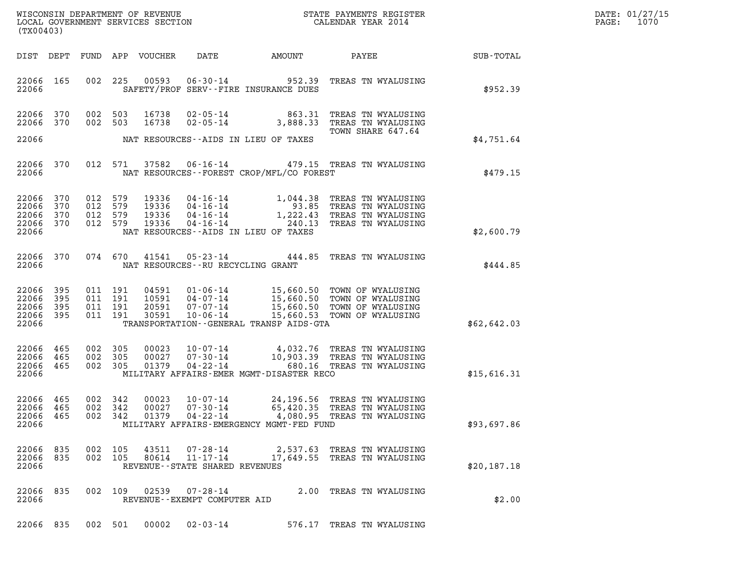| DATE: | 01/27/15 |
|-------|----------|
| PAGE: | 1070     |

| (TX00403)                                    |                          |                                          |                    | WISCONSIN DEPARTMENT OF REVENUE<br>LOCAL GOVERNMENT SERVICES SECTION |                                                                    |                                                                | STATE PAYMENTS REGISTER<br>CALENDAR YEAR 2014                                                                            |             | DATE: 01/27/15<br>PAGE:<br>1070 |
|----------------------------------------------|--------------------------|------------------------------------------|--------------------|----------------------------------------------------------------------|--------------------------------------------------------------------|----------------------------------------------------------------|--------------------------------------------------------------------------------------------------------------------------|-------------|---------------------------------|
| DIST DEPT                                    |                          |                                          |                    | FUND APP VOUCHER                                                     | DATE                                                               | AMOUNT                                                         | <b>PAYEE</b> PAYEE                                                                                                       | SUB-TOTAL   |                                 |
| 22066 165<br>22066                           |                          | 002                                      | 225                | 00593                                                                |                                                                    | $06 - 30 - 14$ 952.39<br>SAFETY/PROF SERV--FIRE INSURANCE DUES | TREAS TN WYALUSING                                                                                                       | \$952.39    |                                 |
| 22066 370<br>22066                           | 370                      | 002 503<br>002 503                       |                    | 16738<br>16738                                                       | 02-05-14<br>$02 - 05 - 14$                                         | 863.31                                                         | TREAS TN WYALUSING<br>3,888.33 TREAS TN WYALUSING<br>TOWN SHARE 647.64                                                   |             |                                 |
| 22066                                        |                          |                                          |                    |                                                                      |                                                                    | NAT RESOURCES--AIDS IN LIEU OF TAXES                           |                                                                                                                          | \$4,751.64  |                                 |
| 22066 370<br>22066                           |                          |                                          | 012 571            | 37582                                                                |                                                                    | NAT RESOURCES--FOREST CROP/MFL/CO FOREST                       | 06-16-14 479.15 TREAS TN WYALUSING                                                                                       | \$479.15    |                                 |
| 22066<br>22066<br>22066<br>22066<br>22066    | 370<br>370<br>370<br>370 | 012 579<br>012 579<br>012 579<br>012 579 |                    | 19336<br>19336<br>19336<br>19336                                     | 04-16-14<br>04-16-14<br>$04 - 16 - 14$<br>$04 - 16 - 14$<br>$1,$   | 93.85<br>240.13<br>NAT RESOURCES--AIDS IN LIEU OF TAXES        | 04-16-14 1,044.38 TREAS TN WYALUSING<br>TREAS TN WYALUSING<br>1,222.43 TREAS TN WYALUSING<br>TREAS TN WYALUSING          | \$2,600.79  |                                 |
| 22066 370<br>22066                           |                          |                                          | 074 670            | 41541                                                                | NAT RESOURCES -- RU RECYCLING GRANT                                | $05 - 23 - 14$ 444.85                                          | TREAS TN WYALUSING                                                                                                       | \$444.85    |                                 |
| 22066<br>22066<br>22066<br>22066<br>22066    | 395<br>395<br>395<br>395 | 011 191<br>011 191<br>011 191<br>011 191 |                    | 04591<br>10591<br>20591<br>30591                                     | 01-06-14<br>04-07-14<br>07-07-14<br>$10 - 06 - 14$                 | TRANSPORTATION--GENERAL TRANSP AIDS-GTA                        | 15,660.50 TOWN OF WYALUSING<br>15,660.50 TOWN OF WYALUSING<br>15,660.50 TOWN OF WYALUSING<br>15,660.53 TOWN OF WYALUSING | \$62,642.03 |                                 |
| 22066<br>22066<br>22066<br>22066             | 465<br>465<br>465        | 002 305<br>002<br>002 305                | 305                | 00023<br>00027<br>01379                                              | $07 - 30 - 14$<br>04-22-14                                         | MILITARY AFFAIRS-EMER MGMT-DISASTER RECO                       | 10-07-14 4,032.76 TREAS TN WYALUSING<br>10,903.39 TREAS TN WYALUSING<br>680.16 TREAS TN WYALUSING                        | \$15,616.31 |                                 |
| 22066 465<br>22066 465<br>22066 465<br>22066 |                          | 002 342<br>002 342<br>002 342            |                    | 00023<br>00027<br>01379                                              | 10-07-14<br>$07 - 30 - 14$<br>04-22-14                             | MILITARY AFFAIRS-EMERGENCY MGMT-FED FUND                       | 24,196.56 TREAS TN WYALUSING<br>65,420.35 TREAS TN WYALUSING<br>4,080.95 TREAS TN WYALUSING                              | \$93,697.86 |                                 |
| 22066 835<br>22066<br>22066                  | 835                      |                                          | 002 105<br>002 105 | 43511<br>80614                                                       | $07 - 28 - 14$<br>$11 - 17 - 14$<br>REVENUE--STATE SHARED REVENUES |                                                                | 2,537.63 TREAS TN WYALUSING<br>17,649.55 TREAS TN WYALUSING                                                              | \$20,187.18 |                                 |
| 22066 835<br>22066                           |                          |                                          | 002 109            |                                                                      | $02539$ $07 - 28 - 14$<br>REVENUE - - EXEMPT COMPUTER AID          |                                                                | 2.00 TREAS TN WYALUSING                                                                                                  | \$2.00      |                                 |

22066 835 002 501 00002 02-03-14 576.17 TREAS TN WYALUSING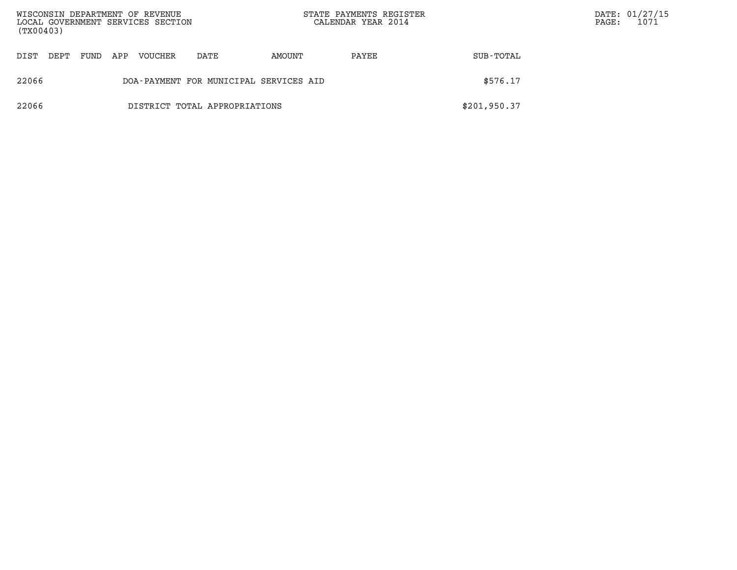| (TX00403) |      |      |     | WISCONSIN DEPARTMENT OF REVENUE<br>LOCAL GOVERNMENT SERVICES SECTION |                                        |        | STATE PAYMENTS REGISTER<br>CALENDAR YEAR 2014 |              | $\mathtt{PAGE:}$ | DATE: 01/27/15<br>1071 |
|-----------|------|------|-----|----------------------------------------------------------------------|----------------------------------------|--------|-----------------------------------------------|--------------|------------------|------------------------|
| DIST      | DEPT | FUND | APP | VOUCHER                                                              | DATE                                   | AMOUNT | PAYEE                                         | SUB-TOTAL    |                  |                        |
| 22066     |      |      |     |                                                                      | DOA-PAYMENT FOR MUNICIPAL SERVICES AID |        |                                               | \$576.17     |                  |                        |
| 22066     |      |      |     |                                                                      | DISTRICT TOTAL APPROPRIATIONS          |        |                                               | \$201,950.37 |                  |                        |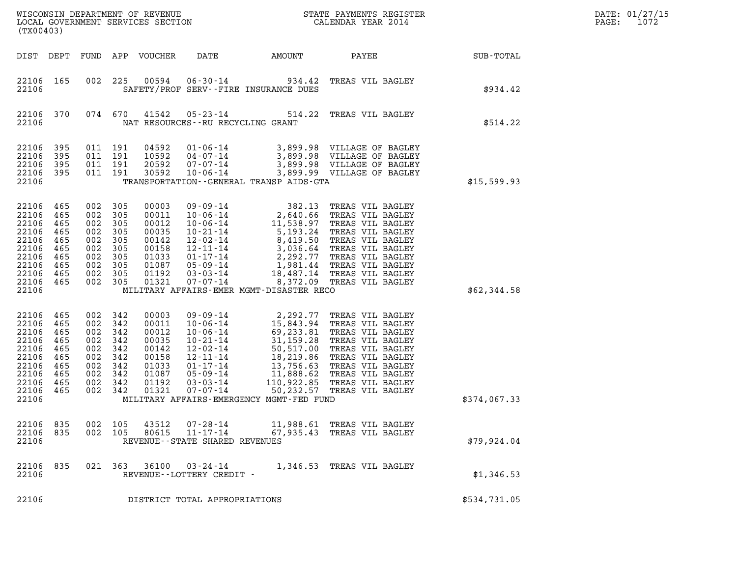| (TX00403)                                                                                               |                                                                    |                                                                                                            |                   |                                                                                        |                                                           |                                              |                                                                                                                                                                                                                                                                                     |              | DATE: 01/27/15<br>PAGE:<br>1072 |
|---------------------------------------------------------------------------------------------------------|--------------------------------------------------------------------|------------------------------------------------------------------------------------------------------------|-------------------|----------------------------------------------------------------------------------------|-----------------------------------------------------------|----------------------------------------------|-------------------------------------------------------------------------------------------------------------------------------------------------------------------------------------------------------------------------------------------------------------------------------------|--------------|---------------------------------|
| DIST DEPT                                                                                               |                                                                    |                                                                                                            |                   | FUND APP VOUCHER                                                                       | DATE                                                      | AMOUNT                                       |                                                                                                                                                                                                                                                                                     |              |                                 |
| 22106 165<br>22106                                                                                      |                                                                    | 002                                                                                                        | 225               |                                                                                        |                                                           | SAFETY/PROF SERV--FIRE INSURANCE DUES        | 00594  06-30-14  934.42  TREAS VIL BAGLEY                                                                                                                                                                                                                                           | \$934.42     |                                 |
| 22106 370<br>22106                                                                                      |                                                                    |                                                                                                            | 074 670           | 41542                                                                                  | NAT RESOURCES - - RU RECYCLING GRANT                      |                                              | 05-23-14 514.22 TREAS VIL BAGLEY                                                                                                                                                                                                                                                    | \$514.22     |                                 |
| 22106<br>22106<br>22106<br>22106<br>22106                                                               | 395<br>395<br>395<br>395                                           | 011 191<br>011 191<br>011 191<br>011 191                                                                   |                   | 04592<br>10592<br>20592<br>30592                                                       | 04-07-14<br>07-07-14<br>$10 - 06 - 14$                    | TRANSPORTATION - - GENERAL TRANSP AIDS - GTA | 01-06-14 3,899.98 VILLAGE OF BAGLEY<br>3,899.98 VILLAGE OF BAGLEY<br>3,899.98 VILLAGE OF BAGLEY<br>3,899.99 VILLAGE OF BAGLEY                                                                                                                                                       | \$15,599.93  |                                 |
| 22106 465<br>22106<br>22106<br>22106<br>22106<br>22106<br>22106<br>22106<br>22106<br>22106 465<br>22106 | 465<br>465<br>465<br>465<br>465<br>465<br>465<br>465               | 002 305<br>002 305<br>002 305<br>002 305<br>002 305<br>002 305<br>002 305<br>002 305<br>002 305<br>002 305 |                   | 00003<br>00011<br>00012<br>00035<br>00142<br>00158<br>01033<br>01087<br>01192<br>01321 | 07-07-14                                                  | MILITARY AFFAIRS-EMER MGMT-DISASTER RECO     | 09-09-14<br>10-06-14<br>2,640.66 TREAS VIL BAGLEY<br>10-06-14<br>11,538.97 TREAS VIL BAGLEY<br>10-21-14<br>5,193.24 TREAS VIL BAGLEY<br>12-02-14<br>8,419.50 TREAS VIL BAGLEY<br>12-11-14<br>2,292.77 TREAS VIL BAGLEY<br>05-09-14<br>1,981.44 TREAS V<br>8,372.09 TREAS VIL BAGLEY | \$62,344.58  |                                 |
| 22106<br>22106<br>22106<br>22106<br>22106<br>22106<br>22106<br>22106<br>22106<br>22106<br>22106         | 465<br>465<br>465<br>465<br>465<br>465<br>465<br>465<br>465<br>465 | 002 342<br>002<br>002 342<br>002<br>002 342<br>002<br>002 342<br>002 342<br>002 342<br>002 342             | 342<br>342<br>342 | 00003<br>00011<br>00012<br>00035<br>00142<br>00158<br>01033<br>01087<br>01192<br>01321 |                                                           | MILITARY AFFAIRS-EMERGENCY MGMT-FED FUND     | 09-09-14 2,292.77 TREAS VIL BAGLEY<br>09-09-14 2,292.77 TREAS VIL BAGLEY<br>10-06-14 15,843.94 TREAS VIL BAGLEY<br>10-06-14 69,233.91 TREAS VIL BAGLEY<br>10-21-14 31,159.28 TREAS VIL BAGLEY<br>12-02-14 50,517.00 TREAS VIL BAGLEY<br>12-11-14 18,219.86 TREAS VIL BAGLEY<br>0    | \$374,067.33 |                                 |
| 22106<br>22106<br>22106                                                                                 | 835<br>835                                                         | 002                                                                                                        | 105<br>002 105    | 43512<br>80615                                                                         | 07-28-14<br>11-17-14<br>REVENUE - - STATE SHARED REVENUES |                                              | 11,988.61 TREAS VIL BAGLEY<br>67,935.43 TREAS VIL BAGLEY                                                                                                                                                                                                                            | \$79.924.04  |                                 |
| 22106<br>22106                                                                                          | 835                                                                |                                                                                                            | 021 363           | 36100                                                                                  | $03 - 24 - 14$<br>REVENUE - - LOTTERY CREDIT -            |                                              | 1,346.53 TREAS VIL BAGLEY                                                                                                                                                                                                                                                           | \$1,346.53   |                                 |
| 22106                                                                                                   |                                                                    |                                                                                                            |                   |                                                                                        | DISTRICT TOTAL APPROPRIATIONS                             |                                              |                                                                                                                                                                                                                                                                                     | \$534,731.05 |                                 |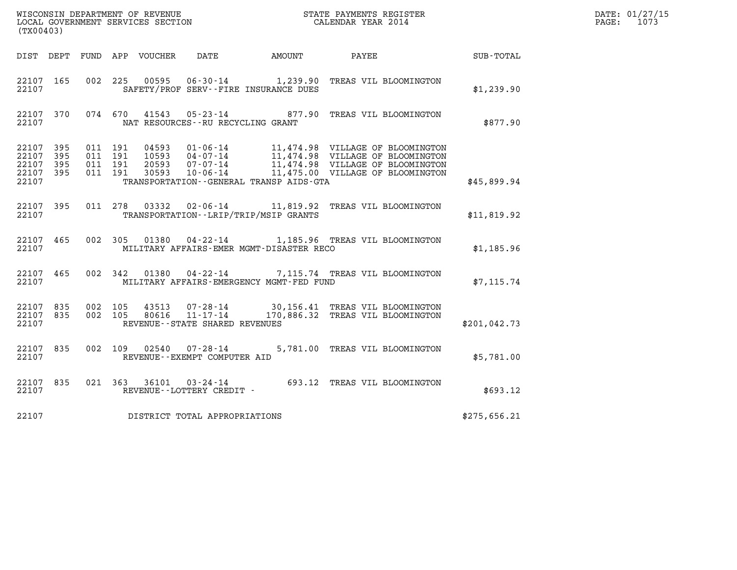| (TX00403)                                             |       |                                          |                |                                                                 |                                          | ${\tt WISCOONSIM} \begin{tabular}{lcccc} DEPARTMENT OF REVENUE & & & & & & \begin{tabular}{l} \bf STATE \end{tabular} \end{tabular} \begin{tabular}{lcccc} \bf RTATE \end{tabular} \end{tabular} \begin{tabular}{lcccc} \bf RTATE \end{tabular} \end{tabular} \begin{tabular}{lcccc} \bf RTATE \end{tabular} \end{tabular} \begin{tabular}{lcccc} \bf RTATE \end{tabular} \end{tabular} \begin{tabular}{lcccc} \bf RTATE \end{tabular} \end{tabular} \begin{tabular}{lcccc} \bf RTATE \end{tabular} \end{tabular} \begin{tabular}{lcccc} \bf RTATE \end{$ |              | DATE: 01/27/15<br>PAGE: 1073 |
|-------------------------------------------------------|-------|------------------------------------------|----------------|-----------------------------------------------------------------|------------------------------------------|-----------------------------------------------------------------------------------------------------------------------------------------------------------------------------------------------------------------------------------------------------------------------------------------------------------------------------------------------------------------------------------------------------------------------------------------------------------------------------------------------------------------------------------------------------------|--------------|------------------------------|
|                                                       |       |                                          |                |                                                                 | DIST DEPT FUND APP VOUCHER DATE AMOUNT   | PAYEE                                                                                                                                                                                                                                                                                                                                                                                                                                                                                                                                                     | SUB-TOTAL    |                              |
| 22107 165<br>22107                                    |       |                                          |                |                                                                 | SAFETY/PROF SERV--FIRE INSURANCE DUES    | 002 225 00595 06-30-14 1,239.90 TREAS VIL BLOOMINGTON                                                                                                                                                                                                                                                                                                                                                                                                                                                                                                     | \$1,239.90   |                              |
| 22107 370<br>22107                                    |       |                                          | 074 670 41543  | NAT RESOURCES - - RU RECYCLING GRANT                            |                                          | 05-23-14 877.90 TREAS VIL BLOOMINGTON                                                                                                                                                                                                                                                                                                                                                                                                                                                                                                                     | \$877.90     |                              |
| 22107 395<br>22107 395<br>22107<br>22107 395<br>22107 | - 395 | 011 191<br>011 191<br>011 191<br>011 191 | 04593          |                                                                 | TRANSPORTATION--GENERAL TRANSP AIDS-GTA  | 01-06-14 11,474.98 VILLAGE OF BLOOMINGTON<br>04-07-14 11,474.98 VILLAGE OF BLOOMINGTON                                                                                                                                                                                                                                                                                                                                                                                                                                                                    | \$45,899.94  |                              |
| 22107 395<br>22107                                    |       | 011 278                                  | 03332          |                                                                 | TRANSPORTATION - - LRIP/TRIP/MSIP GRANTS | 02-06-14 11,819.92 TREAS VIL BLOOMINGTON                                                                                                                                                                                                                                                                                                                                                                                                                                                                                                                  | \$11,819.92  |                              |
| 22107 465<br>22107                                    |       |                                          |                |                                                                 | MILITARY AFFAIRS-EMER MGMT-DISASTER RECO | 002 305 01380 04-22-14 1,185.96 TREAS VIL BLOOMINGTON                                                                                                                                                                                                                                                                                                                                                                                                                                                                                                     | \$1,185.96   |                              |
| 22107 465<br>22107                                    |       |                                          |                |                                                                 | MILITARY AFFAIRS-EMERGENCY MGMT-FED FUND | 002 342 01380 04-22-14 7,115.74 TREAS VIL BLOOMINGTON                                                                                                                                                                                                                                                                                                                                                                                                                                                                                                     | \$7,115.74   |                              |
| 22107 835<br>22107 835<br>22107                       |       | 002 105<br>002 105                       | 43513<br>80616 | 07-28-14<br>$11 - 17 - 14$<br>REVENUE - - STATE SHARED REVENUES |                                          | 30,156.41 TREAS VIL BLOOMINGTON<br>170,886.32 TREAS VIL BLOOMINGTON                                                                                                                                                                                                                                                                                                                                                                                                                                                                                       | \$201,042.73 |                              |
| 22107 835<br>22107                                    |       | 002 109                                  |                | 02540  07-28-14<br>REVENUE--EXEMPT COMPUTER AID                 |                                          | 5,781.00 TREAS VIL BLOOMINGTON                                                                                                                                                                                                                                                                                                                                                                                                                                                                                                                            | \$5,781.00   |                              |
| 22107 835<br>22107                                    |       |                                          |                | REVENUE--LOTTERY CREDIT -                                       |                                          | 021 363 36101 03-24-14 693.12 TREAS VIL BLOOMINGTON                                                                                                                                                                                                                                                                                                                                                                                                                                                                                                       | \$693.12     |                              |
| 22107                                                 |       |                                          |                | DISTRICT TOTAL APPROPRIATIONS                                   |                                          |                                                                                                                                                                                                                                                                                                                                                                                                                                                                                                                                                           | \$275,656.21 |                              |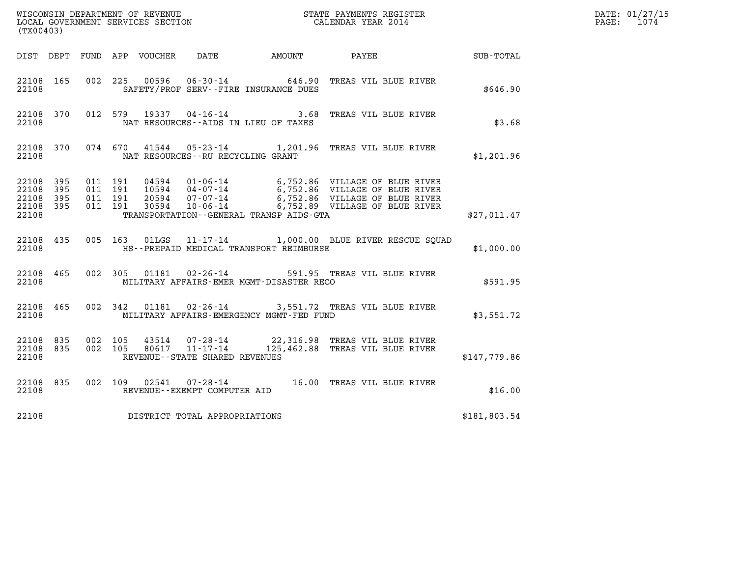| (TX00403)                                     |                   |                                          |                                                  |                                          |                                                                                                                                                                                                              |              | DATE: 01/27/15<br>1074<br>$\mathtt{PAGE:}$ |
|-----------------------------------------------|-------------------|------------------------------------------|--------------------------------------------------|------------------------------------------|--------------------------------------------------------------------------------------------------------------------------------------------------------------------------------------------------------------|--------------|--------------------------------------------|
|                                               |                   | DIST DEPT FUND APP VOUCHER DATE          |                                                  |                                          |                                                                                                                                                                                                              |              |                                            |
| 22108 165<br>22108                            |                   |                                          | SAFETY/PROF SERV--FIRE INSURANCE DUES            |                                          | 002 225 00596 06-30-14 646.90 TREAS VIL BLUE RIVER                                                                                                                                                           | \$646.90     |                                            |
| 22108 370<br>22108                            |                   |                                          | NAT RESOURCES--AIDS IN LIEU OF TAXES             |                                          | 012 579 19337 04-16-14 3.68 TREAS VIL BLUE RIVER                                                                                                                                                             | \$3.68       |                                            |
| 22108 370<br>22108                            |                   |                                          | NAT RESOURCES--RU RECYCLING GRANT                |                                          | 074 670 41544 05-23-14 1,201.96 TREAS VIL BLUE RIVER                                                                                                                                                         | \$1,201.96   |                                            |
| 22108 395<br>22108<br>22108<br>22108<br>22108 | 395<br>395<br>395 | 011 191<br>011 191<br>011 191<br>011 191 |                                                  | TRANSPORTATION--GENERAL TRANSP AIDS-GTA  | 04594  01-06-14  6,752.86  VILLAGE OF BLUE RIVER<br>10594  04-07-14  6,752.86  VILLAGE OF BLUE RIVER<br>20594  07-07-14  6,752.86  VILLAGE OF BLUE RIVER<br>30594  10-06-14  6,752.89  VILLAGE OF BLUE RIVER | \$27,011.47  |                                            |
| 22108 435<br>22108                            |                   | 005 163 01LGS                            |                                                  | HS--PREPAID MEDICAL TRANSPORT REIMBURSE  | 11-17-14 1,000.00 BLUE RIVER RESCUE SQUAD                                                                                                                                                                    | \$1,000.00   |                                            |
| 22108 465<br>22108                            |                   | 002 305 01181                            | $02 - 26 - 14$                                   | MILITARY AFFAIRS-EMER MGMT-DISASTER RECO | 591.95 TREAS VIL BLUE RIVER                                                                                                                                                                                  | \$591.95     |                                            |
| 22108 465<br>22108                            |                   |                                          |                                                  | MILITARY AFFAIRS-EMERGENCY MGMT-FED FUND | 002 342 01181 02-26-14 3,551.72 TREAS VIL BLUE RIVER                                                                                                                                                         | \$3,551.72   |                                            |
| 22108 835<br>22108<br>22108                   | 835               | 002 105<br>002 105<br>80617              | $11 - 17 - 14$<br>REVENUE--STATE SHARED REVENUES |                                          | 43514 07-28-14 22,316.98 TREAS VIL BLUE RIVER<br>125,462.88 TREAS VIL BLUE RIVER                                                                                                                             | \$147,779.86 |                                            |
| 22108 835<br>22108                            |                   | 002 109<br>02541                         | REVENUE--EXEMPT COMPUTER AID                     |                                          | 07-28-14 16.00 TREAS VIL BLUE RIVER                                                                                                                                                                          | \$16.00      |                                            |

%16.00 13.16 PEC 32108 REVENUE -- EXEMPT COMPUTER AID<br>22108 DISTRICT TOTAL APPROPRIATIONS \$181,803.54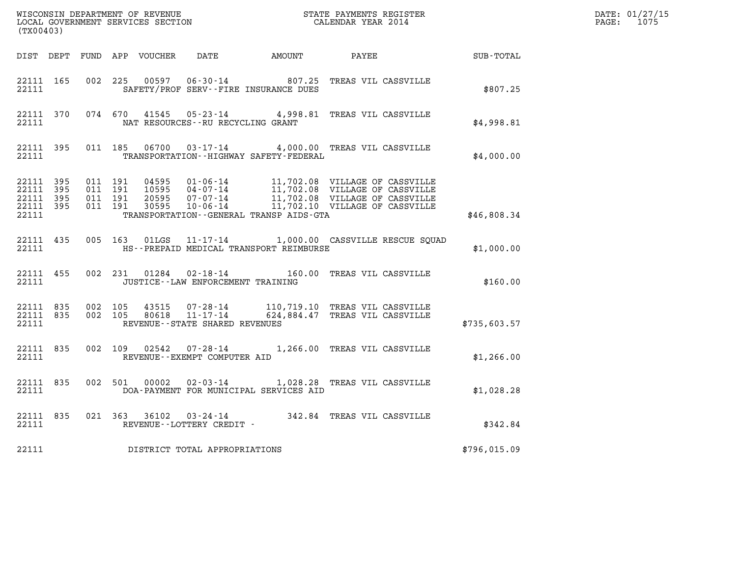| (TX00403)          |  |  |                                         |                                             | %WISCONSIN DEPARTMENT OF REVENUE $$\tt STATE$ PAYMENTS REGISTER LOCAL GOVERNMENT SERVICES SECTION $$\tt CALEINDAR$ YEAR 2014                                                                                                                                                                                                            |              | DATE: 01/27/15<br>PAGE: 1075 |
|--------------------|--|--|-----------------------------------------|---------------------------------------------|-----------------------------------------------------------------------------------------------------------------------------------------------------------------------------------------------------------------------------------------------------------------------------------------------------------------------------------------|--------------|------------------------------|
|                    |  |  |                                         |                                             | DIST DEPT FUND APP VOUCHER DATE AMOUNT PAYEE PATE SUB-TOTAL                                                                                                                                                                                                                                                                             |              |                              |
| 22111              |  |  |                                         | SAFETY/PROF SERV--FIRE INSURANCE DUES       | 22111 165 002 225 00597 06-30-14 807.25 TREAS VIL CASSVILLE                                                                                                                                                                                                                                                                             | \$807.25     |                              |
|                    |  |  | 22111 MAT RESOURCES--RU RECYCLING GRANT |                                             | 22111 370 074 670 41545 05-23-14 4,998.81 TREAS VIL CASSVILLE                                                                                                                                                                                                                                                                           | \$4,998.81   |                              |
| 22111 395<br>22111 |  |  |                                         | TRANSPORTATION - - HIGHWAY SAFETY - FEDERAL | 011 185  06700  03-17-14  4,000.00  TREAS VIL CASSVILLE                                                                                                                                                                                                                                                                                 | \$4,000.00   |                              |
| 22111              |  |  |                                         | TRANSPORTATION--GENERAL TRANSP AIDS-GTA     | $\begin{tabular}{cccc} 22111 & 395 & 011 & 191 & 04595 & 01\mbox{-}06\mbox{-}14 & 11,702.08 & \text{VILLAGE OF CASVILLE} \\ 22111 & 395 & 011 & 191 & 10595 & 04\mbox{-}07\mbox{-}14 & 11,702.08 & \text{VILLAGE OF CASVILLE} \\ 22111 & 395 & 011 & 191 & 20595 & 07\mbox{-}07\mbox{-}14 & 11,702.08 & \text{VILLAGE OF CASVILLE} \\ $ | \$46,808.34  |                              |
| 22111              |  |  |                                         | HS--PREPAID MEDICAL TRANSPORT REIMBURSE     | 22111 435 005 163 01LGS 11-17-14 1,000.00 CASSVILLE RESCUE SQUAD                                                                                                                                                                                                                                                                        | \$1,000.00   |                              |
| 22111 455<br>22111 |  |  | JUSTICE -- LAW ENFORCEMENT TRAINING     |                                             | 002 231 01284 02-18-14 160.00 TREAS VIL CASSVILLE                                                                                                                                                                                                                                                                                       | \$160.00     |                              |
| 22111 835<br>22111 |  |  | REVENUE--STATE SHARED REVENUES          |                                             | 22111 835 002 105 43515 07-28-14 110,719.10 TREAS VIL CASSVILLE<br>002 105 80618 11-17-14 624,884.47 TREAS VIL CASSVILLE                                                                                                                                                                                                                | \$735,603.57 |                              |
| 22111 835<br>22111 |  |  | REVENUE--EXEMPT COMPUTER AID            |                                             | 002 109 02542 07-28-14 1,266.00 TREAS VIL CASSVILLE                                                                                                                                                                                                                                                                                     | \$1,266.00   |                              |
| 22111 835<br>22111 |  |  |                                         | DOA-PAYMENT FOR MUNICIPAL SERVICES AID      | 002 501 00002 02-03-14 1,028.28 TREAS VIL CASSVILLE                                                                                                                                                                                                                                                                                     | \$1,028.28   |                              |
| 22111              |  |  | REVENUE--LOTTERY CREDIT -               |                                             | 22111 835 021 363 36102 03-24-14 342.84 TREAS VIL CASSVILLE                                                                                                                                                                                                                                                                             | \$342.84     |                              |
| 22111              |  |  | DISTRICT TOTAL APPROPRIATIONS           |                                             |                                                                                                                                                                                                                                                                                                                                         | \$796,015.09 |                              |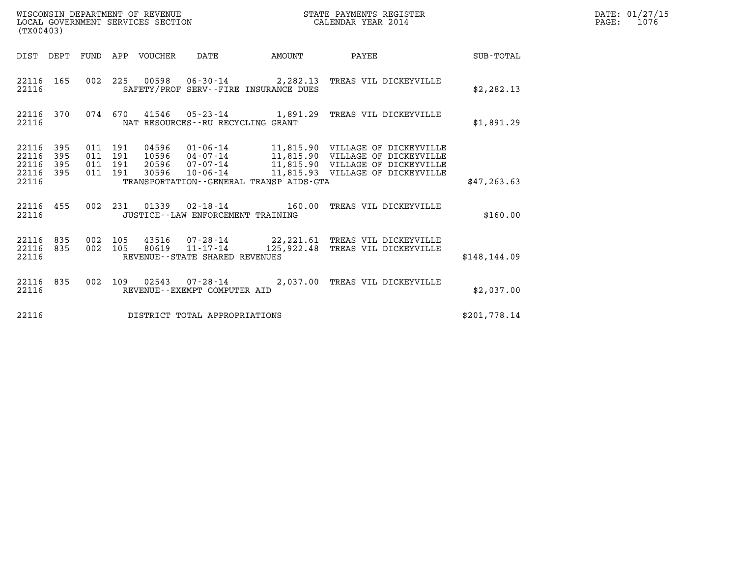| WISCONSIN DEPARTMENT OF REVENUE   | STATE PAYMENTS REGISTER | DATE: 01/27/15 |
|-----------------------------------|-------------------------|----------------|
| LOCAL GOVERNMENT SERVICES SECTION | CALENDAR YEAR 2014      | 1076<br>PAGE:  |

| (TX00403)                                 | LOCAL GOVERNMENT SERVICES SECTION<br>CALENDAR YEAR 2014                                                  |                                                                                                                                                                                                                                         |               |  |  |  |  |  |  |
|-------------------------------------------|----------------------------------------------------------------------------------------------------------|-----------------------------------------------------------------------------------------------------------------------------------------------------------------------------------------------------------------------------------------|---------------|--|--|--|--|--|--|
|                                           |                                                                                                          | DIST DEPT FUND APP VOUCHER DATE AMOUNT PAYEE                                                                                                                                                                                            | SUB-TOTAL     |  |  |  |  |  |  |
| 22116                                     | 22116 165 002 225 00598 06-30-14 2,282.13 TREAS VIL DICKEYVILLE<br>SAFETY/PROF SERV--FIRE INSURANCE DUES |                                                                                                                                                                                                                                         | \$2, 282.13   |  |  |  |  |  |  |
| 22116 370<br>22116                        | 074 670 41546 05-23-14 1,891.29 TREAS VIL DICKEYVILLE<br>NAT RESOURCES--RU RECYCLING GRANT               |                                                                                                                                                                                                                                         | \$1,891.29    |  |  |  |  |  |  |
| 22116 395<br>22116<br>395<br>22116<br>395 |                                                                                                          | 011 191 04596 01-06-14 11,815.90 VILLAGE OF DICKEYVILLE<br>011 191 10596 04-07-14 11,815.90 VILLAGE OF DICKEYVILLE<br>011 191 20596 07-07-14 11,815.90 VILLAGE OF DICKEYVILLE<br>011 191 30596 10-06-14 11,815.93 VILLAGE OF DICKEYVILL |               |  |  |  |  |  |  |
| 22116<br>395<br>22116                     | TRANSPORTATION--GENERAL TRANSP AIDS-GTA                                                                  |                                                                                                                                                                                                                                         | \$47, 263.63  |  |  |  |  |  |  |
| 22116                                     | 22116 455 002 231 01339 02-18-14 160.00 TREAS VIL DICKEYVILLE<br>JUSTICE - - LAW ENFORCEMENT TRAINING    |                                                                                                                                                                                                                                         | \$160.00      |  |  |  |  |  |  |
| 22116 835<br>002<br>22116<br>22116        | 835 002 105 80619 11-17-14 125,922.48 TREAS VIL DICKEYVILLE<br>REVENUE--STATE SHARED REVENUES            | 105 43516 07-28-14 22, 221.61 TREAS VIL DICKEYVILLE                                                                                                                                                                                     | \$148, 144.09 |  |  |  |  |  |  |
| 22116 835<br>002<br>22116                 | REVENUE--EXEMPT COMPUTER AID                                                                             | 109  02543  07-28-14  2,037.00 TREAS VIL DICKEYVILLE                                                                                                                                                                                    | \$2,037.00    |  |  |  |  |  |  |
| 22116                                     | DISTRICT TOTAL APPROPRIATIONS                                                                            |                                                                                                                                                                                                                                         | \$201,778.14  |  |  |  |  |  |  |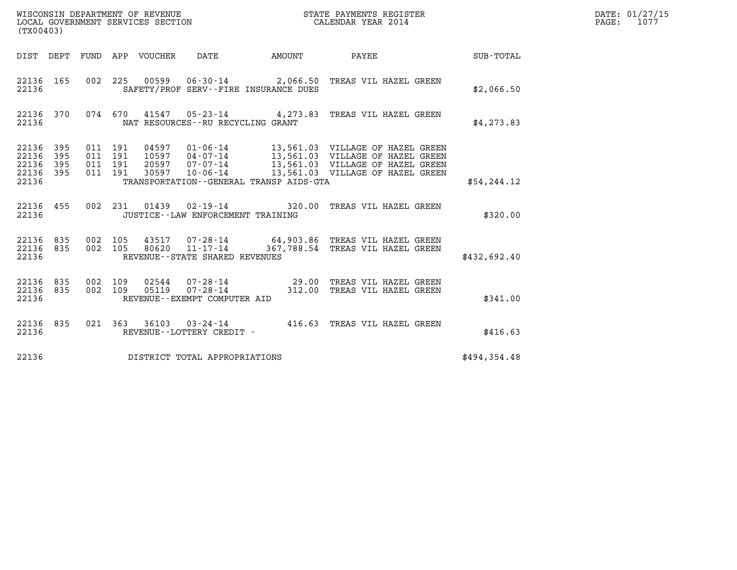| (TX00403)                                         |            |                                          |       |                                                  | WISCONSIN DEPARTMENT OF REVENUE<br>LOCAL GOVERNMENT SERVICES SECTION<br>CALENDAR YEAR 2014                                                                                                                                   |              | DATE: 01/27/15<br>$\mathtt{PAGE:}$<br>1077 |
|---------------------------------------------------|------------|------------------------------------------|-------|--------------------------------------------------|------------------------------------------------------------------------------------------------------------------------------------------------------------------------------------------------------------------------------|--------------|--------------------------------------------|
|                                                   |            |                                          |       |                                                  | DIST DEPT FUND APP VOUCHER DATE AMOUNT PAYEE TO SUB-TOTAL                                                                                                                                                                    |              |                                            |
| 22136 165<br>22136                                |            |                                          |       | SAFETY/PROF SERV--FIRE INSURANCE DUES            | 002 225 00599 06-30-14 2,066.50 TREAS VIL HAZEL GREEN                                                                                                                                                                        | \$2,066.50   |                                            |
| 22136                                             | 22136 370  |                                          |       | NAT RESOURCES--RU RECYCLING GRANT                | 074 670 41547 05-23-14 4,273.83 TREAS VIL HAZEL GREEN                                                                                                                                                                        | \$4,273.83   |                                            |
| 22136 395<br>22136<br>22136<br>22136 395<br>22136 | 395<br>395 | 011 191<br>011 191<br>011 191<br>011 191 |       | TRANSPORTATION--GENERAL TRANSP AIDS-GTA          | 04597  01-06-14   13,561.03   VILLAGE OF HAZEL GREEN<br>10597  04-07-14   13,561.03   VILLAGE OF HAZEL GREEN<br>20597  07-07-14   13,561.03   VILLAGE OF HAZEL GREEN<br>30597  10-06-14   13,561.03   VILLAGE OF HAZEL GREEN | \$54, 244.12 |                                            |
| 22136                                             | 22136 455  |                                          |       | JUSTICE - - LAW ENFORCEMENT TRAINING             | 002 231 01439 02-19-14 320.00 TREAS VIL HAZEL GREEN                                                                                                                                                                          | \$320.00     |                                            |
| 22136 835<br>22136 835<br>22136                   |            | 002 105<br>002 105                       | 80620 | $11 - 17 - 14$<br>REVENUE--STATE SHARED REVENUES | 43517 07-28-14 64,903.86 TREAS VIL HAZEL GREEN<br>367,788.54 TREAS VIL HAZEL GREEN                                                                                                                                           | \$432,692.40 |                                            |
| 22136 835<br>22136 835<br>22136                   |            | 002 109<br>002 109                       |       | REVENUE--EXEMPT COMPUTER AID                     | 02544  07-28-14  29.00 TREAS VIL HAZEL GREEN<br>05119  07-28-14  312.00 TREAS VIL HAZEL GREEN                                                                                                                                | \$341.00     |                                            |
| 22136 835<br>22136                                |            |                                          |       | REVENUE--LOTTERY CREDIT -                        | 021  363  36103  03-24-14  416.63  TREAS VIL HAZEL GREEN                                                                                                                                                                     | \$416.63     |                                            |
| 22136                                             |            |                                          |       | DISTRICT TOTAL APPROPRIATIONS                    |                                                                                                                                                                                                                              | \$494,354.48 |                                            |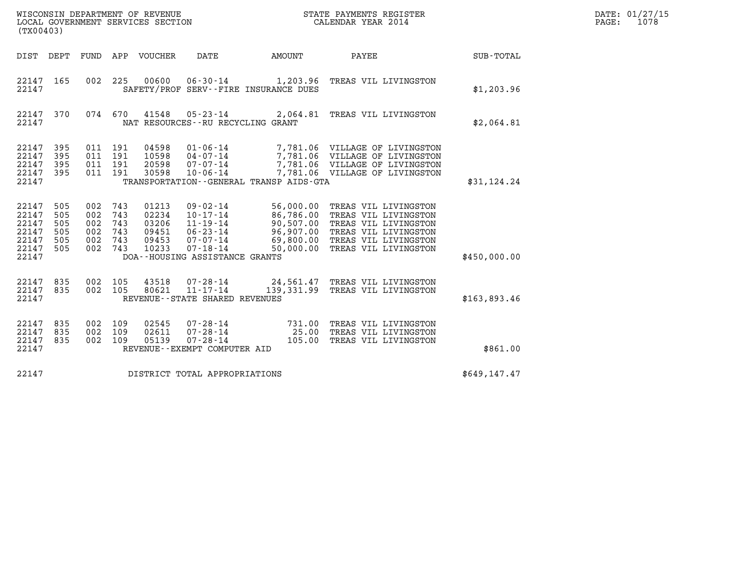| WISCONSIN DEPARTMENT OF REVENUE<br>LOCAL GOVERNMENT SERVICES SECTION<br>(TX00403) |                                        |                                        |                                        |                                                    |                                                                                                                                            |                                                   | STATE PAYMENTS REGISTER<br>CALENDAR YEAR 2014                                                                                                                                        |              | DATE: 01/27/15<br>1078<br>PAGE: |
|-----------------------------------------------------------------------------------|----------------------------------------|----------------------------------------|----------------------------------------|----------------------------------------------------|--------------------------------------------------------------------------------------------------------------------------------------------|---------------------------------------------------|--------------------------------------------------------------------------------------------------------------------------------------------------------------------------------------|--------------|---------------------------------|
| DIST DEPT                                                                         |                                        | FUND                                   |                                        | APP VOUCHER                                        | DATE                                                                                                                                       | AMOUNT                                            | PAYEE                                                                                                                                                                                | SUB-TOTAL    |                                 |
| 22147 165<br>22147                                                                |                                        | 002                                    | 225                                    | 00600                                              | $06 - 30 - 14$                                                                                                                             | 1,203.96<br>SAFETY/PROF SERV--FIRE INSURANCE DUES | TREAS VIL LIVINGSTON                                                                                                                                                                 | \$1,203.96   |                                 |
| 22147 370<br>22147                                                                |                                        | 074 670                                |                                        | 41548                                              | $05 - 23 - 14$<br>NAT RESOURCES -- RU RECYCLING GRANT                                                                                      |                                                   | 2,064.81 TREAS VIL LIVINGSTON                                                                                                                                                        | \$2,064.81   |                                 |
| 22147<br>22147<br>22147<br>22147<br>22147                                         | 395<br>395<br>395<br>395               | 011<br>011<br>011<br>011 191           | 191<br>191<br>191                      | 04598<br>10598<br>20598<br>30598                   | $01 - 06 - 14$<br>$04 - 07 - 14$<br>$07 - 07 - 14$<br>$10 - 06 - 14$                                                                       | TRANSPORTATION--GENERAL TRANSP AIDS-GTA           | 7,781.06 VILLAGE OF LIVINGSTON<br>7,781.06 VILLAGE OF LIVINGSTON<br>7,781.06 VILLAGE OF LIVINGSTON<br>7,781.06 VILLAGE OF LIVINGSTON                                                 | \$31,124.24  |                                 |
| 22147<br>22147<br>22147<br>22147<br>22147<br>22147<br>22147                       | 505<br>505<br>505<br>505<br>505<br>505 | 002<br>002<br>002<br>002<br>002<br>002 | 743<br>743<br>743<br>743<br>743<br>743 | 01213<br>02234<br>03206<br>09451<br>09453<br>10233 | $09 - 02 - 14$<br>$10 - 17 - 14$<br>$11 - 19 - 14$<br>$06 - 23 - 14$<br>$07 - 07 - 14$<br>$07 - 18 - 14$<br>DOA--HOUSING ASSISTANCE GRANTS | 69,800.00<br>50,000.00                            | 56,000.00 TREAS VIL LIVINGSTON<br>86,786.00 TREAS VIL LIVINGSTON<br>90,507.00 TREAS VIL LIVINGSTON<br>96,907.00 TREAS VIL LIVINGSTON<br>TREAS VIL LIVINGSTON<br>TREAS VIL LIVINGSTON | \$450,000.00 |                                 |
| 22147<br>22147<br>22147                                                           | 835<br>835                             | 002 105<br>002 105                     |                                        | 43518<br>80621                                     | 07-28-14<br>$11 - 17 - 14$<br>REVENUE - - STATE SHARED REVENUES                                                                            |                                                   | 24,561.47 TREAS VIL LIVINGSTON<br>139,331.99 TREAS VIL LIVINGSTON                                                                                                                    | \$163,893.46 |                                 |
| 22147<br>22147<br>22147<br>22147                                                  | 835<br>835<br>835                      | 002<br>002<br>002                      | 109<br>109<br>109                      | 02545<br>02611<br>05139                            | $07 - 28 - 14$<br>$07 - 28 - 14$<br>$07 - 28 - 14$<br>REVENUE--EXEMPT COMPUTER AID                                                         | 731.00<br>25.00                                   | TREAS VIL LIVINGSTON<br>TREAS VIL LIVINGSTON<br>105.00 TREAS VIL LIVINGSTON                                                                                                          | \$861.00     |                                 |
| 22147                                                                             |                                        |                                        |                                        |                                                    | DISTRICT TOTAL APPROPRIATIONS                                                                                                              |                                                   |                                                                                                                                                                                      | \$649,147.47 |                                 |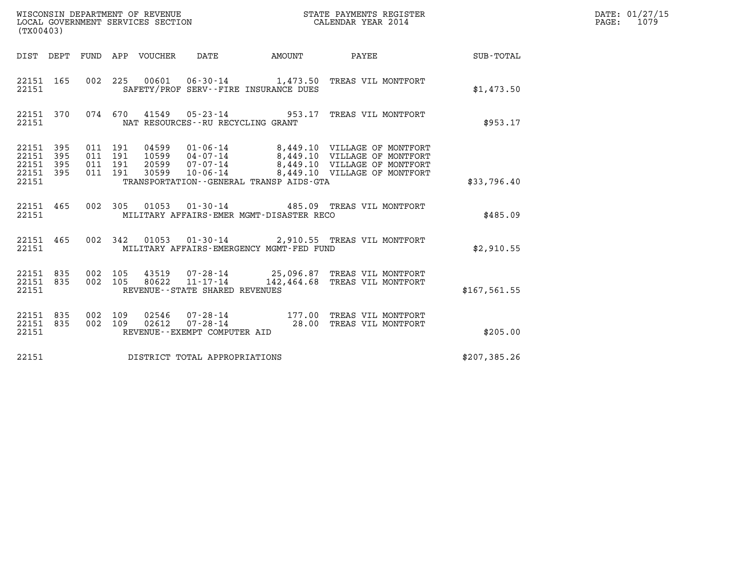| WISCONSIN DEPARTMENT OF REVENUE<br>LOCAL GOVERNMENT SERVICES SECTION<br>(TX00403) | STATE PAYMENTS REGISTER<br>CALENDAR YEAR 2014 | DATE: 01/27/15<br>1079<br>PAGE: |
|-----------------------------------------------------------------------------------|-----------------------------------------------|---------------------------------|

| (TX00403)                                                                                         |                                                                     |                                                                                                                                                                                                      |                  |
|---------------------------------------------------------------------------------------------------|---------------------------------------------------------------------|------------------------------------------------------------------------------------------------------------------------------------------------------------------------------------------------------|------------------|
| FUND<br>DIST DEPT                                                                                 | VOUCHER DATE AMOUNT<br>APP                                          | PAYEE                                                                                                                                                                                                | <b>SUB-TOTAL</b> |
| 165<br>002<br>22151<br>22151                                                                      | 225<br>SAFETY/PROF SERV--FIRE INSURANCE DUES                        | 00601  06-30-14  1,473.50 TREAS VIL MONTFORT                                                                                                                                                         | \$1,473.50       |
| 22151 370<br>22151                                                                                | 074 670<br>NAT RESOURCES - - RU RECYCLING GRANT                     | 41549  05-23-14  953.17  TREAS VIL MONTFORT                                                                                                                                                          | \$953.17         |
| 22151<br>395<br>011<br>22151<br>395<br>011<br>22151<br>395<br>011<br>22151<br>011<br>395<br>22151 | 191<br>191<br>191<br>191<br>TRANSPORTATION--GENERAL TRANSP AIDS-GTA | 04599  01-06-14  8,449.10  VILLAGE OF MONTFORT<br>10599  04-07-14  8,449.10  VILLAGE OF MONTFORT<br>20599  07-07-14  8,449.10  VILLAGE OF MONTFORT<br>30599  10-06-14  8,449.10  VILLAGE OF MONTFORT | \$33,796.40      |
| 002<br>22151 465<br>22151                                                                         | 305<br>MILITARY AFFAIRS-EMER MGMT-DISASTER RECO                     | 01053  01-30-14  485.09  TREAS VIL MONTFORT                                                                                                                                                          | \$485.09         |
| 22151 465<br>22151                                                                                | 002 342<br>MILITARY AFFAIRS-EMERGENCY MGMT-FED FUND                 | 01053  01-30-14  2,910.55  TREAS VIL MONTFORT                                                                                                                                                        | \$2,910.55       |
| 22151 835<br>002<br>002<br>22151 835<br>22151                                                     | 105<br>105<br>REVENUE--STATE SHARED REVENUES                        | 43519  07-28-14  25,096.87 TREAS VIL MONTFORT<br>80622  11-17-14  142,464.68 TREAS VIL MONTFORT                                                                                                      | \$167, 561.55    |
| 835<br>002<br>22151<br>002<br>22151<br>835<br>22151                                               | 109<br>109<br>02612<br>REVENUE--EXEMPT COMPUTER AID                 | 02546  07-28-14  177.00 TREAS VIL MONTFORT<br>07-28-14 28.00 TREAS VIL MONTFORT                                                                                                                      | \$205.00         |
| 22151                                                                                             | DISTRICT TOTAL APPROPRIATIONS                                       |                                                                                                                                                                                                      | \$207,385.26     |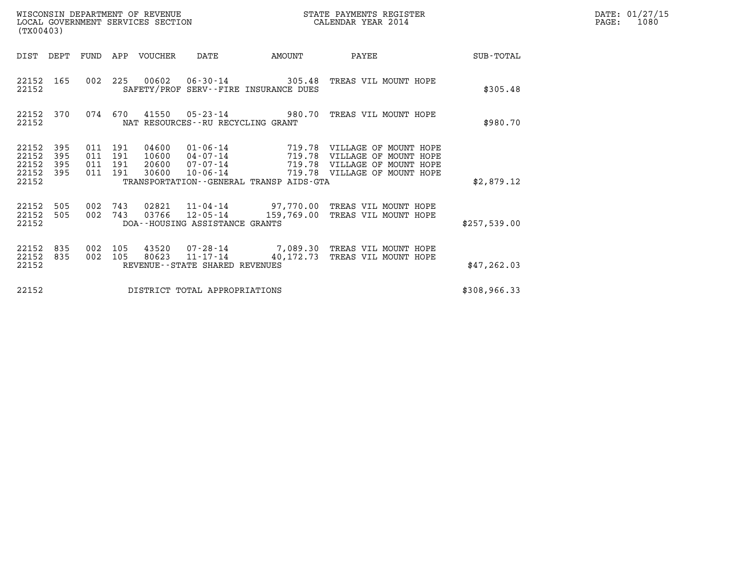| DATE: | 01/27/15 |
|-------|----------|
| PAGE: | 1080     |

| (TX00403)                                                          |                    |                                          |                                  | WISCONSIN DEPARTMENT OF REVENUE<br>LOCAL GOVERNMENT SERVICES SECTION |                                                                            | STATE PAYMENTS REGISTER<br>CALENDAR YEAR 2014                                                           |              | DATE: 01/27/15<br>$\mathtt{PAGE:}$<br>1080 |
|--------------------------------------------------------------------|--------------------|------------------------------------------|----------------------------------|----------------------------------------------------------------------|----------------------------------------------------------------------------|---------------------------------------------------------------------------------------------------------|--------------|--------------------------------------------|
| DIST DEPT FUND APP VOUCHER                                         |                    |                                          |                                  | DATE                                                                 | AMOUNT                                                                     | PAYEE                                                                                                   | SUB-TOTAL    |                                            |
| 22152 165<br>22152                                                 |                    |                                          |                                  |                                                                      | SAFETY/PROF SERV--FIRE INSURANCE DUES                                      | 002 225 00602 06-30-14 305.48 TREAS VIL MOUNT HOPE                                                      | \$305.48     |                                            |
| 22152 370<br>22152                                                 |                    |                                          |                                  | NAT RESOURCES--RU RECYCLING GRANT                                    |                                                                            | 074 670 41550 05-23-14 980.70 TREAS VIL MOUNT HOPE                                                      | \$980.70     |                                            |
| 22152<br>395<br>22152<br>395<br>22152<br>395<br>22152 395<br>22152 |                    | 011 191<br>011 191<br>011 191<br>011 191 | 04600<br>10600<br>20600<br>30600 | $01 - 06 - 14$<br>$04 - 07 - 14$<br>$07 - 07 - 14$<br>$10 - 06 - 14$ | 719.78<br>719.78<br>719.78<br>TRANSPORTATION - - GENERAL TRANSP AIDS - GTA | VILLAGE OF MOUNT HOPE<br>VILLAGE OF MOUNT HOPE<br>VILLAGE OF MOUNT HOPE<br>719.78 VILLAGE OF MOUNT HOPE | \$2,879.12   |                                            |
| 22152<br>505<br>22152<br>505<br>22152                              | 002 743<br>002 743 |                                          | 03766                            | DOA--HOUSING ASSISTANCE GRANTS                                       |                                                                            | 02821  11-04-14  97,770.00 TREAS VIL MOUNT HOPE<br>12-05-14 159,769.00 TREAS VIL MOUNT HOPE             | \$257,539.00 |                                            |
| 22152<br>835<br>22152 835<br>22152                                 | 002<br>002 105     | 105                                      | 80623                            | REVENUE--STATE SHARED REVENUES                                       |                                                                            | 43520  07-28-14  7,089.30 TREAS VIL MOUNT HOPE<br>11-17-14 40,172.73 TREAS VIL MOUNT HOPE               | \$47, 262.03 |                                            |
| 22152                                                              |                    |                                          |                                  | DISTRICT TOTAL APPROPRIATIONS                                        |                                                                            |                                                                                                         | \$308,966.33 |                                            |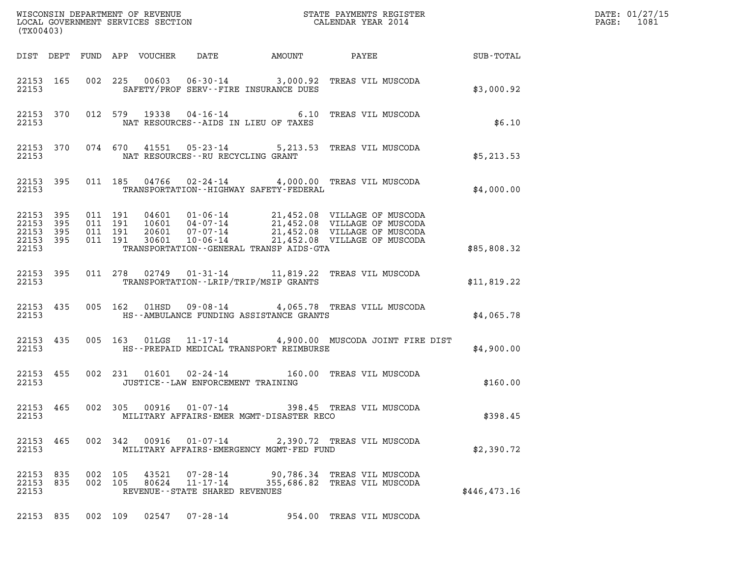| (TX00403)                                             |     |         |         |       |                                   |                                             |                                                                                                                                                                                                                                                                                                           |               | DATE: 01/27/15<br>1081<br>$\mathtt{PAGE:}$ |
|-------------------------------------------------------|-----|---------|---------|-------|-----------------------------------|---------------------------------------------|-----------------------------------------------------------------------------------------------------------------------------------------------------------------------------------------------------------------------------------------------------------------------------------------------------------|---------------|--------------------------------------------|
|                                                       |     |         |         |       |                                   |                                             |                                                                                                                                                                                                                                                                                                           |               |                                            |
| 22153                                                 |     |         |         |       |                                   | SAFETY/PROF SERV--FIRE INSURANCE DUES       | 22153 165 002 225 00603 06-30-14 3,000.92 TREAS VIL MUSCODA                                                                                                                                                                                                                                               | \$3,000.92    |                                            |
| 22153                                                 |     |         |         |       |                                   | NAT RESOURCES--AIDS IN LIEU OF TAXES        | 22153 370 012 579 19338 04-16-14 6.10 TREAS VIL MUSCODA                                                                                                                                                                                                                                                   | \$6.10        |                                            |
| 22153                                                 |     |         |         |       |                                   | NAT RESOURCES--RU RECYCLING GRANT           | 22153 370 074 670 41551 05-23-14 5,213.53 TREAS VIL MUSCODA                                                                                                                                                                                                                                               | \$5,213.53    |                                            |
| 22153                                                 |     |         |         |       |                                   | TRANSPORTATION - - HIGHWAY SAFETY - FEDERAL | 22153 395 011 185 04766 02-24-14 4,000.00 TREAS VIL MUSCODA                                                                                                                                                                                                                                               | \$4,000.00    |                                            |
| 22153 395<br>22153<br>22153 395<br>22153 395<br>22153 | 395 |         |         |       |                                   | TRANSPORTATION--GENERAL TRANSP AIDS-GTA     | $\begin{tabular}{cccc} 011 & 191 & 04601 & 01-06-14 & 21,452.08 & VILLAGE OF MUSCODE \\ 011 & 191 & 10601 & 04-07-14 & 21,452.08 & VILLAGE OF MUSCODE \\ 011 & 191 & 20601 & 07-07-14 & 21,452.08 & VILLAGE OF MUSCODE \\ 011 & 191 & 30601 & 10-06-14 & 21,452.08 & VILLAGE OF MUSCODE \\ \end{tabular}$ | \$85,808.32   |                                            |
| 22153 395<br>22153                                    |     |         |         |       |                                   | TRANSPORTATION--LRIP/TRIP/MSIP GRANTS       | 011  278  02749  01-31-14  11,819.22  TREAS VIL MUSCODA                                                                                                                                                                                                                                                   | \$11,819.22   |                                            |
| 22153 435<br>22153                                    |     |         |         |       |                                   | HS--AMBULANCE FUNDING ASSISTANCE GRANTS     | 005 162 01HSD 09-08-14 4,065.78 TREAS VILL MUSCODA                                                                                                                                                                                                                                                        | \$4,065.78    |                                            |
| 22153 435<br>22153                                    |     |         |         |       |                                   | HS--PREPAID MEDICAL TRANSPORT REIMBURSE     | 005 163 01LGS 11-17-14 4,900.00 MUSCODA JOINT FIRE DIST                                                                                                                                                                                                                                                   | \$4,900.00    |                                            |
| 22153 455<br>22153                                    |     |         |         |       |                                   | JUSTICE--LAW ENFORCEMENT TRAINING           | 002 231 01601 02-24-14 160.00 TREAS VIL MUSCODA                                                                                                                                                                                                                                                           | \$160.00      |                                            |
| 22153 465<br>22153                                    |     |         |         |       |                                   | MILITARY AFFAIRS-EMER MGMT-DISASTER RECO    | 002 305 00916 01-07-14 398.45 TREAS VIL MUSCODA                                                                                                                                                                                                                                                           | \$398.45      |                                            |
| 22153 465<br>22153                                    |     |         |         |       |                                   | MILITARY AFFAIRS-EMERGENCY MGMT-FED FUND    | 002 342 00916 01-07-14 2,390.72 TREAS VIL MUSCODA                                                                                                                                                                                                                                                         | \$2,390.72    |                                            |
| 22153 835<br>22153 835<br>22153                       |     | 002 105 | 002 105 |       | REVENUE - - STATE SHARED REVENUES |                                             | 43521  07-28-14  90,786.34 TREAS VIL MUSCODA<br>80624  11-17-14  355,686.82  TREAS VIL MUSCODA                                                                                                                                                                                                            | \$446, 473.16 |                                            |
| 22153 835                                             |     |         | 002 109 | 02547 | 07-28-14                          |                                             | 954.00 TREAS VIL MUSCODA                                                                                                                                                                                                                                                                                  |               |                                            |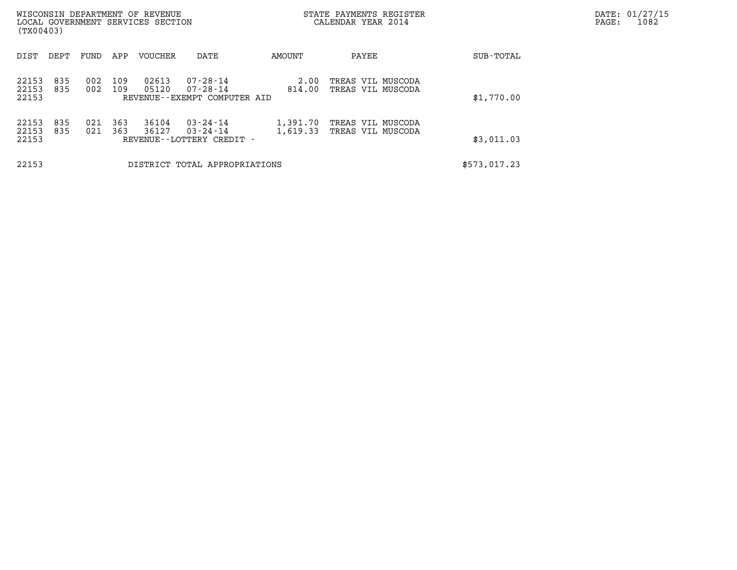| (TX00403)               |            |            |            | WISCONSIN DEPARTMENT OF REVENUE<br>LOCAL GOVERNMENT SERVICES SECTION |                                                            |                      | STATE PAYMENTS REGISTER<br>CALENDAR YEAR 2014 |  | PAGE:        | DATE: 01/27/15<br>1082 |  |
|-------------------------|------------|------------|------------|----------------------------------------------------------------------|------------------------------------------------------------|----------------------|-----------------------------------------------|--|--------------|------------------------|--|
| DIST                    | DEPT       | FUND       | APP        | VOUCHER                                                              | DATE                                                       | AMOUNT               | PAYEE                                         |  | SUB-TOTAL    |                        |  |
| 22153<br>22153<br>22153 | 835<br>835 | 002<br>002 | 109<br>109 | 02613<br>05120                                                       | $07 - 28 - 14$<br>07-28-14<br>REVENUE--EXEMPT COMPUTER AID | 2.00<br>814.00       | TREAS VIL MUSCODA<br>TREAS VIL MUSCODA        |  | \$1,770.00   |                        |  |
| 22153<br>22153<br>22153 | 835<br>835 | 021<br>021 | 363<br>363 | 36104<br>36127                                                       | 03-24-14<br>$03 - 24 - 14$<br>REVENUE - - LOTTERY CREDIT - | 1,391.70<br>1,619.33 | TREAS VIL MUSCODA<br>TREAS VIL MUSCODA        |  | \$3,011.03   |                        |  |
| 22153                   |            |            |            |                                                                      | DISTRICT TOTAL APPROPRIATIONS                              |                      |                                               |  | \$573,017.23 |                        |  |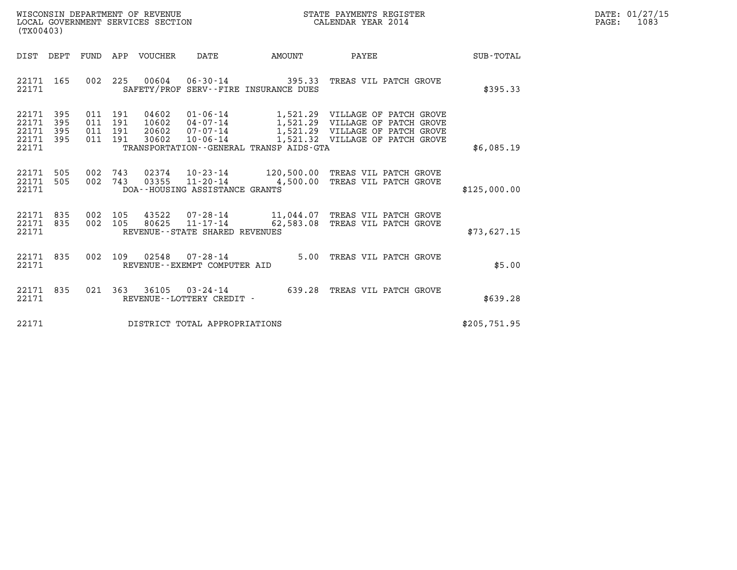| WISCONSIN DEPARTMENT OF REVENUE   | STATE PAYMENTS REGISTER | DATE: 01/27/15 |
|-----------------------------------|-------------------------|----------------|
| LOCAL GOVERNMENT SERVICES SECTION | CALENDAR YEAR 2014      | 1083<br>PAGE:  |

| (TX00403)                                                                                         |                                                                                                                                                                          |           |                                                                                                                                          |                  |
|---------------------------------------------------------------------------------------------------|--------------------------------------------------------------------------------------------------------------------------------------------------------------------------|-----------|------------------------------------------------------------------------------------------------------------------------------------------|------------------|
| DIST<br>DEPT<br>FUND                                                                              | <b>VOUCHER</b><br>DATE<br>APP                                                                                                                                            | AMOUNT    | PAYEE                                                                                                                                    | <b>SUB-TOTAL</b> |
| 165<br>002<br>22171<br>22171                                                                      | 225<br>00604<br>SAFETY/PROF SERV--FIRE INSURANCE DUES                                                                                                                    |           | 06-30-14 395.33 TREAS VIL PATCH GROVE                                                                                                    | \$395.33         |
| 22171<br>395<br>011<br>395<br>22171<br>011<br>395<br>22171<br>011<br>22171<br>395<br>011<br>22171 | 191<br>04602<br>$01 - 06 - 14$<br>191<br>10602<br>04-07-14<br>191<br>07-07-14<br>20602<br>191<br>30602<br>$10 - 06 - 14$<br>TRANSPORTATION - - GENERAL TRANSP AIDS - GTA |           | 1,521.29 VILLAGE OF PATCH GROVE<br>1,521.29 VILLAGE OF PATCH GROVE<br>1,521.29 VILLAGE OF PATCH GROVE<br>1,521.32 VILLAGE OF PATCH GROVE | \$6,085.19       |
| 22171<br>505<br>002<br>002<br>22171<br>505<br>22171                                               | 743<br>02374<br>03355<br>743<br>11-20-14<br>DOA--HOUSING ASSISTANCE GRANTS                                                                                               | 4,500.00  | 10-23-14 120,500.00 TREAS VIL PATCH GROVE<br>TREAS VIL PATCH GROVE                                                                       | \$125,000.00     |
| 835<br>002<br>22171<br>002<br>22171<br>835<br>22171                                               | 105<br>43522<br>07-28-14<br>105<br>80625<br>$11 - 17 - 14$<br>REVENUE--STATE SHARED REVENUES                                                                             | 62,583.08 | 11,044.07 TREAS VIL PATCH GROVE<br>TREAS VIL PATCH GROVE                                                                                 | \$73,627.15      |
| 835<br>002<br>22171<br>22171                                                                      | 109<br>02548<br>$07 - 28 - 14$<br>REVENUE--EXEMPT COMPUTER AID                                                                                                           | 5.00      | TREAS VIL PATCH GROVE                                                                                                                    | \$5.00           |
| 021<br>22171<br>835<br>22171                                                                      | 363<br>36105<br>$03 - 24 - 14$<br>REVENUE - - LOTTERY CREDIT -                                                                                                           | 639.28    | TREAS VIL PATCH GROVE                                                                                                                    | \$639.28         |
| 22171                                                                                             | DISTRICT TOTAL APPROPRIATIONS                                                                                                                                            |           |                                                                                                                                          | \$205,751.95     |

(TX00403)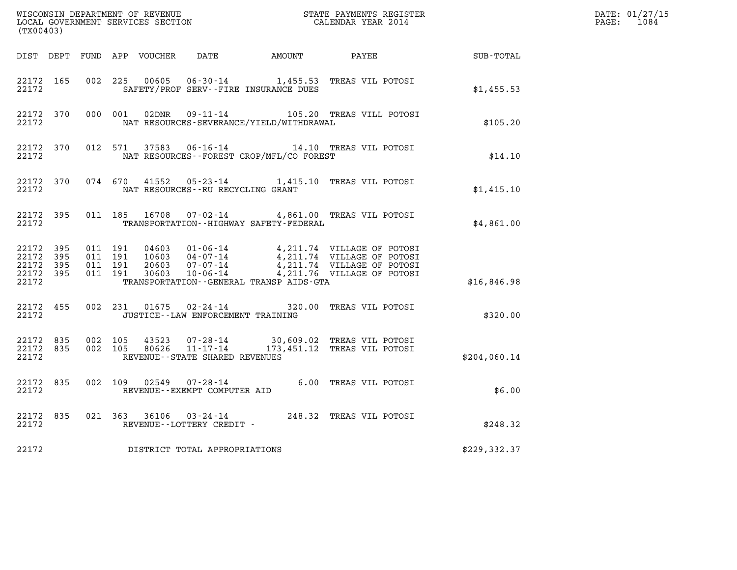| (TX00403)                                                 |           |                                          |                                |                                              |                                                                                                                                                                                                                                            |                                                        | DATE: 01/27/15<br>PAGE: 1084 |
|-----------------------------------------------------------|-----------|------------------------------------------|--------------------------------|----------------------------------------------|--------------------------------------------------------------------------------------------------------------------------------------------------------------------------------------------------------------------------------------------|--------------------------------------------------------|------------------------------|
|                                                           |           |                                          |                                |                                              |                                                                                                                                                                                                                                            | DIST DEPT FUND APP VOUCHER DATE AMOUNT PAYEE SUB-TOTAL |                              |
| 22172 165<br>22172                                        |           |                                          |                                | SAFETY/PROF SERV--FIRE INSURANCE DUES        | 002 225 00605 06-30-14 1,455.53 TREAS VIL POTOSI                                                                                                                                                                                           | \$1,455.53                                             |                              |
| 22172                                                     |           |                                          |                                | NAT RESOURCES-SEVERANCE/YIELD/WITHDRAWAL     | 22172 370 000 001 02DNR 09-11-14 105.20 TREAS VILL POTOSI                                                                                                                                                                                  | \$105.20                                               |                              |
| 22172                                                     | 22172 370 |                                          |                                | NAT RESOURCES--FOREST CROP/MFL/CO FOREST     | 012 571 37583 06-16-14 14.10 TREAS VIL POTOSI                                                                                                                                                                                              | \$14.10                                                |                              |
|                                                           | 22172     |                                          |                                | NAT RESOURCES--RU RECYCLING GRANT            | 22172 370 074 670 41552 05-23-14 1,415.10 TREAS VIL POTOSI                                                                                                                                                                                 | \$1,415.10                                             |                              |
| 22172                                                     |           |                                          |                                | TRANSPORTATION - - HIGHWAY SAFETY - FEDERAL  | 22172 395 011 185 16708 07-02-14 4,861.00 TREAS VIL POTOSI                                                                                                                                                                                 | \$4,861.00                                             |                              |
| 22172 395<br>22172 395<br>22172 395<br>22172 395<br>22172 |           | 011 191<br>011 191<br>011 191<br>011 191 |                                | TRANSPORTATION - - GENERAL TRANSP AIDS - GTA | 04603  01-06-14  4,211.74  VILLAGE OF POTOSI<br>10603  04-07-14  4,211.74  VILLAGE OF POTOSI<br>20603  07-07-14  4,211.74  VILLAGE OF POTOSI<br>30603  10-06-14  4,211.76  VILLAGE OF POTOSI                                               | \$16,846.98                                            |                              |
| 22172 455<br>22172                                        |           |                                          |                                | JUSTICE -- LAW ENFORCEMENT TRAINING          | 002 231 01675 02-24-14 320.00 TREAS VIL POTOSI                                                                                                                                                                                             | \$320.00                                               |                              |
| 22172                                                     |           |                                          | REVENUE--STATE SHARED REVENUES |                                              | $\begin{array}{cccccccc} 22172 & 835 & 002 & 105 & 43523 & 07\text{-}28\text{-}14 & & 30,609.02 & \text{TREAS VIL POTOSI}\\ 22172 & 835 & 002 & 105 & 80626 & 11\text{-}17\text{-}14 & & 173,451.12 & \text{TREAS VIL POTOSI} \end{array}$ | \$204,060.14                                           |                              |
| 22172                                                     | 22172 835 |                                          | REVENUE--EXEMPT COMPUTER AID   |                                              | 002 109 02549 07-28-14 6.00 TREAS VIL POTOSI                                                                                                                                                                                               | \$6.00                                                 |                              |
| 22172                                                     | 22172 835 |                                          | REVENUE--LOTTERY CREDIT -      |                                              | 021 363 36106 03-24-14 248.32 TREAS VIL POTOSI                                                                                                                                                                                             | \$248.32                                               |                              |
| 22172                                                     |           |                                          | DISTRICT TOTAL APPROPRIATIONS  |                                              |                                                                                                                                                                                                                                            | \$229,332.37                                           |                              |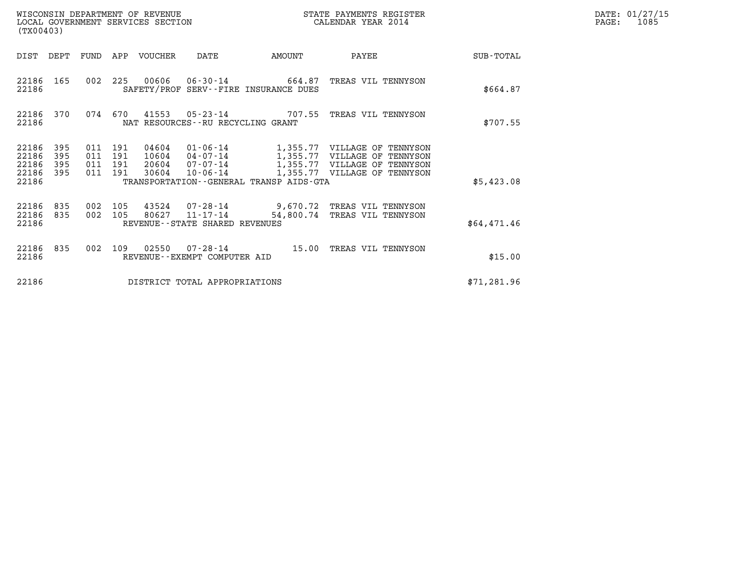| WISCONSIN DEPARTMENT OF REVENUE<br>LOCAL GOVERNMENT SERVICES SECTION | STATE PAYMENTS REGISTER<br>CALENDAR YEAR 2014 | DATE: 01/27/15<br>1085<br>PAGE: |
|----------------------------------------------------------------------|-----------------------------------------------|---------------------------------|

| (TX00403)                                 |                          |                          |                          | WISCONSIN DEPARTMENT OF REVENUE<br>LOCAL GOVERNMENT SERVICES SECTION |                                                    |                                         | STATE PAYMENTS REGISTER<br>CALENDAR YEAR 2014                                                                                |             |
|-------------------------------------------|--------------------------|--------------------------|--------------------------|----------------------------------------------------------------------|----------------------------------------------------|-----------------------------------------|------------------------------------------------------------------------------------------------------------------------------|-------------|
| DIST                                      | DEPT                     | FUND                     | APP                      | VOUCHER                                                              | DATE                                               | AMOUNT                                  | PAYEE                                                                                                                        | SUB-TOTAL   |
| 22186<br>22186                            | 165                      | 002                      | 225                      | 00606                                                                |                                                    | SAFETY/PROF SERV--FIRE INSURANCE DUES   | 06-30-14 664.87 TREAS VIL TENNYSON                                                                                           | \$664.87    |
| 22186<br>22186                            | 370                      | 074                      | 670                      |                                                                      | NAT RESOURCES - - RU RECYCLING GRANT               | 41553 05-23-14 707.55                   | TREAS VIL TENNYSON                                                                                                           | \$707.55    |
| 22186<br>22186<br>22186<br>22186<br>22186 | 395<br>395<br>395<br>395 | 011<br>011<br>011<br>011 | 191<br>191<br>191<br>191 | 04604<br>10604<br>30604                                              | 01-06-14<br>04-07-14<br>20604 07-07-14<br>10-06-14 | TRANSPORTATION--GENERAL TRANSP AIDS-GTA | 1,355.77 VILLAGE OF TENNYSON<br>1,355.77 VILLAGE OF TENNYSON<br>1,355.77 VILLAGE OF TENNYSON<br>1,355.77 VILLAGE OF TENNYSON | \$5,423.08  |
|                                           |                          |                          |                          |                                                                      |                                                    |                                         |                                                                                                                              |             |
| 22186<br>22186<br>22186                   | 835<br>835               | 002<br>002               | 105<br>105               | 43524<br>80627                                                       | 11-17-14<br>REVENUE--STATE SHARED REVENUES         |                                         | 07-28-14 9,670.72 TREAS VIL TENNYSON<br>54,800.74 TREAS VIL TENNYSON                                                         | \$64,471.46 |
| 22186<br>22186                            | 835                      | 002                      | 109                      | 02550                                                                | $07 - 28 - 14$<br>REVENUE - - EXEMPT COMPUTER AID  | 15.00                                   | TREAS VIL TENNYSON                                                                                                           | \$15.00     |
| 22186                                     |                          |                          |                          |                                                                      | DISTRICT TOTAL APPROPRIATIONS                      |                                         |                                                                                                                              | \$71,281.96 |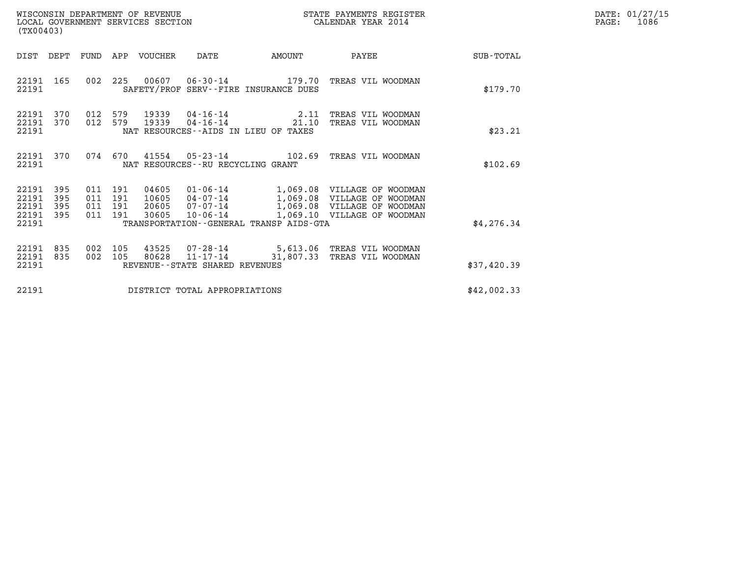| WISCONSIN DEPARTMENT OF REVENUE   | STATE PAYMENTS REGISTER | DATE: 01/27/15 |
|-----------------------------------|-------------------------|----------------|
| LOCAL GOVERNMENT SERVICES SECTION | CALENDAR YEAR 2014      | 1086<br>PAGE:  |

|                                           | WISCONSIN DEPARTMENT OF REVENUE<br>LOCAL GOVERNMENT SERVICES SECTION<br>(TX00403) |                              |                   |                                  |                                   |                                                                      | STATE PAYMENTS REGISTER<br>CALENDAR YEAR 2014                                                                                     |             | DATE: 01/27/15<br>$\mathtt{PAGE}$ :<br>1086 |
|-------------------------------------------|-----------------------------------------------------------------------------------|------------------------------|-------------------|----------------------------------|-----------------------------------|----------------------------------------------------------------------|-----------------------------------------------------------------------------------------------------------------------------------|-------------|---------------------------------------------|
| DIST                                      | DEPT                                                                              | FUND                         |                   | APP VOUCHER                      | DATE                              | AMOUNT                                                               | PAYEE                                                                                                                             | SUB-TOTAL   |                                             |
| 22191 165<br>22191                        |                                                                                   | 002                          | 225               |                                  |                                   | SAFETY/PROF SERV--FIRE INSURANCE DUES                                | 00607  06-30-14  179.70  TREAS VIL WOODMAN                                                                                        | \$179.70    |                                             |
| 22191<br>22191 370<br>22191               | 370                                                                               | 012<br>012 579               | 579               | 19339<br>19339                   | 04-16-14                          | $04 - 16 - 14$ 2.11<br>21.10<br>NAT RESOURCES--AIDS IN LIEU OF TAXES | TREAS VIL WOODMAN<br>TREAS VIL WOODMAN                                                                                            | \$23.21     |                                             |
| 22191 370<br>22191                        |                                                                                   |                              | 074 670           |                                  | NAT RESOURCES--RU RECYCLING GRANT | $41554$ 05-23-14 102.69                                              | TREAS VIL WOODMAN                                                                                                                 | \$102.69    |                                             |
| 22191<br>22191<br>22191<br>22191<br>22191 | 395<br>395<br>395<br>395                                                          | 011 191<br>011<br>011<br>011 | 191<br>191<br>191 | 04605<br>10605<br>20605<br>30605 | 04-07-14<br>07-07-14<br>10-06-14  | TRANSPORTATION--GENERAL TRANSP AIDS-GTA                              | 01-06-14 1,069.08 VILLAGE OF WOODMAN<br>1,069.08 VILLAGE OF WOODMAN<br>1,069.08 VILLAGE OF WOODMAN<br>1,069.10 VILLAGE OF WOODMAN | \$4,276.34  |                                             |
| 22191 835<br>22191                        | 835                                                                               | 002<br>002                   | 105<br>105        | 43525<br>80628                   |                                   |                                                                      | 07-28-14 5,613.06 TREAS VIL WOODMAN<br>11-17-14 31,807.33 TREAS VIL WOODMAN                                                       |             |                                             |
| 22191                                     |                                                                                   |                              |                   |                                  | REVENUE--STATE SHARED REVENUES    |                                                                      |                                                                                                                                   | \$37,420.39 |                                             |
| 22191                                     |                                                                                   |                              |                   |                                  | DISTRICT TOTAL APPROPRIATIONS     |                                                                      |                                                                                                                                   | \$42,002.33 |                                             |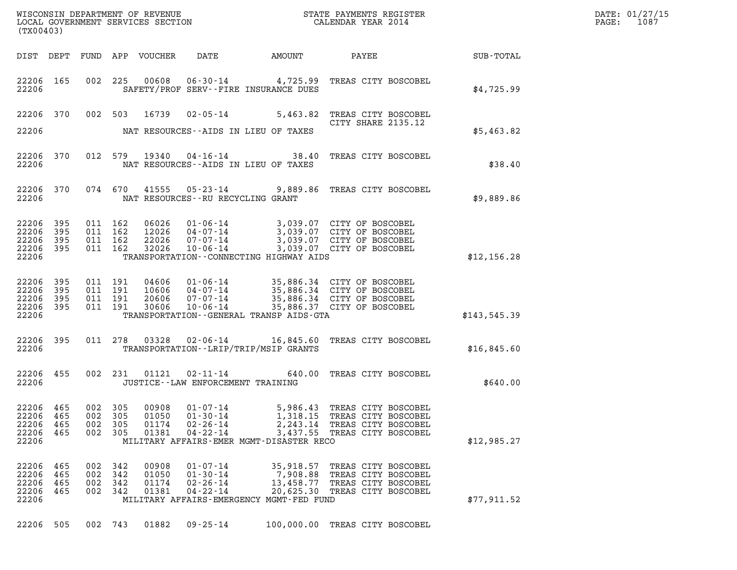| $\texttt{DATE}$ : | 01/27/15 |
|-------------------|----------|
| PAGE:             | 1087     |

| (TX00403)                       |                   |                               |                   |                         |                                                                              |                      |                                                                                                                                                                              |              | DATE: 01/27/15<br>1087<br>$\mathtt{PAGE:}$ |
|---------------------------------|-------------------|-------------------------------|-------------------|-------------------------|------------------------------------------------------------------------------|----------------------|------------------------------------------------------------------------------------------------------------------------------------------------------------------------------|--------------|--------------------------------------------|
|                                 |                   |                               |                   |                         |                                                                              |                      |                                                                                                                                                                              |              |                                            |
| 22206                           | 22206 165         |                               |                   |                         | SAFETY/PROF SERV--FIRE INSURANCE DUES                                        |                      | 002 225 00608 06-30-14 4,725.99 TREAS CITY BOSCOBEL                                                                                                                          | \$4.725.99   |                                            |
|                                 |                   |                               |                   |                         |                                                                              |                      | 22206 370 002 503 16739 02-05-14 5,463.82 TREAS CITY BOSCOBEL<br>CITY SHARE 2135.12                                                                                          |              |                                            |
| 22206                           |                   |                               |                   |                         | NAT RESOURCES--AIDS IN LIEU OF TAXES                                         |                      |                                                                                                                                                                              | \$5,463.82   |                                            |
| 22206                           | 22206 370         |                               |                   |                         | NAT RESOURCES--AIDS IN LIEU OF TAXES                                         |                      | 012 579 19340 04-16-14 38.40 TREAS CITY BOSCOBEL                                                                                                                             | \$38.40      |                                            |
| 22206                           |                   |                               |                   |                         | NAT RESOURCES--RU RECYCLING GRANT                                            |                      | 22206 370 074 670 41555 05-23-14 9,889.86 TREAS CITY BOSCOBEL                                                                                                                | \$9,889.86   |                                            |
| 22206 395<br>22206 395          |                   | 011 162<br>011 162<br>011 162 |                   |                         |                                                                              |                      | 06026 01-06-14 3,039.07 CITY OF BOSCOBEL<br>12026 04-07-14 3,039.07 CITY OF BOSCOBEL<br>22026 07-07-14 3,039.07 CITY OF BOSCOBEL<br>32026 10-06-14 3,039.07 CITY OF BOSCOBEL |              |                                            |
| 22206 395<br>22206 395<br>22206 |                   | 011 162                       |                   |                         | TRANSPORTATION--CONNECTING HIGHWAY AIDS                                      |                      |                                                                                                                                                                              | \$12,156.28  |                                            |
| 22206 395<br>22206              | 395               | 011 191<br>011 191<br>011 191 |                   |                         |                                                                              |                      | 04606 01-06-14 35,886.34 CITY OF BOSCOBEL<br>10606 04-07-14 35,886.34 CITY OF BOSCOBEL<br>20606 07-07-14 35,886.34 CITY OF BOSCOBEL                                          |              |                                            |
| 22206 395<br>22206 395<br>22206 |                   | 011 191                       |                   | 30606                   | TRANSPORTATION--GENERAL TRANSP AIDS-GTA                                      |                      | 10-06-14 35,886.37 CITY OF BOSCOBEL                                                                                                                                          | \$143,545.39 |                                            |
| 22206                           | 22206 395         |                               |                   |                         | TRANSPORTATION - - LRIP/TRIP/MSIP GRANTS                                     |                      | 011  278  03328  02-06-14  16,845.60  TREAS CITY BOSCOBEL                                                                                                                    | \$16,845.60  |                                            |
| 22206                           | 22206 455         |                               |                   |                         | 002 231 01121 02-11-14<br>JUSTICE -- LAW ENFORCEMENT TRAINING                |                      | 640.00 TREAS CITY BOSCOBEL                                                                                                                                                   | \$640.00     |                                            |
| 22206<br>22206                  | 465<br>465        | 002<br>002                    | 305<br>305        | 00908<br>01050          | $01 - 07 - 14$<br>$01 - 30 - 14$                                             | 5,986.43<br>1,318.15 | TREAS CITY BOSCOBEL<br>TREAS CITY BOSCOBEL                                                                                                                                   |              |                                            |
| 22206<br>22206<br>22206         | 465<br>465        | 002<br>002                    | 305<br>305        | 01174<br>01381          | $02 - 26 - 14$<br>$04 - 22 - 14$<br>MILITARY AFFAIRS-EMER MGMT-DISASTER RECO | 2,243.14             | TREAS CITY BOSCOBEL<br>3,437.55 TREAS CITY BOSCOBEL                                                                                                                          | \$12,985.27  |                                            |
|                                 |                   |                               |                   |                         |                                                                              |                      |                                                                                                                                                                              |              |                                            |
| 22206<br>22206<br>22206         | 465<br>465<br>465 | 002<br>002<br>002             | 342<br>342<br>342 | 00908<br>01050<br>01174 | $01 - 07 - 14$<br>$01 - 30 - 14$<br>$02 - 26 - 14$                           |                      | 35,918.57 TREAS CITY BOSCOBEL<br>7,908.88 TREAS CITY BOSCOBEL<br>13,458.77 TREAS CITY BOSCOBEL                                                                               |              |                                            |
| 22206<br>22206                  | 465               | 002 342                       |                   | 01381                   | $04 - 22 - 14$<br>MILITARY AFFAIRS-EMERGENCY MGMT-FED FUND                   | 20,625.30            | TREAS CITY BOSCOBEL                                                                                                                                                          | \$77,911.52  |                                            |
| 22206 505                       |                   | 002 743                       |                   | 01882                   | $09 - 25 - 14$                                                               |                      | 100,000.00 TREAS CITY BOSCOBEL                                                                                                                                               |              |                                            |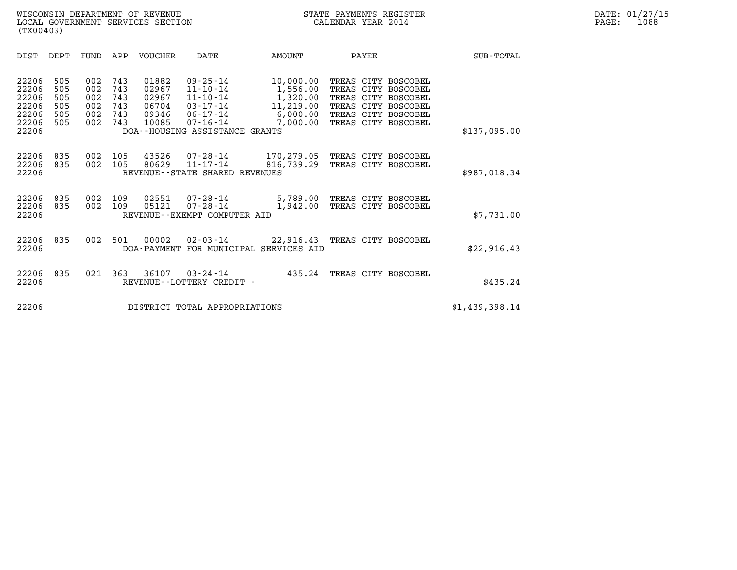| (TX00403)                                                                                             |                                        |                                                                                              |                                                                                                                          |                                                                        |                                                                                                                                        |                  |  |
|-------------------------------------------------------------------------------------------------------|----------------------------------------|----------------------------------------------------------------------------------------------|--------------------------------------------------------------------------------------------------------------------------|------------------------------------------------------------------------|----------------------------------------------------------------------------------------------------------------------------------------|------------------|--|
| DIST<br>DEPT                                                                                          | FUND                                   | VOUCHER<br>APP                                                                               | DATE                                                                                                                     | AMOUNT                                                                 | PAYEE                                                                                                                                  | <b>SUB-TOTAL</b> |  |
| 22206<br>505<br>22206<br>505<br>22206<br>505<br>22206<br>505<br>22206<br>505<br>22206<br>505<br>22206 | 002<br>002<br>002<br>002<br>002<br>002 | 743<br>01882<br>743<br>02967<br>743<br>02967<br>743<br>06704<br>743<br>09346<br>743<br>10085 | $09 - 25 - 14$<br>11-10-14<br>$11 - 10 - 14$<br>03-17-14<br>06-17-14<br>$07 - 16 - 14$<br>DOA--HOUSING ASSISTANCE GRANTS | 10,000.00<br>1,556.00<br>1,320.00<br>11,219.00<br>6,000.00<br>7,000.00 | TREAS CITY BOSCOBEL<br>TREAS CITY BOSCOBEL<br>TREAS CITY BOSCOBEL<br>TREAS CITY BOSCOBEL<br>TREAS CITY BOSCOBEL<br>TREAS CITY BOSCOBEL | \$137,095.00     |  |
| 22206<br>835<br>22206<br>835<br>22206                                                                 | 002<br>002                             | 105<br>43526<br>80629<br>105                                                                 | 07-28-14<br>$11 - 17 - 14$<br>REVENUE--STATE SHARED REVENUES                                                             | 170,279.05 TREAS CITY BOSCOBEL<br>816,739.29                           | TREAS CITY BOSCOBEL                                                                                                                    | \$987,018.34     |  |
| 22206<br>835<br>22206<br>835<br>22206                                                                 | 002<br>002                             | 109<br>02551<br>109<br>05121                                                                 | $07 - 28 - 14$<br>$07 - 28 - 14$<br>REVENUE--EXEMPT COMPUTER AID                                                         | 1,942.00                                                               | 5,789.00 TREAS CITY BOSCOBEL<br>TREAS CITY BOSCOBEL                                                                                    | \$7,731.00       |  |
| 22206<br>835<br>22206                                                                                 | 002                                    | 501<br>00002                                                                                 | $02 - 03 - 14$<br>DOA-PAYMENT FOR MUNICIPAL SERVICES AID                                                                 | 22,916.43 TREAS CITY BOSCOBEL                                          |                                                                                                                                        | \$22,916.43      |  |
| 22206<br>835<br>22206                                                                                 | 021                                    | 363<br>36107                                                                                 | $03 - 24 - 14$<br>REVENUE--LOTTERY CREDIT -                                                                              | 435.24                                                                 | TREAS CITY BOSCOBEL                                                                                                                    | \$435.24         |  |
| 22206                                                                                                 |                                        |                                                                                              | DISTRICT TOTAL APPROPRIATIONS                                                                                            |                                                                        |                                                                                                                                        | \$1,439,398.14   |  |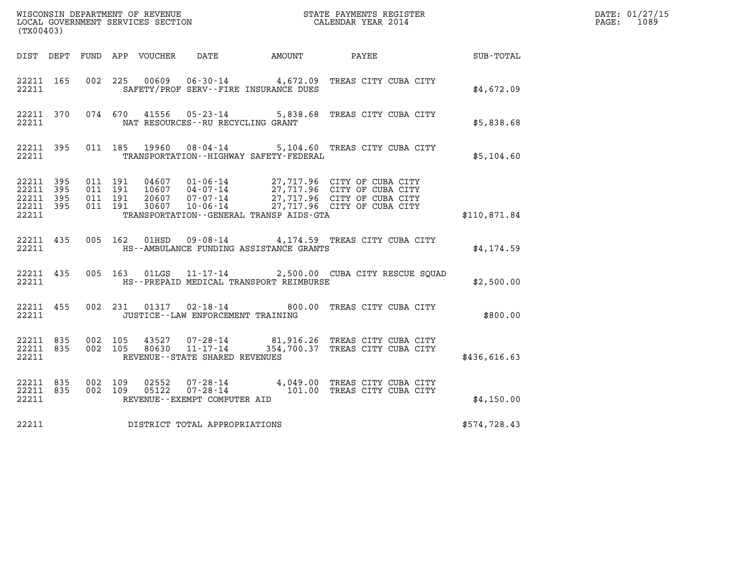| (TX00403)                                    |           |                                          |                |                                      |                                              | WISCONSIN DEPARTMENT OF REVENUE<br>LOCAL GOVERNMENT SERVICES SECTION<br>CALENDAR YEAR 2014                                                                                                       |                  | DATE: 01/27/15<br>PAGE: 1089 |
|----------------------------------------------|-----------|------------------------------------------|----------------|--------------------------------------|----------------------------------------------|--------------------------------------------------------------------------------------------------------------------------------------------------------------------------------------------------|------------------|------------------------------|
|                                              |           |                                          |                |                                      | DIST DEPT FUND APP VOUCHER DATE AMOUNT PAYEE |                                                                                                                                                                                                  | <b>SUB-TOTAL</b> |                              |
| 22211 165<br>22211                           |           |                                          | 002 225 00609  |                                      | SAFETY/PROF SERV--FIRE INSURANCE DUES        | 06-30-14 4,672.09 TREAS CITY CUBA CITY                                                                                                                                                           | \$4,672.09       |                              |
| 22211                                        | 22211 370 |                                          |                | NAT RESOURCES -- RU RECYCLING GRANT  |                                              | 074 670 41556 05-23-14 5,838.68 TREAS CITY CUBA CITY                                                                                                                                             | \$5,838.68       |                              |
| 22211                                        | 22211 395 |                                          |                |                                      | TRANSPORTATION - - HIGHWAY SAFETY - FEDERAL  | 011 185 19960 08-04-14 5,104.60 TREAS CITY CUBA CITY                                                                                                                                             | \$5,104.60       |                              |
| 22211 395<br>22211 395<br>22211 395<br>22211 | 22211 395 | 011 191<br>011 191<br>011 191<br>011 191 |                |                                      | TRANSPORTATION - - GENERAL TRANSP AIDS - GTA | 04607  01-06-14  27,717.96  CITY OF CUBA CITY<br>10607  04-07-14  27,717.96  CITY OF CUBA CITY<br>20607  07-07-14  27,717.96  CITY OF CUBA CITY<br>30607  10-06-14  27,717.96  CITY OF CUBA CITY | \$110,871.84     |                              |
| 22211                                        | 22211 435 |                                          |                |                                      | HS--AMBULANCE FUNDING ASSISTANCE GRANTS      | 005 162 01HSD 09-08-14 4,174.59 TREAS CITY CUBA CITY                                                                                                                                             | \$4,174.59       |                              |
| 22211                                        | 22211 435 |                                          |                |                                      | HS--PREPAID MEDICAL TRANSPORT REIMBURSE      | 005 163 01LGS 11-17-14 2,500.00 CUBA CITY RESCUE SQUAD                                                                                                                                           | \$2,500.00       |                              |
| 22211 455<br>22211                           |           |                                          |                | JUSTICE - - LAW ENFORCEMENT TRAINING |                                              | 002 231 01317 02-18-14 800.00 TREAS CITY CUBA CITY                                                                                                                                               | \$800.00         |                              |
| 22211                                        | 22211 835 | 22211 835 002 105<br>002 105             |                | REVENUE--STATE SHARED REVENUES       |                                              |                                                                                                                                                                                                  | \$436,616.63     |                              |
| 22211 835<br>22211                           | 22211 835 | 002 109<br>002 109                       | 02552<br>05122 | REVENUE--EXEMPT COMPUTER AID         |                                              | 07-28-14 4,049.00 TREAS CITY CUBA CITY<br>07-28-14 101.00 TREAS CITY CUBA CITY                                                                                                                   | \$4,150.00       |                              |
| 22211                                        |           |                                          |                | DISTRICT TOTAL APPROPRIATIONS        |                                              |                                                                                                                                                                                                  | \$574,728.43     |                              |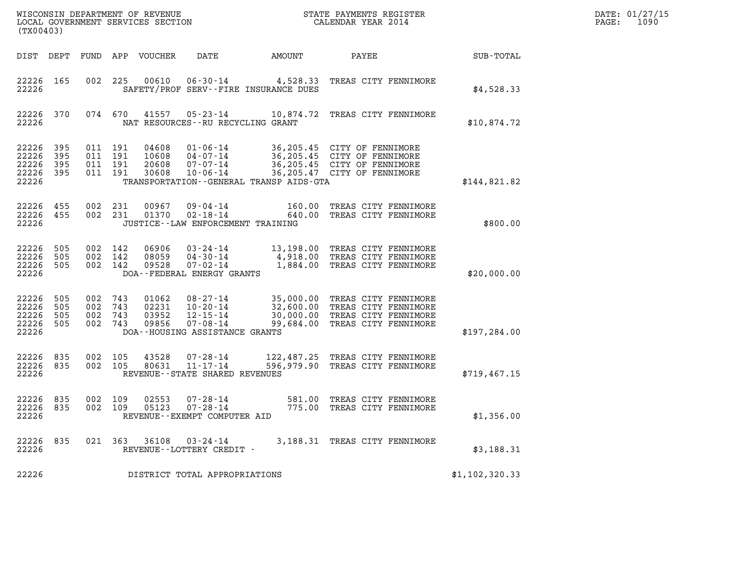| DATE: | 01/27/15 |
|-------|----------|
| PAGE: | 1090     |

| WISCONSIN DEPARTMENT OF REVENUE<br>LOCAL GOVERNMENT SERVICES SECTION<br>(TX00403) |                          |                                          |                   |                                  |                                                                                            |                                              | STATE PAYMENTS REGISTER<br>CALENDAR YEAR 2014                                                                              |                | DATE: 01/27/15<br>1090<br>PAGE: |
|-----------------------------------------------------------------------------------|--------------------------|------------------------------------------|-------------------|----------------------------------|--------------------------------------------------------------------------------------------|----------------------------------------------|----------------------------------------------------------------------------------------------------------------------------|----------------|---------------------------------|
|                                                                                   |                          |                                          |                   | DIST DEPT FUND APP VOUCHER       | DATE                                                                                       | AMOUNT                                       | PAYEE                                                                                                                      | SUB-TOTAL      |                                 |
| 22226 165<br>22226                                                                |                          | 002                                      | 225               | 00610                            | $06 - 30 - 14$                                                                             | SAFETY/PROF SERV--FIRE INSURANCE DUES        | 4,528.33 TREAS CITY FENNIMORE                                                                                              | \$4,528.33     |                                 |
| 22226 370<br>22226                                                                |                          | 074 670                                  |                   | 41557                            | NAT RESOURCES - - RU RECYCLING GRANT                                                       |                                              | 05-23-14 10,874.72 TREAS CITY FENNIMORE                                                                                    | \$10,874.72    |                                 |
| 22226<br>22226<br>22226<br>22226<br>22226                                         | 395<br>395<br>395<br>395 | 011 191<br>011 191<br>011 191<br>011 191 |                   | 04608<br>10608<br>20608<br>30608 | $01 - 06 - 14$<br>04-07-14<br>07-07-14<br>$10 - 06 - 14$                                   | TRANSPORTATION - - GENERAL TRANSP AIDS - GTA | 36,205.45 CITY OF FENNIMORE<br>36,205.45 CITY OF FENNIMORE<br>36,205.45 CITY OF FENNIMORE<br>36,205.47 CITY OF FENNIMORE   | \$144,821.82   |                                 |
| 22226<br>22226 455<br>22226                                                       | 455                      | 002<br>002 231                           | 231               | 00967<br>01370                   | 09-04-14<br>$02 - 18 - 14$<br>JUSTICE--LAW ENFORCEMENT TRAINING                            | 160.00<br>640.00                             | TREAS CITY FENNIMORE<br>TREAS CITY FENNIMORE                                                                               | \$800.00       |                                 |
| 22226<br>22226<br>22226 505<br>22226                                              | 505<br>505               | 002 142<br>002<br>002 142                | 142               | 06906<br>08059<br>09528          | $03 - 24 - 14$<br>$04 - 30 - 14$<br>07-02-14<br>DOA--FEDERAL ENERGY GRANTS                 |                                              | 13,198.00 TREAS CITY FENNIMORE<br>4,918.00 TREAS CITY FENNIMORE<br>1,884.00 TREAS CITY FENNIMORE                           | \$20,000.00    |                                 |
| 22226<br>22226<br>22226<br>22226<br>22226                                         | 505<br>505<br>505<br>505 | 002<br>002<br>002<br>002 743             | 743<br>743<br>743 | 01062<br>02231<br>03952<br>09856 | 08-27-14<br>$10 - 20 - 14$<br>12-15-14<br>$07 - 08 - 14$<br>DOA--HOUSING ASSISTANCE GRANTS | 99,684.00                                    | 35,000.00 TREAS CITY FENNIMORE<br>32,600.00 TREAS CITY FENNIMORE<br>30,000.00 TREAS CITY FENNIMORE<br>TREAS CITY FENNIMORE | \$197, 284.00  |                                 |
| 22226<br>22226 835<br>22226                                                       | 835                      | 002<br>002 105                           | 105               | 43528<br>80631                   | $07 - 28 - 14$<br>$11 - 17 - 14$<br>REVENUE - - STATE SHARED REVENUES                      |                                              | 122,487.25 TREAS CITY FENNIMORE<br>596,979.90 TREAS CITY FENNIMORE                                                         | \$719,467.15   |                                 |
| 22226 835<br>22226 835<br>22226                                                   |                          | 002 109<br>002 109                       |                   | 02553                            | $07 - 28 - 14$<br>05123 07-28-14<br>REVENUE - - EXEMPT COMPUTER AID                        |                                              | 581.00 TREAS CITY FENNIMORE<br>775.00 TREAS CITY FENNIMORE                                                                 | \$1,356.00     |                                 |
| 22226 835<br>22226                                                                |                          |                                          |                   |                                  | 021 363 36108 03-24-14<br>REVENUE--LOTTERY CREDIT -                                        |                                              | 3,188.31 TREAS CITY FENNIMORE                                                                                              | \$3,188.31     |                                 |
| 22226                                                                             |                          |                                          |                   |                                  | DISTRICT TOTAL APPROPRIATIONS                                                              |                                              |                                                                                                                            | \$1,102,320.33 |                                 |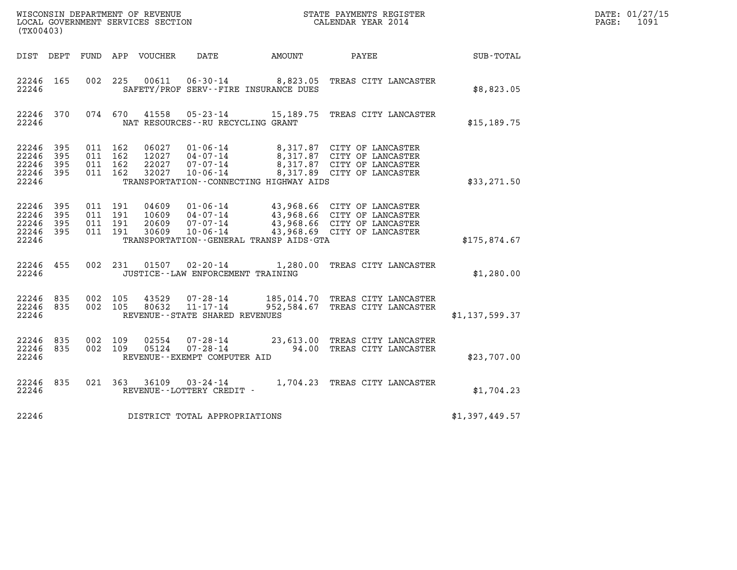| (TX00403)                                                 |     |                                          |                                                           |                                  |                                                                    |                                              |                                                                                                                                   |                | DATE: 01/27/15<br>$\mathtt{PAGE:}$<br>1091 |
|-----------------------------------------------------------|-----|------------------------------------------|-----------------------------------------------------------|----------------------------------|--------------------------------------------------------------------|----------------------------------------------|-----------------------------------------------------------------------------------------------------------------------------------|----------------|--------------------------------------------|
|                                                           |     |                                          | DIST DEPT FUND APP VOUCHER DATE                           |                                  |                                                                    | AMOUNT                                       | PAYEE                                                                                                                             | SUB-TOTAL      |                                            |
| 22246 165<br>22246                                        |     |                                          | 00611<br>002 225<br>SAFETY/PROF SERV--FIRE INSURANCE DUES |                                  |                                                                    |                                              | 06-30-14 8,823.05 TREAS CITY LANCASTER                                                                                            | \$8,823.05     |                                            |
| 22246 370<br>22246                                        |     |                                          | 074 670                                                   | 41558                            | NAT RESOURCES - - RU RECYCLING GRANT                               |                                              | 05-23-14 15,189.75 TREAS CITY LANCASTER                                                                                           | \$15, 189.75   |                                            |
| 22246 395<br>22246 395<br>22246<br>22246 395<br>22246     | 395 | 011 162<br>011 162<br>011 162<br>011 162 |                                                           | 06027<br>32027                   | 01-06-14<br>12027   04-07-14<br>$22027$ $07 - 07 - 14$<br>10-06-14 | TRANSPORTATION--CONNECTING HIGHWAY AIDS      | 8,317.87 CITY OF LANCASTER<br>8,317.87 CITY OF LANCASTER<br>8,317.87 CITY OF LANCASTER<br>8,317.89 CITY OF LANCASTER              | \$33,271.50    |                                            |
| 22246 395<br>22246 395<br>22246 395<br>22246 395<br>22246 |     | 011 191<br>011 191<br>011 191<br>011 191 |                                                           | 04609<br>10609<br>20609<br>30609 | $04 - 07 - 14$<br>07-07-14<br>$10 - 06 - 14$                       | TRANSPORTATION - - GENERAL TRANSP AIDS - GTA | 01-06-14 43,968.66 CITY OF LANCASTER<br>43,968.66 CITY OF LANCASTER<br>43,968.66 CITY OF LANCASTER<br>43,968.69 CITY OF LANCASTER | \$175,874.67   |                                            |
| 22246 455<br>22246                                        |     |                                          | 002 231                                                   |                                  | $01507$ $02 - 20 - 14$<br>JUSTICE - - LAW ENFORCEMENT TRAINING     | 1,280.00 TREAS CITY LANCASTER                | \$1,280.00                                                                                                                        |                |                                            |
| 22246 835<br>22246 835<br>22246                           |     | 002 105<br>002 105                       |                                                           | 43529<br>80632                   | $11 - 17 - 14$<br>REVENUE - - STATE SHARED REVENUES                |                                              | 07-28-14 185,014.70 TREAS CITY LANCASTER<br>952,584.67 TREAS CITY LANCASTER                                                       | \$1,137,599.37 |                                            |
| 22246 835<br>22246 835<br>22246                           |     | 002 109<br>002 109                       |                                                           | 02554<br>05124                   | 07-28-14<br>$07 - 28 - 14$<br>REVENUE--EXEMPT COMPUTER AID         |                                              | 23,613.00 TREAS CITY LANCASTER<br>94.00 TREAS CITY LANCASTER                                                                      | \$23,707.00    |                                            |
| 22246 835<br>22246                                        |     |                                          | 021 363                                                   | 36109                            | REVENUE--LOTTERY CREDIT -                                          |                                              | 03-24-14 1,704.23 TREAS CITY LANCASTER                                                                                            | \$1,704.23     |                                            |
| 22246                                                     |     |                                          |                                                           |                                  | DISTRICT TOTAL APPROPRIATIONS                                      | \$1,397,449.57                               |                                                                                                                                   |                |                                            |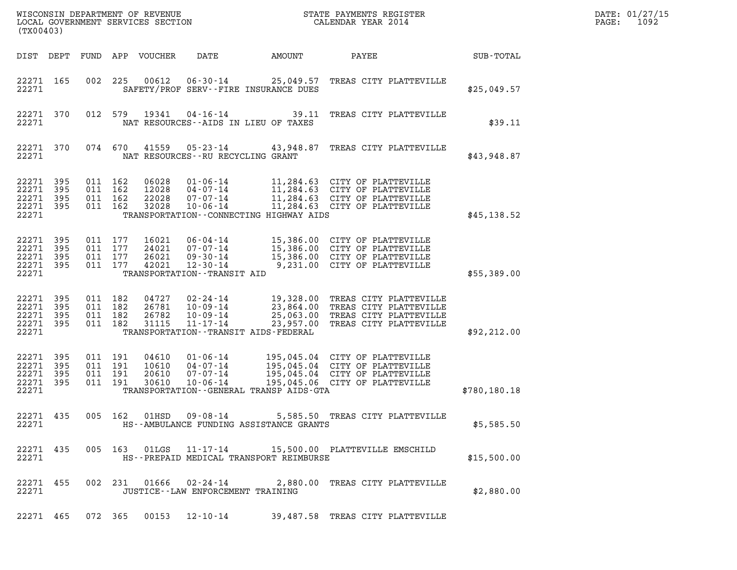| (TX00403)                                     |                          |                                          |     | WISCONSIN DEPARTMENT OF REVENUE<br>LOCAL GOVERNMENT SERVICES SECTION |                                                                                                        |                                                                                                                                                                             | STATE PAYMENTS REGISTER<br>CALENDAR YEAR 2014                                                                                      |              | DATE: 01/27/15<br>1092<br>PAGE: |
|-----------------------------------------------|--------------------------|------------------------------------------|-----|----------------------------------------------------------------------|--------------------------------------------------------------------------------------------------------|-----------------------------------------------------------------------------------------------------------------------------------------------------------------------------|------------------------------------------------------------------------------------------------------------------------------------|--------------|---------------------------------|
| DIST DEPT                                     |                          | FUND                                     |     | APP VOUCHER                                                          | DATE                                                                                                   | AMOUNT                                                                                                                                                                      | PAYEE                                                                                                                              | SUB-TOTAL    |                                 |
| 22271 165<br>22271                            |                          | 002                                      | 225 | 00612                                                                | $06 - 30 - 14$                                                                                         | SAFETY/PROF SERV--FIRE INSURANCE DUES                                                                                                                                       | 25,049.57 TREAS CITY PLATTEVILLE                                                                                                   | \$25,049.57  |                                 |
| 22271 370<br>22271                            |                          | 012 579                                  |     | 19341                                                                | $04 - 16 - 14$                                                                                         | 39.11<br>NAT RESOURCES -- AIDS IN LIEU OF TAXES                                                                                                                             | TREAS CITY PLATTEVILLE                                                                                                             | \$39.11      |                                 |
| 22271 370<br>22271                            |                          | 074 670                                  |     | 41559                                                                | $05 - 23 - 14$<br>NAT RESOURCES - - RU RECYCLING GRANT                                                 | 43,948.87                                                                                                                                                                   | TREAS CITY PLATTEVILLE                                                                                                             | \$43,948.87  |                                 |
| 22271 395<br>22271<br>22271<br>22271<br>22271 | 395<br>395<br>395        | 011 162<br>011<br>011 162<br>011 162     | 162 | 06028<br>12028<br>22028<br>32028                                     | $01 - 06 - 14$<br>$04 - 07 - 14$<br>$07 - 07 - 14$<br>$10 - 06 - 14$                                   | 11,284.63 CITY OF PLATTEVILLE<br>11,284.63 CITY OF PLATTEVILLE<br>11,284.63 CITY OF PLATTEVILLE<br>11,284.63 CITY OF PLATTEVILLE<br>TRANSPORTATION--CONNECTING HIGHWAY AIDS | \$45,138.52                                                                                                                        |              |                                 |
| 22271<br>22271<br>22271<br>22271 395<br>22271 | 395<br>395<br>395        | 011 177<br>011 177<br>011 177<br>011 177 |     | 16021<br>24021<br>26021<br>42021                                     | $06 - 04 - 14$<br>$07 - 07 - 14$<br>$09 - 30 - 14$<br>$12 - 30 - 14$<br>TRANSPORTATION - - TRANSIT AID |                                                                                                                                                                             | 15,386.00 CITY OF PLATTEVILLE<br>15,386.00 CITY OF PLATTEVILLE<br>15,386.00 CITY OF PLATTEVILLE<br>9,231.00 CITY OF PLATTEVILLE    | \$55,389.00  |                                 |
| 22271 395<br>22271<br>22271<br>22271<br>22271 | 395<br>395<br>395        | 011 182<br>011<br>011 182<br>011 182     | 182 | 04727<br>26781<br>26782<br>31115                                     | 02-24-14<br>$10 - 09 - 14$<br>$10 - 09 - 14$<br>$11 - 17 - 14$                                         | 23,957.00<br>TRANSPORTATION - - TRANSIT AIDS - FEDERAL                                                                                                                      | 19,328.00 TREAS CITY PLATTEVILLE<br>23,864.00 TREAS CITY PLATTEVILLE<br>25,063.00 TREAS CITY PLATTEVILLE<br>TREAS CITY PLATTEVILLE | \$92, 212.00 |                                 |
| 22271<br>22271<br>22271<br>22271<br>22271     | 395<br>395<br>395<br>395 | 011 191<br>011 191<br>011<br>011 191     | 191 | 04610<br>10610<br>20610<br>30610                                     | $01 - 06 - 14$<br>04-07-14<br>$07 - 07 - 14$<br>$10 - 06 - 14$                                         | 195,045.04<br>TRANSPORTATION--GENERAL TRANSP AIDS-GTA                                                                                                                       | 195,045.04 CITY OF PLATTEVILLE<br>195,045.04 CITY OF PLATTEVILLE<br>CITY OF PLATTEVILLE<br>195,045.06 CITY OF PLATTEVILLE          | \$780,180.18 |                                 |
| 22271 435<br>22271                            |                          |                                          |     |                                                                      |                                                                                                        | HS--AMBULANCE FUNDING ASSISTANCE GRANTS                                                                                                                                     | 005 162 01HSD 09-08-14 5,585.50 TREAS CITY PLATTEVILLE                                                                             | \$5,585.50   |                                 |
| 22271 435<br>22271                            |                          |                                          |     |                                                                      |                                                                                                        | HS--PREPAID MEDICAL TRANSPORT REIMBURSE                                                                                                                                     | 005 163 01LGS 11-17-14 15,500.00 PLATTEVILLE EMSCHILD                                                                              | \$15,500.00  |                                 |
| 22271 455<br>22271                            |                          |                                          |     |                                                                      | JUSTICE - - LAW ENFORCEMENT TRAINING                                                                   |                                                                                                                                                                             | 002 231 01666 02-24-14 2,880.00 TREAS CITY PLATTEVILLE                                                                             | \$2,880.00   |                                 |
| 22271 465                                     |                          |                                          |     |                                                                      |                                                                                                        |                                                                                                                                                                             | 072 365 00153 12-10-14 39,487.58 TREAS CITY PLATTEVILLE                                                                            |              |                                 |